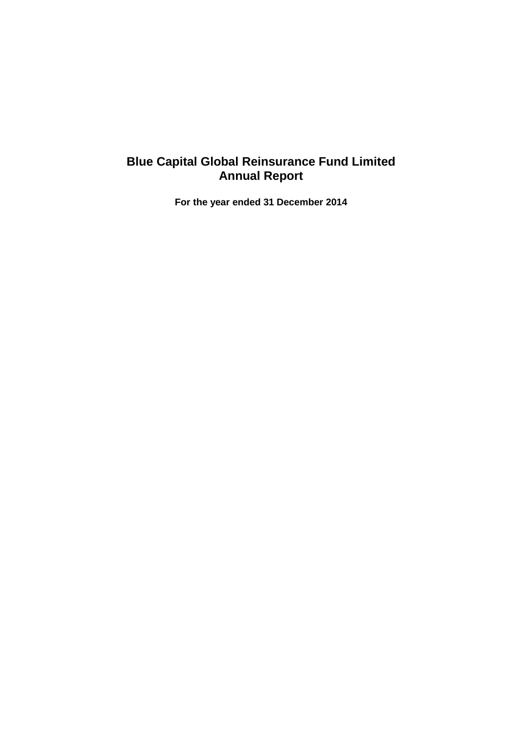### **Blue Capital Global Reinsurance Fund Limited Annual Report**

**For the year ended 31 December 2014**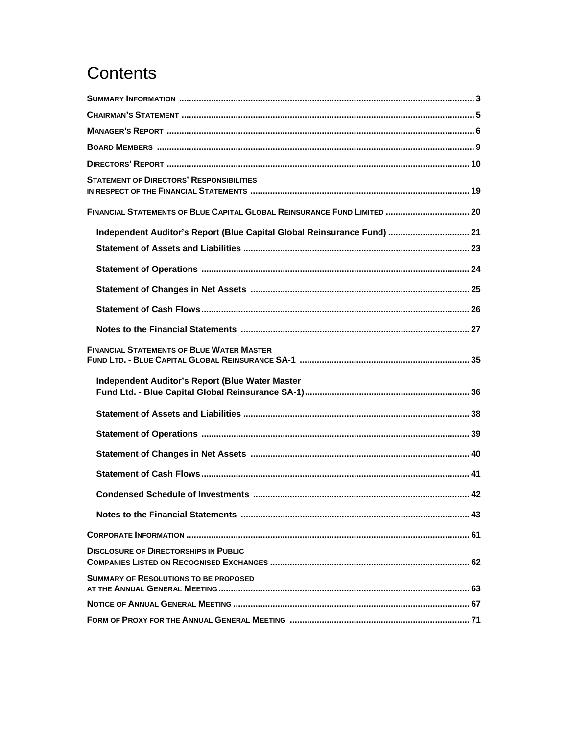# Contents

| <b>STATEMENT OF DIRECTORS' RESPONSIBILITIES</b>                          |  |
|--------------------------------------------------------------------------|--|
| FINANCIAL STATEMENTS OF BLUE CAPITAL GLOBAL REINSURANCE FUND LIMITED  20 |  |
| Independent Auditor's Report (Blue Capital Global Reinsurance Fund)  21  |  |
|                                                                          |  |
|                                                                          |  |
|                                                                          |  |
|                                                                          |  |
|                                                                          |  |
| <b>FINANCIAL STATEMENTS OF BLUE WATER MASTER</b>                         |  |
| Independent Auditor's Report (Blue Water Master                          |  |
|                                                                          |  |
|                                                                          |  |
|                                                                          |  |
|                                                                          |  |
|                                                                          |  |
|                                                                          |  |
|                                                                          |  |
| <b>DISCLOSURE OF DIRECTORSHIPS IN PUBLIC</b>                             |  |
| <b>SUMMARY OF RESOLUTIONS TO BE PROPOSED</b>                             |  |
|                                                                          |  |
|                                                                          |  |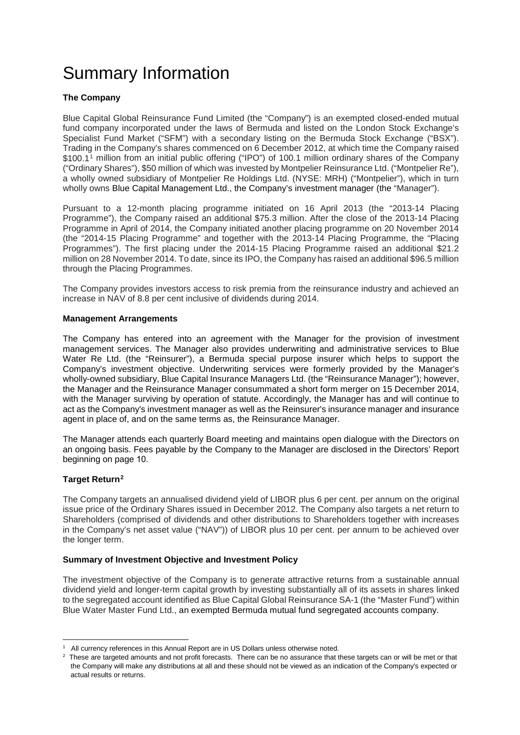# Summary Information

#### **The Company**

Blue Capital Global Reinsurance Fund Limited (the "Company") is an exempted closed-ended mutual fund company incorporated under the laws of Bermuda and listed on the London Stock Exchange's Specialist Fund Market ("SFM") with a secondary listing on the Bermuda Stock Exchange ("BSX"). Trading in the Company's shares commenced on 6 December 2012, at which time the Company raised \$[1](#page-2-0)00.1<sup>1</sup> million from an initial public offering ("IPO") of 100.1 million ordinary shares of the Company ("Ordinary Shares"), \$50 million of which was invested by Montpelier Reinsurance Ltd. ("Montpelier Re"), a wholly owned subsidiary of Montpelier Re Holdings Ltd. (NYSE: MRH) ("Montpelier"), which in turn wholly owns Blue Capital Management Ltd., the Company's investment manager (the "Manager").

Pursuant to a 12-month placing programme initiated on 16 April 2013 (the "2013-14 Placing Programme"), the Company raised an additional \$75.3 million. After the close of the 2013-14 Placing Programme in April of 2014, the Company initiated another placing programme on 20 November 2014 (the "2014-15 Placing Programme" and together with the 2013-14 Placing Programme, the "Placing Programmes"). The first placing under the 2014-15 Placing Programme raised an additional \$21.2 million on 28 November 2014. To date, since its IPO, the Company has raised an additional \$96.5 million through the Placing Programmes.

The Company provides investors access to risk premia from the reinsurance industry and achieved an increase in NAV of 8.8 per cent inclusive of dividends during 2014.

#### **Management Arrangements**

The Company has entered into an agreement with the Manager for the provision of investment management services. The Manager also provides underwriting and administrative services to Blue Water Re Ltd. (the "Reinsurer"), a Bermuda special purpose insurer which helps to support the Company's investment objective. Underwriting services were formerly provided by the Manager's wholly-owned subsidiary, Blue Capital Insurance Managers Ltd. (the "Reinsurance Manager"); however, the Manager and the Reinsurance Manager consummated a short form merger on 15 December 2014, with the Manager surviving by operation of statute. Accordingly, the Manager has and will continue to act as the Company's investment manager as well as the Reinsurer's insurance manager and insurance agent in place of, and on the same terms as, the Reinsurance Manager.

The Manager attends each quarterly Board meeting and maintains open dialogue with the Directors on an ongoing basis. Fees payable by the Company to the Manager are disclosed in the Directors' Report beginning on page 10.

#### **Target Return[2](#page-2-1)**

The Company targets an annualised dividend yield of LIBOR plus 6 per cent. per annum on the original issue price of the Ordinary Shares issued in December 2012. The Company also targets a net return to Shareholders (comprised of dividends and other distributions to Shareholders together with increases in the Company's net asset value ("NAV")) of LIBOR plus 10 per cent. per annum to be achieved over the longer term.

#### **Summary of Investment Objective and Investment Policy**

The investment objective of the Company is to generate attractive returns from a sustainable annual dividend yield and longer-term capital growth by investing substantially all of its assets in shares linked to the segregated account identified as Blue Capital Global Reinsurance SA-1 (the "Master Fund") within Blue Water Master Fund Ltd., an exempted Bermuda mutual fund segregated accounts company.

<span id="page-2-1"></span><span id="page-2-0"></span><sup>1</sup> All currency references in this Annual Report are in US Dollars unless otherwise noted.

 $2$  These are targeted amounts and not profit forecasts. There can be no assurance that these targets can or will be met or that the Company will make any distributions at all and these should not be viewed as an indication of the Company's expected or actual results or returns.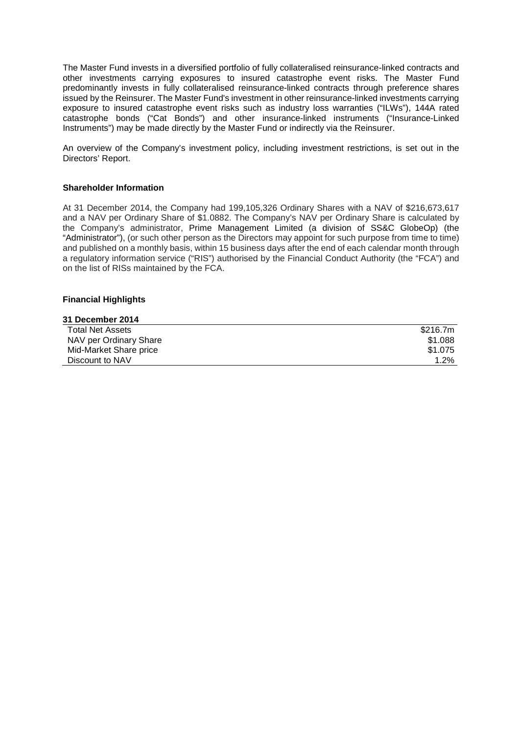The Master Fund invests in a diversified portfolio of fully collateralised reinsurance-linked contracts and other investments carrying exposures to insured catastrophe event risks. The Master Fund predominantly invests in fully collateralised reinsurance-linked contracts through preference shares issued by the Reinsurer. The Master Fund's investment in other reinsurance-linked investments carrying exposure to insured catastrophe event risks such as industry loss warranties ("ILWs"), 144A rated catastrophe bonds ("Cat Bonds") and other insurance-linked instruments ("Insurance-Linked Instruments") may be made directly by the Master Fund or indirectly via the Reinsurer.

An overview of the Company's investment policy, including investment restrictions, is set out in the Directors' Report.

#### **Shareholder Information**

At 31 December 2014, the Company had 199,105,326 Ordinary Shares with a NAV of \$216,673,617 and a NAV per Ordinary Share of \$1.0882. The Company's NAV per Ordinary Share is calculated by the Company's administrator, Prime Management Limited (a division of SS&C GlobeOp) (the "Administrator"), (or such other person as the Directors may appoint for such purpose from time to time) and published on a monthly basis, within 15 business days after the end of each calendar month through a regulatory information service ("RIS") authorised by the Financial Conduct Authority (the "FCA") and on the list of RISs maintained by the FCA.

#### **Financial Highlights**

# **31 December 2014**

| Total Net Assets       | \$216.7m |
|------------------------|----------|
| NAV per Ordinary Share | \$1.088  |
| Mid-Market Share price | \$1.075  |
| Discount to NAV        | 1.2%     |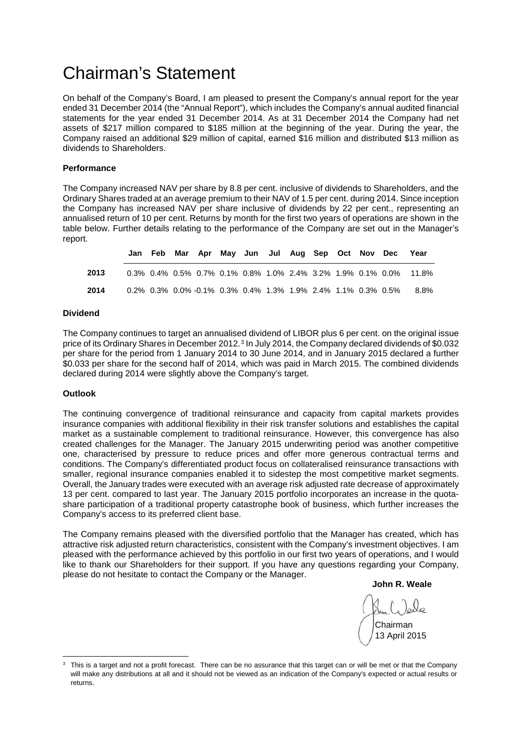## Chairman's Statement

On behalf of the Company's Board, I am pleased to present the Company's annual report for the year ended 31 December 2014 (the "Annual Report"), which includes the Company's annual audited financial statements for the year ended 31 December 2014. As at 31 December 2014 the Company had net assets of \$217 million compared to \$185 million at the beginning of the year. During the year, the Company raised an additional \$29 million of capital, earned \$16 million and distributed \$13 million as dividends to Shareholders.

#### **Performance**

The Company increased NAV per share by 8.8 per cent. inclusive of dividends to Shareholders, and the Ordinary Shares traded at an average premium to their NAV of 1.5 per cent. during 2014. Since inception the Company has increased NAV per share inclusive of dividends by 22 per cent., representing an annualised return of 10 per cent. Returns by month for the first two years of operations are shown in the table below. Further details relating to the performance of the Company are set out in the Manager's report.

|      |  |  |                                                                    |  |  | Jan Feb Mar Apr May Jun Jul Aug Sep Oct Nov Dec | Year                                                                                                     |
|------|--|--|--------------------------------------------------------------------|--|--|-------------------------------------------------|----------------------------------------------------------------------------------------------------------|
| 2013 |  |  |                                                                    |  |  |                                                 | $0.3\%$ $0.4\%$ $0.5\%$ $0.7\%$ $0.1\%$ $0.8\%$ $1.0\%$ $2.4\%$ $3.2\%$ $1.9\%$ $0.1\%$ $0.0\%$ $11.8\%$ |
| 2014 |  |  | $0.2\%$ 0.3% 0.0% $-0.1\%$ 0.3% 0.4% 1.3% 1.9% 2.4% 1.1% 0.3% 0.5% |  |  |                                                 | $8.8\%$                                                                                                  |

#### **Dividend**

The Company continues to target an annualised dividend of LIBOR plus 6 per cent. on the original issue price of its Ordinary Shares in December 2012.<sup>[3](#page-4-0)</sup> In July 2014, the Company declared dividends of \$0.032 per share for the period from 1 January 2014 to 30 June 2014, and in January 2015 declared a further \$0.033 per share for the second half of 2014, which was paid in March 2015. The combined dividends declared during 2014 were slightly above the Company's target.

#### **Outlook**

The continuing convergence of traditional reinsurance and capacity from capital markets provides insurance companies with additional flexibility in their risk transfer solutions and establishes the capital market as a sustainable complement to traditional reinsurance. However, this convergence has also created challenges for the Manager. The January 2015 underwriting period was another competitive one, characterised by pressure to reduce prices and offer more generous contractual terms and conditions. The Company's differentiated product focus on collateralised reinsurance transactions with smaller, regional insurance companies enabled it to sidestep the most competitive market segments. Overall, the January trades were executed with an average risk adjusted rate decrease of approximately 13 per cent. compared to last year. The January 2015 portfolio incorporates an increase in the quotashare participation of a traditional property catastrophe book of business, which further increases the Company's access to its preferred client base.

The Company remains pleased with the diversified portfolio that the Manager has created, which has attractive risk adjusted return characteristics, consistent with the Company's investment objectives. I am pleased with the performance achieved by this portfolio in our first two years of operations, and I would like to thank our Shareholders for their support. If you have any questions regarding your Company, please do not hesitate to contact the Company or the Manager.

**John R. Weale**

Chairman 13 April 2015

<span id="page-4-0"></span><sup>3</sup> This is a target and not a profit forecast. There can be no assurance that this target can or will be met or that the Company will make any distributions at all and it should not be viewed as an indication of the Company's expected or actual results or returns.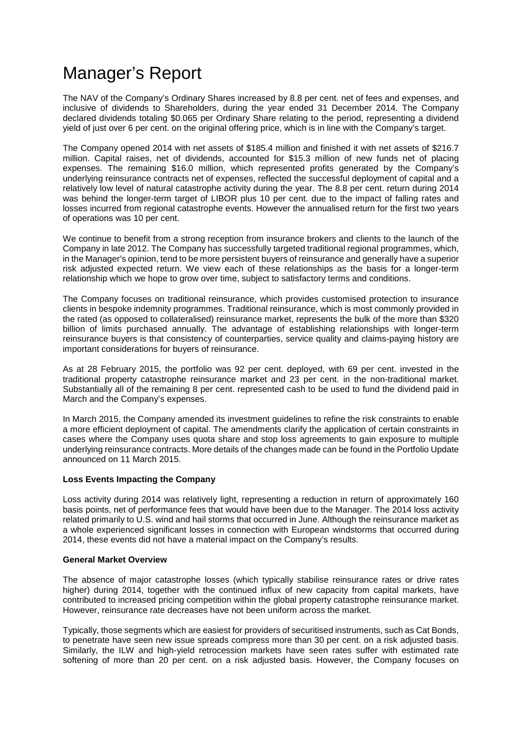# Manager's Report

The NAV of the Company's Ordinary Shares increased by 8.8 per cent. net of fees and expenses, and inclusive of dividends to Shareholders, during the year ended 31 December 2014. The Company declared dividends totaling \$0.065 per Ordinary Share relating to the period, representing a dividend yield of just over 6 per cent. on the original offering price, which is in line with the Company's target.

The Company opened 2014 with net assets of \$185.4 million and finished it with net assets of \$216.7 million. Capital raises, net of dividends, accounted for \$15.3 million of new funds net of placing expenses. The remaining \$16.0 million, which represented profits generated by the Company's underlying reinsurance contracts net of expenses, reflected the successful deployment of capital and a relatively low level of natural catastrophe activity during the year. The 8.8 per cent. return during 2014 was behind the longer-term target of LIBOR plus 10 per cent. due to the impact of falling rates and losses incurred from regional catastrophe events. However the annualised return for the first two years of operations was 10 per cent.

We continue to benefit from a strong reception from insurance brokers and clients to the launch of the Company in late 2012. The Company has successfully targeted traditional regional programmes, which, in the Manager's opinion, tend to be more persistent buyers of reinsurance and generally have a superior risk adjusted expected return. We view each of these relationships as the basis for a longer-term relationship which we hope to grow over time, subject to satisfactory terms and conditions.

The Company focuses on traditional reinsurance, which provides customised protection to insurance clients in bespoke indemnity programmes. Traditional reinsurance, which is most commonly provided in the rated (as opposed to collateralised) reinsurance market, represents the bulk of the more than \$320 billion of limits purchased annually. The advantage of establishing relationships with longer-term reinsurance buyers is that consistency of counterparties, service quality and claims-paying history are important considerations for buyers of reinsurance.

As at 28 February 2015, the portfolio was 92 per cent. deployed, with 69 per cent. invested in the traditional property catastrophe reinsurance market and 23 per cent. in the non-traditional market. Substantially all of the remaining 8 per cent. represented cash to be used to fund the dividend paid in March and the Company's expenses.

In March 2015, the Company amended its investment guidelines to refine the risk constraints to enable a more efficient deployment of capital. The amendments clarify the application of certain constraints in cases where the Company uses quota share and stop loss agreements to gain exposure to multiple underlying reinsurance contracts. More details of the changes made can be found in the Portfolio Update announced on 11 March 2015.

#### **Loss Events Impacting the Company**

Loss activity during 2014 was relatively light, representing a reduction in return of approximately 160 basis points, net of performance fees that would have been due to the Manager. The 2014 loss activity related primarily to U.S. wind and hail storms that occurred in June. Although the reinsurance market as a whole experienced significant losses in connection with European windstorms that occurred during 2014, these events did not have a material impact on the Company's results.

#### **General Market Overview**

The absence of major catastrophe losses (which typically stabilise reinsurance rates or drive rates higher) during 2014, together with the continued influx of new capacity from capital markets, have contributed to increased pricing competition within the global property catastrophe reinsurance market. However, reinsurance rate decreases have not been uniform across the market.

Typically, those segments which are easiest for providers of securitised instruments, such as Cat Bonds, to penetrate have seen new issue spreads compress more than 30 per cent. on a risk adjusted basis. Similarly, the ILW and high-yield retrocession markets have seen rates suffer with estimated rate softening of more than 20 per cent. on a risk adjusted basis. However, the Company focuses on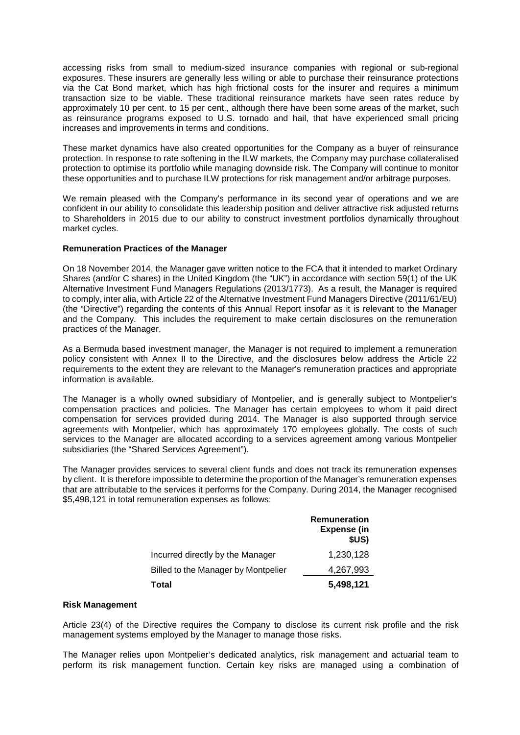accessing risks from small to medium-sized insurance companies with regional or sub-regional exposures. These insurers are generally less willing or able to purchase their reinsurance protections via the Cat Bond market, which has high frictional costs for the insurer and requires a minimum transaction size to be viable. These traditional reinsurance markets have seen rates reduce by approximately 10 per cent. to 15 per cent., although there have been some areas of the market, such as reinsurance programs exposed to U.S. tornado and hail, that have experienced small pricing increases and improvements in terms and conditions.

These market dynamics have also created opportunities for the Company as a buyer of reinsurance protection. In response to rate softening in the ILW markets, the Company may purchase collateralised protection to optimise its portfolio while managing downside risk. The Company will continue to monitor these opportunities and to purchase ILW protections for risk management and/or arbitrage purposes.

We remain pleased with the Company's performance in its second year of operations and we are confident in our ability to consolidate this leadership position and deliver attractive risk adjusted returns to Shareholders in 2015 due to our ability to construct investment portfolios dynamically throughout market cycles.

#### **Remuneration Practices of the Manager**

On 18 November 2014, the Manager gave written notice to the FCA that it intended to market Ordinary Shares (and/or C shares) in the United Kingdom (the "UK") in accordance with section 59(1) of the UK Alternative Investment Fund Managers Regulations (2013/1773). As a result, the Manager is required to comply, inter alia, with Article 22 of the Alternative Investment Fund Managers Directive (2011/61/EU) (the "Directive") regarding the contents of this Annual Report insofar as it is relevant to the Manager and the Company. This includes the requirement to make certain disclosures on the remuneration practices of the Manager.

As a Bermuda based investment manager, the Manager is not required to implement a remuneration policy consistent with Annex II to the Directive, and the disclosures below address the Article 22 requirements to the extent they are relevant to the Manager's remuneration practices and appropriate information is available.

The Manager is a wholly owned subsidiary of Montpelier, and is generally subject to Montpelier's compensation practices and policies. The Manager has certain employees to whom it paid direct compensation for services provided during 2014. The Manager is also supported through service agreements with Montpelier, which has approximately 170 employees globally. The costs of such services to the Manager are allocated according to a services agreement among various Montpelier subsidiaries (the "Shared Services Agreement").

The Manager provides services to several client funds and does not track its remuneration expenses by client. It is therefore impossible to determine the proportion of the Manager's remuneration expenses that are attributable to the services it performs for the Company. During 2014, the Manager recognised \$5,498,121 in total remuneration expenses as follows:

|                                     | Remuneration<br><b>Expense (in</b><br>\$US) |
|-------------------------------------|---------------------------------------------|
| Incurred directly by the Manager    | 1,230,128                                   |
| Billed to the Manager by Montpelier | 4,267,993                                   |
| Total                               | 5,498,121                                   |

#### **Risk Management**

Article 23(4) of the Directive requires the Company to disclose its current risk profile and the risk management systems employed by the Manager to manage those risks.

The Manager relies upon Montpelier's dedicated analytics, risk management and actuarial team to perform its risk management function. Certain key risks are managed using a combination of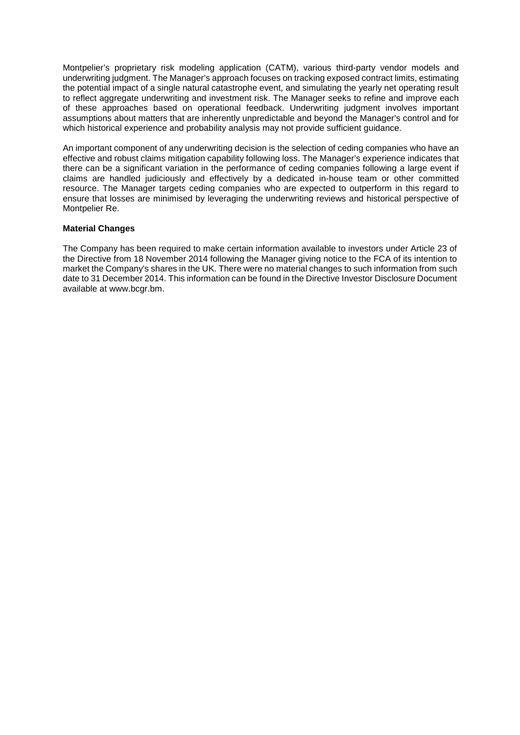Montpelier's proprietary risk modeling application (CATM), various third-party vendor models and underwriting judgment. The Manager's approach focuses on tracking exposed contract limits, estimating the potential impact of a single natural catastrophe event, and simulating the yearly net operating result to reflect aggregate underwriting and investment risk. The Manager seeks to refine and improve each of these approaches based on operational feedback. Underwriting judgment involves important assumptions about matters that are inherently unpredictable and beyond the Manager's control and for which historical experience and probability analysis may not provide sufficient guidance.

An important component of any underwriting decision is the selection of ceding companies who have an effective and robust claims mitigation capability following loss. The Manager's experience indicates that there can be a significant variation in the performance of ceding companies following a large event if claims are handled judiciously and effectively by a dedicated in-house team or other committed resource. The Manager targets ceding companies who are expected to outperform in this regard to ensure that losses are minimised by leveraging the underwriting reviews and historical perspective of Montpelier Re.

#### **Material Changes**

The Company has been required to make certain information available to investors under Article 23 of the Directive from 18 November 2014 following the Manager giving notice to the FCA of its intention to market the Company's shares in the UK. There were no material changes to such information from such date to 31 December 2014. This information can be found in the Directive Investor Disclosure Document available at [www.bcgr.bm.](http://www.bcgr.bm/)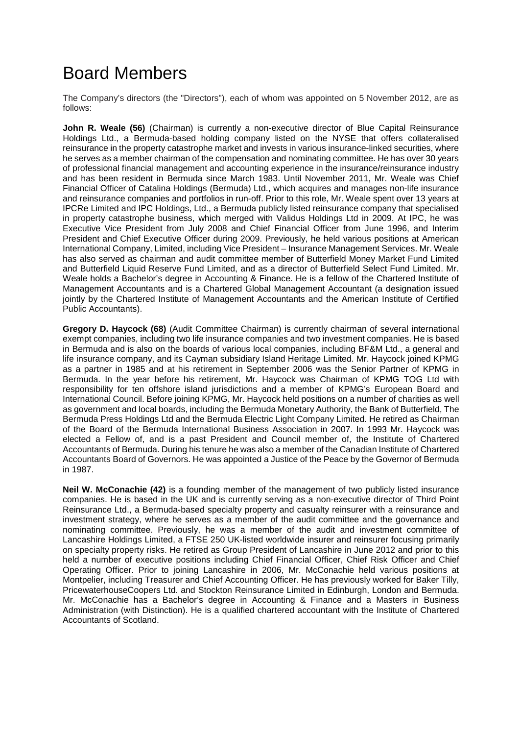# Board Members

The Company's directors (the "Directors"), each of whom was appointed on 5 November 2012, are as follows:

**John R. Weale (56)** (Chairman) is currently a non-executive director of Blue Capital Reinsurance Holdings Ltd., a Bermuda-based holding company listed on the NYSE that offers collateralised reinsurance in the property catastrophe market and invests in various insurance-linked securities, where he serves as a member chairman of the compensation and nominating committee. He has over 30 years of professional financial management and accounting experience in the insurance/reinsurance industry and has been resident in Bermuda since March 1983. Until November 2011, Mr. Weale was Chief Financial Officer of Catalina Holdings (Bermuda) Ltd., which acquires and manages non-life insurance and reinsurance companies and portfolios in run-off. Prior to this role, Mr. Weale spent over 13 years at IPCRe Limited and IPC Holdings, Ltd., a Bermuda publicly listed reinsurance company that specialised in property catastrophe business, which merged with Validus Holdings Ltd in 2009. At IPC, he was Executive Vice President from July 2008 and Chief Financial Officer from June 1996, and Interim President and Chief Executive Officer during 2009. Previously, he held various positions at American International Company, Limited, including Vice President – Insurance Management Services. Mr. Weale has also served as chairman and audit committee member of Butterfield Money Market Fund Limited and Butterfield Liquid Reserve Fund Limited, and as a director of Butterfield Select Fund Limited. Mr. Weale holds a Bachelor's degree in Accounting & Finance. He is a fellow of the Chartered Institute of Management Accountants and is a Chartered Global Management Accountant (a designation issued jointly by the Chartered Institute of Management Accountants and the American Institute of Certified Public Accountants).

**Gregory D. Haycock (68)** (Audit Committee Chairman) is currently chairman of several international exempt companies, including two life insurance companies and two investment companies. He is based in Bermuda and is also on the boards of various local companies, including BF&M Ltd., a general and life insurance company, and its Cayman subsidiary Island Heritage Limited. Mr. Haycock joined KPMG as a partner in 1985 and at his retirement in September 2006 was the Senior Partner of KPMG in Bermuda. In the year before his retirement, Mr. Haycock was Chairman of KPMG TOG Ltd with responsibility for ten offshore island jurisdictions and a member of KPMG's European Board and International Council. Before joining KPMG, Mr. Haycock held positions on a number of charities as well as government and local boards, including the Bermuda Monetary Authority, the Bank of Butterfield, The Bermuda Press Holdings Ltd and the Bermuda Electric Light Company Limited. He retired as Chairman of the Board of the Bermuda International Business Association in 2007. In 1993 Mr. Haycock was elected a Fellow of, and is a past President and Council member of, the Institute of Chartered Accountants of Bermuda. During his tenure he was also a member of the Canadian Institute of Chartered Accountants Board of Governors. He was appointed a Justice of the Peace by the Governor of Bermuda in 1987.

**Neil W. McConachie (42)** is a founding member of the management of two publicly listed insurance companies. He is based in the UK and is currently serving as a non-executive director of Third Point Reinsurance Ltd., a Bermuda-based specialty property and casualty reinsurer with a reinsurance and investment strategy, where he serves as a member of the audit committee and the governance and nominating committee. Previously, he was a member of the audit and investment committee of Lancashire Holdings Limited, a FTSE 250 UK-listed worldwide insurer and reinsurer focusing primarily on specialty property risks. He retired as Group President of Lancashire in June 2012 and prior to this held a number of executive positions including Chief Financial Officer, Chief Risk Officer and Chief Operating Officer. Prior to joining Lancashire in 2006, Mr. McConachie held various positions at Montpelier, including Treasurer and Chief Accounting Officer. He has previously worked for Baker Tilly, PricewaterhouseCoopers Ltd. and Stockton Reinsurance Limited in Edinburgh, London and Bermuda. Mr. McConachie has a Bachelor's degree in Accounting & Finance and a Masters in Business Administration (with Distinction). He is a qualified chartered accountant with the Institute of Chartered Accountants of Scotland.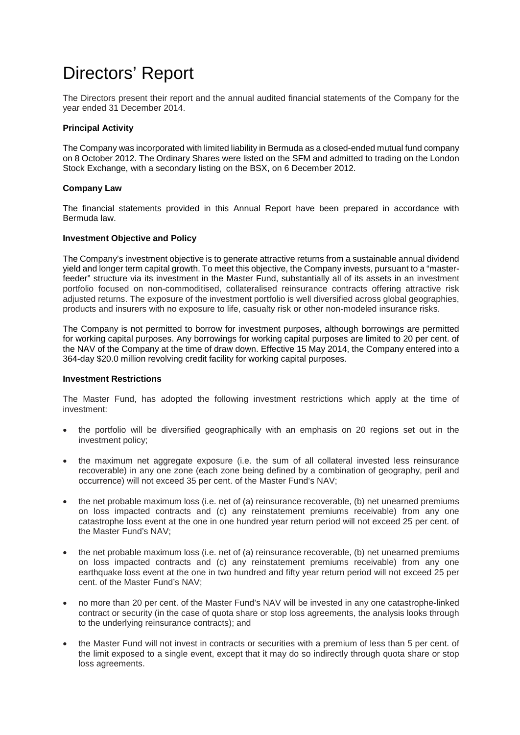# Directors' Report

The Directors present their report and the annual audited financial statements of the Company for the year ended 31 December 2014.

#### **Principal Activity**

The Company was incorporated with limited liability in Bermuda as a closed-ended mutual fund company on 8 October 2012. The Ordinary Shares were listed on the SFM and admitted to trading on the London Stock Exchange, with a secondary listing on the BSX, on 6 December 2012.

#### **Company Law**

The financial statements provided in this Annual Report have been prepared in accordance with Bermuda law.

#### **Investment Objective and Policy**

The Company's investment objective is to generate attractive returns from a sustainable annual dividend yield and longer term capital growth. To meet this objective, the Company invests, pursuant to a "masterfeeder" structure via its investment in the Master Fund, substantially all of its assets in an investment portfolio focused on non-commoditised, collateralised reinsurance contracts offering attractive risk adjusted returns. The exposure of the investment portfolio is well diversified across global geographies, products and insurers with no exposure to life, casualty risk or other non-modeled insurance risks.

The Company is not permitted to borrow for investment purposes, although borrowings are permitted for working capital purposes. Any borrowings for working capital purposes are limited to 20 per cent. of the NAV of the Company at the time of draw down. Effective 15 May 2014, the Company entered into a 364-day \$20.0 million revolving credit facility for working capital purposes.

#### **Investment Restrictions**

The Master Fund, has adopted the following investment restrictions which apply at the time of investment:

- the portfolio will be diversified geographically with an emphasis on 20 regions set out in the investment policy;
- the maximum net aggregate exposure (i.e. the sum of all collateral invested less reinsurance recoverable) in any one zone (each zone being defined by a combination of geography, peril and occurrence) will not exceed 35 per cent. of the Master Fund's NAV;
- the net probable maximum loss (i.e. net of (a) reinsurance recoverable, (b) net unearned premiums on loss impacted contracts and (c) any reinstatement premiums receivable) from any one catastrophe loss event at the one in one hundred year return period will not exceed 25 per cent. of the Master Fund's NAV;
- the net probable maximum loss (i.e. net of (a) reinsurance recoverable, (b) net unearned premiums on loss impacted contracts and (c) any reinstatement premiums receivable) from any one earthquake loss event at the one in two hundred and fifty year return period will not exceed 25 per cent. of the Master Fund's NAV;
- no more than 20 per cent. of the Master Fund's NAV will be invested in any one catastrophe-linked contract or security (in the case of quota share or stop loss agreements, the analysis looks through to the underlying reinsurance contracts); and
- the Master Fund will not invest in contracts or securities with a premium of less than 5 per cent. of the limit exposed to a single event, except that it may do so indirectly through quota share or stop loss agreements.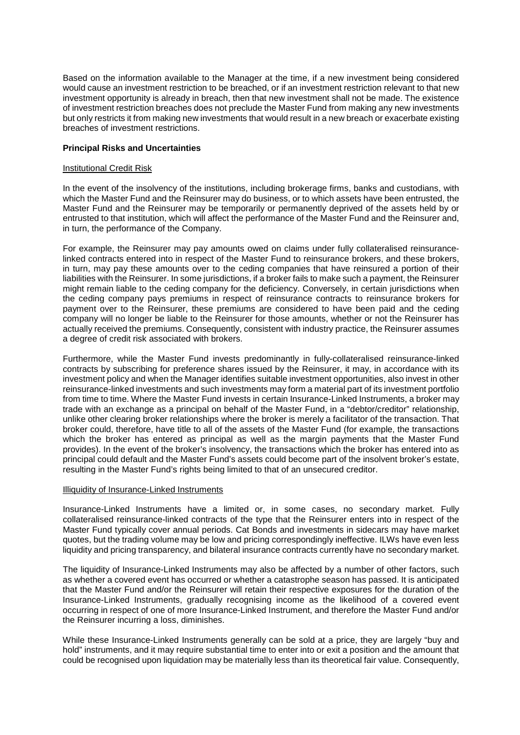Based on the information available to the Manager at the time, if a new investment being considered would cause an investment restriction to be breached, or if an investment restriction relevant to that new investment opportunity is already in breach, then that new investment shall not be made. The existence of investment restriction breaches does not preclude the Master Fund from making any new investments but only restricts it from making new investments that would result in a new breach or exacerbate existing breaches of investment restrictions.

#### **Principal Risks and Uncertainties**

#### Institutional Credit Risk

In the event of the insolvency of the institutions, including brokerage firms, banks and custodians, with which the Master Fund and the Reinsurer may do business, or to which assets have been entrusted, the Master Fund and the Reinsurer may be temporarily or permanently deprived of the assets held by or entrusted to that institution, which will affect the performance of the Master Fund and the Reinsurer and, in turn, the performance of the Company.

For example, the Reinsurer may pay amounts owed on claims under fully collateralised reinsurancelinked contracts entered into in respect of the Master Fund to reinsurance brokers, and these brokers, in turn, may pay these amounts over to the ceding companies that have reinsured a portion of their liabilities with the Reinsurer. In some jurisdictions, if a broker fails to make such a payment, the Reinsurer might remain liable to the ceding company for the deficiency. Conversely, in certain jurisdictions when the ceding company pays premiums in respect of reinsurance contracts to reinsurance brokers for payment over to the Reinsurer, these premiums are considered to have been paid and the ceding company will no longer be liable to the Reinsurer for those amounts, whether or not the Reinsurer has actually received the premiums. Consequently, consistent with industry practice, the Reinsurer assumes a degree of credit risk associated with brokers.

Furthermore, while the Master Fund invests predominantly in fully-collateralised reinsurance-linked contracts by subscribing for preference shares issued by the Reinsurer, it may, in accordance with its investment policy and when the Manager identifies suitable investment opportunities, also invest in other reinsurance-linked investments and such investments may form a material part of its investment portfolio from time to time. Where the Master Fund invests in certain Insurance-Linked Instruments, a broker may trade with an exchange as a principal on behalf of the Master Fund, in a "debtor/creditor" relationship, unlike other clearing broker relationships where the broker is merely a facilitator of the transaction. That broker could, therefore, have title to all of the assets of the Master Fund (for example, the transactions which the broker has entered as principal as well as the margin payments that the Master Fund provides). In the event of the broker's insolvency, the transactions which the broker has entered into as principal could default and the Master Fund's assets could become part of the insolvent broker's estate, resulting in the Master Fund's rights being limited to that of an unsecured creditor.

#### Illiquidity of Insurance-Linked Instruments

Insurance-Linked Instruments have a limited or, in some cases, no secondary market. Fully collateralised reinsurance-linked contracts of the type that the Reinsurer enters into in respect of the Master Fund typically cover annual periods. Cat Bonds and investments in sidecars may have market quotes, but the trading volume may be low and pricing correspondingly ineffective. ILWs have even less liquidity and pricing transparency, and bilateral insurance contracts currently have no secondary market.

The liquidity of Insurance-Linked Instruments may also be affected by a number of other factors, such as whether a covered event has occurred or whether a catastrophe season has passed. It is anticipated that the Master Fund and/or the Reinsurer will retain their respective exposures for the duration of the Insurance-Linked Instruments, gradually recognising income as the likelihood of a covered event occurring in respect of one of more Insurance-Linked Instrument, and therefore the Master Fund and/or the Reinsurer incurring a loss, diminishes.

While these Insurance-Linked Instruments generally can be sold at a price, they are largely "buy and hold" instruments, and it may require substantial time to enter into or exit a position and the amount that could be recognised upon liquidation may be materially less than its theoretical fair value. Consequently,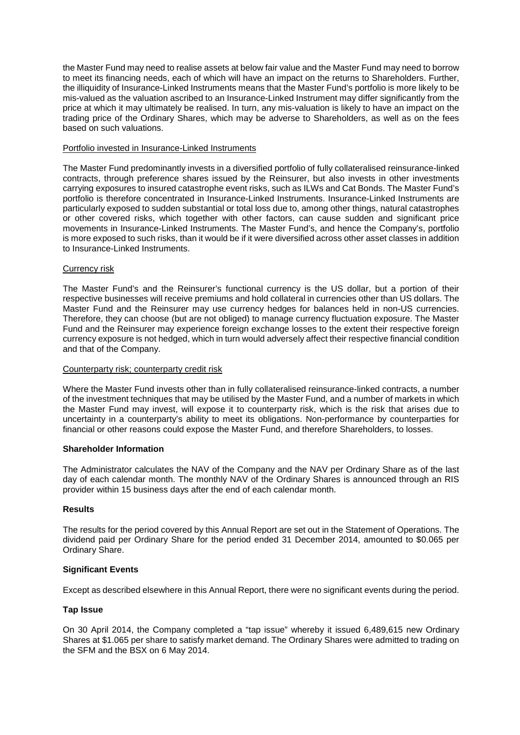the Master Fund may need to realise assets at below fair value and the Master Fund may need to borrow to meet its financing needs, each of which will have an impact on the returns to Shareholders. Further, the illiquidity of Insurance-Linked Instruments means that the Master Fund's portfolio is more likely to be mis-valued as the valuation ascribed to an Insurance-Linked Instrument may differ significantly from the price at which it may ultimately be realised. In turn, any mis-valuation is likely to have an impact on the trading price of the Ordinary Shares, which may be adverse to Shareholders, as well as on the fees based on such valuations.

#### Portfolio invested in Insurance-Linked Instruments

The Master Fund predominantly invests in a diversified portfolio of fully collateralised reinsurance-linked contracts, through preference shares issued by the Reinsurer, but also invests in other investments carrying exposures to insured catastrophe event risks, such as ILWs and Cat Bonds. The Master Fund's portfolio is therefore concentrated in Insurance-Linked Instruments. Insurance-Linked Instruments are particularly exposed to sudden substantial or total loss due to, among other things, natural catastrophes or other covered risks, which together with other factors, can cause sudden and significant price movements in Insurance-Linked Instruments. The Master Fund's, and hence the Company's, portfolio is more exposed to such risks, than it would be if it were diversified across other asset classes in addition to Insurance-Linked Instruments

#### Currency risk

The Master Fund's and the Reinsurer's functional currency is the US dollar, but a portion of their respective businesses will receive premiums and hold collateral in currencies other than US dollars. The Master Fund and the Reinsurer may use currency hedges for balances held in non-US currencies. Therefore, they can choose (but are not obliged) to manage currency fluctuation exposure. The Master Fund and the Reinsurer may experience foreign exchange losses to the extent their respective foreign currency exposure is not hedged, which in turn would adversely affect their respective financial condition and that of the Company.

#### Counterparty risk; counterparty credit risk

Where the Master Fund invests other than in fully collateralised reinsurance-linked contracts, a number of the investment techniques that may be utilised by the Master Fund, and a number of markets in which the Master Fund may invest, will expose it to counterparty risk, which is the risk that arises due to uncertainty in a counterparty's ability to meet its obligations. Non-performance by counterparties for financial or other reasons could expose the Master Fund, and therefore Shareholders, to losses.

#### **Shareholder Information**

The Administrator calculates the NAV of the Company and the NAV per Ordinary Share as of the last day of each calendar month. The monthly NAV of the Ordinary Shares is announced through an RIS provider within 15 business days after the end of each calendar month.

#### **Results**

The results for the period covered by this Annual Report are set out in the Statement of Operations. The dividend paid per Ordinary Share for the period ended 31 December 2014, amounted to \$0.065 per Ordinary Share.

#### **Significant Events**

Except as described elsewhere in this Annual Report, there were no significant events during the period.

#### **Tap Issue**

On 30 April 2014, the Company completed a "tap issue" whereby it issued 6,489,615 new Ordinary Shares at \$1.065 per share to satisfy market demand. The Ordinary Shares were admitted to trading on the SFM and the BSX on 6 May 2014.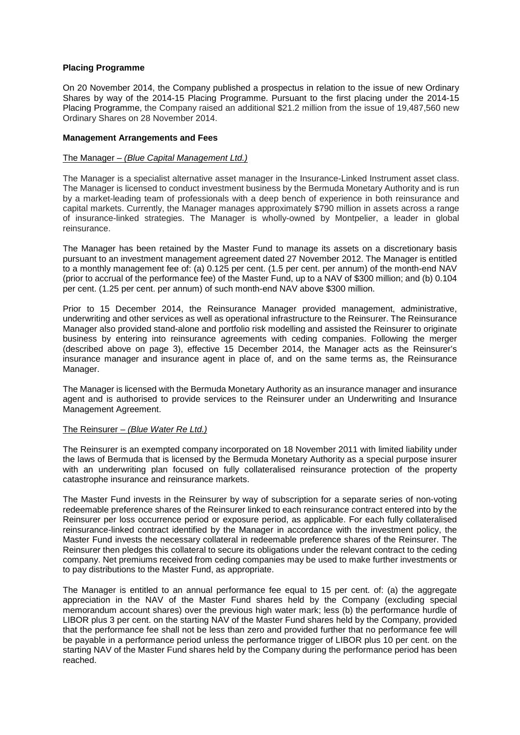#### **Placing Programme**

On 20 November 2014, the Company published a prospectus in relation to the issue of new Ordinary Shares by way of the 2014-15 Placing Programme. Pursuant to the first placing under the 2014-15 Placing Programme, the Company raised an additional \$21.2 million from the issue of 19,487,560 new Ordinary Shares on 28 November 2014.

#### **Management Arrangements and Fees**

#### The Manager – *(Blue Capital Management Ltd.)*

The Manager is a specialist alternative asset manager in the Insurance-Linked Instrument asset class. The Manager is licensed to conduct investment business by the Bermuda Monetary Authority and is run by a market-leading team of professionals with a deep bench of experience in both reinsurance and capital markets. Currently, the Manager manages approximately \$790 million in assets across a range of insurance-linked strategies. The Manager is wholly-owned by Montpelier, a leader in global reinsurance.

The Manager has been retained by the Master Fund to manage its assets on a discretionary basis pursuant to an investment management agreement dated 27 November 2012. The Manager is entitled to a monthly management fee of: (a) 0.125 per cent. (1.5 per cent. per annum) of the month-end NAV (prior to accrual of the performance fee) of the Master Fund, up to a NAV of \$300 million; and (b) 0.104 per cent. (1.25 per cent. per annum) of such month-end NAV above \$300 million.

Prior to 15 December 2014, the Reinsurance Manager provided management, administrative, underwriting and other services as well as operational infrastructure to the Reinsurer. The Reinsurance Manager also provided stand-alone and portfolio risk modelling and assisted the Reinsurer to originate business by entering into reinsurance agreements with ceding companies. Following the merger (described above on page 3), effective 15 December 2014, the Manager acts as the Reinsurer's insurance manager and insurance agent in place of, and on the same terms as, the Reinsurance Manager.

The Manager is licensed with the Bermuda Monetary Authority as an insurance manager and insurance agent and is authorised to provide services to the Reinsurer under an Underwriting and Insurance Management Agreement.

#### The Reinsurer – *(Blue Water Re Ltd.)*

The Reinsurer is an exempted company incorporated on 18 November 2011 with limited liability under the laws of Bermuda that is licensed by the Bermuda Monetary Authority as a special purpose insurer with an underwriting plan focused on fully collateralised reinsurance protection of the property catastrophe insurance and reinsurance markets.

The Master Fund invests in the Reinsurer by way of subscription for a separate series of non-voting redeemable preference shares of the Reinsurer linked to each reinsurance contract entered into by the Reinsurer per loss occurrence period or exposure period, as applicable. For each fully collateralised reinsurance-linked contract identified by the Manager in accordance with the investment policy, the Master Fund invests the necessary collateral in redeemable preference shares of the Reinsurer. The Reinsurer then pledges this collateral to secure its obligations under the relevant contract to the ceding company. Net premiums received from ceding companies may be used to make further investments or to pay distributions to the Master Fund, as appropriate.

The Manager is entitled to an annual performance fee equal to 15 per cent. of: (a) the aggregate appreciation in the NAV of the Master Fund shares held by the Company (excluding special memorandum account shares) over the previous high water mark; less (b) the performance hurdle of LIBOR plus 3 per cent. on the starting NAV of the Master Fund shares held by the Company, provided that the performance fee shall not be less than zero and provided further that no performance fee will be payable in a performance period unless the performance trigger of LIBOR plus 10 per cent. on the starting NAV of the Master Fund shares held by the Company during the performance period has been reached.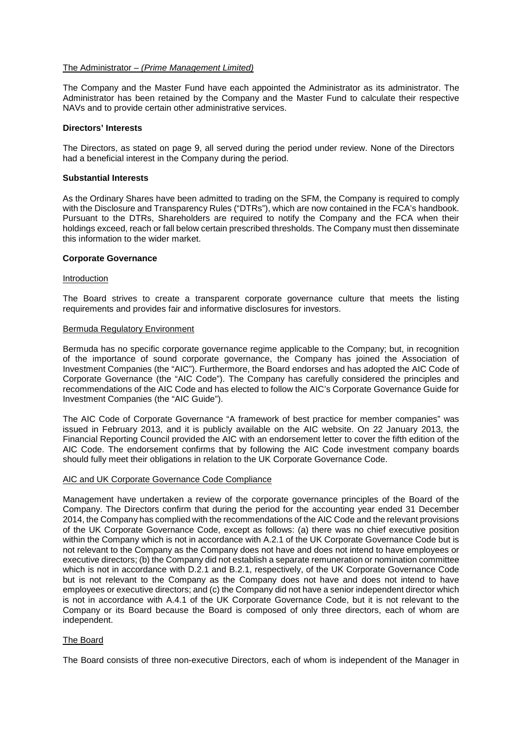#### The Administrator – *(Prime Management Limited)*

The Company and the Master Fund have each appointed the Administrator as its administrator. The Administrator has been retained by the Company and the Master Fund to calculate their respective NAVs and to provide certain other administrative services.

#### **Directors' Interests**

The Directors, as stated on page 9, all served during the period under review. None of the Directors had a beneficial interest in the Company during the period.

#### **Substantial Interests**

As the Ordinary Shares have been admitted to trading on the SFM, the Company is required to comply with the Disclosure and Transparency Rules ("DTRs"), which are now contained in the FCA's handbook. Pursuant to the DTRs, Shareholders are required to notify the Company and the FCA when their holdings exceed, reach or fall below certain prescribed thresholds. The Company must then disseminate this information to the wider market.

#### **Corporate Governance**

#### Introduction

The Board strives to create a transparent corporate governance culture that meets the listing requirements and provides fair and informative disclosures for investors.

#### Bermuda Regulatory Environment

Bermuda has no specific corporate governance regime applicable to the Company; but, in recognition of the importance of sound corporate governance, the Company has joined the Association of Investment Companies (the "AIC"). Furthermore, the Board endorses and has adopted the AIC Code of Corporate Governance (the "AIC Code"). The Company has carefully considered the principles and recommendations of the AIC Code and has elected to follow the AIC's Corporate Governance Guide for Investment Companies (the "AIC Guide").

The AIC Code of Corporate Governance "A framework of best practice for member companies" was issued in February 2013, and it is publicly available on the AIC website. On 22 January 2013, the Financial Reporting Council provided the AIC with an endorsement letter to cover the fifth edition of the AIC Code. The endorsement confirms that by following the AIC Code investment company boards should fully meet their obligations in relation to the UK Corporate Governance Code.

#### AIC and UK Corporate Governance Code Compliance

Management have undertaken a review of the corporate governance principles of the Board of the Company. The Directors confirm that during the period for the accounting year ended 31 December 2014, the Company has complied with the recommendations of the AIC Code and the relevant provisions of the UK Corporate Governance Code, except as follows: (a) there was no chief executive position within the Company which is not in accordance with A.2.1 of the UK Corporate Governance Code but is not relevant to the Company as the Company does not have and does not intend to have employees or executive directors; (b) the Company did not establish a separate remuneration or nomination committee which is not in accordance with D.2.1 and B.2.1, respectively, of the UK Corporate Governance Code but is not relevant to the Company as the Company does not have and does not intend to have employees or executive directors; and (c) the Company did not have a senior independent director which is not in accordance with A.4.1 of the UK Corporate Governance Code, but it is not relevant to the Company or its Board because the Board is composed of only three directors, each of whom are independent.

#### The Board

The Board consists of three non-executive Directors, each of whom is independent of the Manager in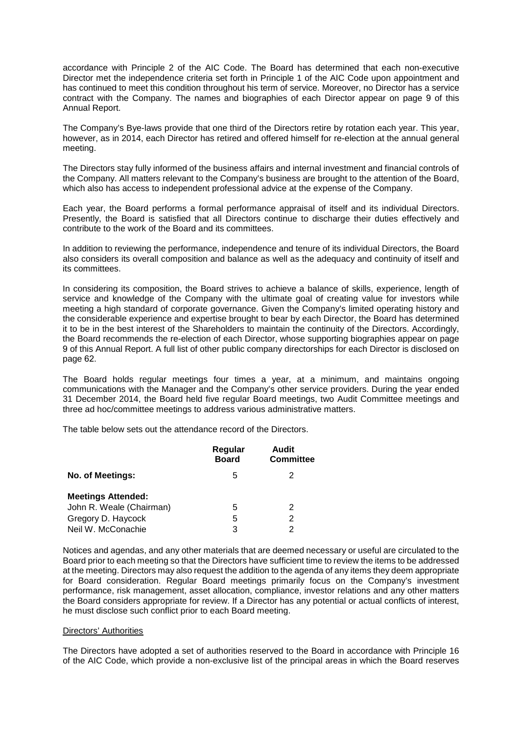accordance with Principle 2 of the AIC Code. The Board has determined that each non-executive Director met the independence criteria set forth in Principle 1 of the AIC Code upon appointment and has continued to meet this condition throughout his term of service. Moreover, no Director has a service contract with the Company. The names and biographies of each Director appear on page 9 of this Annual Report.

The Company's Bye-laws provide that one third of the Directors retire by rotation each year. This year, however, as in 2014, each Director has retired and offered himself for re-election at the annual general meeting.

The Directors stay fully informed of the business affairs and internal investment and financial controls of the Company. All matters relevant to the Company's business are brought to the attention of the Board, which also has access to independent professional advice at the expense of the Company.

Each year, the Board performs a formal performance appraisal of itself and its individual Directors. Presently, the Board is satisfied that all Directors continue to discharge their duties effectively and contribute to the work of the Board and its committees.

In addition to reviewing the performance, independence and tenure of its individual Directors, the Board also considers its overall composition and balance as well as the adequacy and continuity of itself and its committees.

In considering its composition, the Board strives to achieve a balance of skills, experience, length of service and knowledge of the Company with the ultimate goal of creating value for investors while meeting a high standard of corporate governance. Given the Company's limited operating history and the considerable experience and expertise brought to bear by each Director, the Board has determined it to be in the best interest of the Shareholders to maintain the continuity of the Directors. Accordingly, the Board recommends the re-election of each Director, whose supporting biographies appear on page 9 of this Annual Report. A full list of other public company directorships for each Director is disclosed on page 62.

The Board holds regular meetings four times a year, at a minimum, and maintains ongoing communications with the Manager and the Company's other service providers. During the year ended 31 December 2014, the Board held five regular Board meetings, two Audit Committee meetings and three ad hoc/committee meetings to address various administrative matters.

The table below sets out the attendance record of the Directors.

|                           | Regular<br><b>Board</b> | Audit<br><b>Committee</b> |
|---------------------------|-------------------------|---------------------------|
| No. of Meetings:          | 5                       | 2                         |
| <b>Meetings Attended:</b> |                         |                           |
| John R. Weale (Chairman)  | 5                       | 2                         |
| Gregory D. Haycock        | 5                       | 2                         |
| Neil W. McConachie        | 3                       | 2                         |

Notices and agendas, and any other materials that are deemed necessary or useful are circulated to the Board prior to each meeting so that the Directors have sufficient time to review the items to be addressed at the meeting. Directors may also request the addition to the agenda of any items they deem appropriate for Board consideration. Regular Board meetings primarily focus on the Company's investment performance, risk management, asset allocation, compliance, investor relations and any other matters the Board considers appropriate for review. If a Director has any potential or actual conflicts of interest, he must disclose such conflict prior to each Board meeting.

#### Directors' Authorities

The Directors have adopted a set of authorities reserved to the Board in accordance with Principle 16 of the AIC Code, which provide a non-exclusive list of the principal areas in which the Board reserves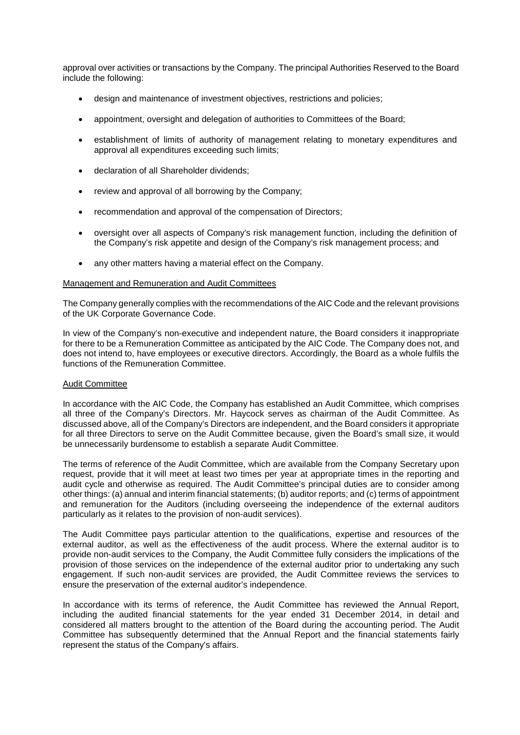approval over activities or transactions by the Company. The principal Authorities Reserved to the Board include the following:

- design and maintenance of investment objectives, restrictions and policies;
- appointment, oversight and delegation of authorities to Committees of the Board;
- establishment of limits of authority of management relating to monetary expenditures and approval all expenditures exceeding such limits;
- declaration of all Shareholder dividends;
- review and approval of all borrowing by the Company;
- recommendation and approval of the compensation of Directors;
- oversight over all aspects of Company's risk management function, including the definition of the Company's risk appetite and design of the Company's risk management process; and
- any other matters having a material effect on the Company.

#### Management and Remuneration and Audit Committees

The Company generally complies with the recommendations of the AIC Code and the relevant provisions of the UK Corporate Governance Code.

In view of the Company's non-executive and independent nature, the Board considers it inappropriate for there to be a Remuneration Committee as anticipated by the AIC Code. The Company does not, and does not intend to, have employees or executive directors. Accordingly, the Board as a whole fulfils the functions of the Remuneration Committee.

#### Audit Committee

In accordance with the AIC Code, the Company has established an Audit Committee, which comprises all three of the Company's Directors. Mr. Haycock serves as chairman of the Audit Committee. As discussed above, all of the Company's Directors are independent, and the Board considers it appropriate for all three Directors to serve on the Audit Committee because, given the Board's small size, it would be unnecessarily burdensome to establish a separate Audit Committee.

The terms of reference of the Audit Committee, which are available from the Company Secretary upon request, provide that it will meet at least two times per year at appropriate times in the reporting and audit cycle and otherwise as required. The Audit Committee's principal duties are to consider among other things: (a) annual and interim financial statements; (b) auditor reports; and (c) terms of appointment and remuneration for the Auditors (including overseeing the independence of the external auditors particularly as it relates to the provision of non-audit services).

The Audit Committee pays particular attention to the qualifications, expertise and resources of the external auditor, as well as the effectiveness of the audit process. Where the external auditor is to provide non-audit services to the Company, the Audit Committee fully considers the implications of the provision of those services on the independence of the external auditor prior to undertaking any such engagement. If such non-audit services are provided, the Audit Committee reviews the services to ensure the preservation of the external auditor's independence.

In accordance with its terms of reference, the Audit Committee has reviewed the Annual Report, including the audited financial statements for the year ended 31 December 2014, in detail and considered all matters brought to the attention of the Board during the accounting period. The Audit Committee has subsequently determined that the Annual Report and the financial statements fairly represent the status of the Company's affairs.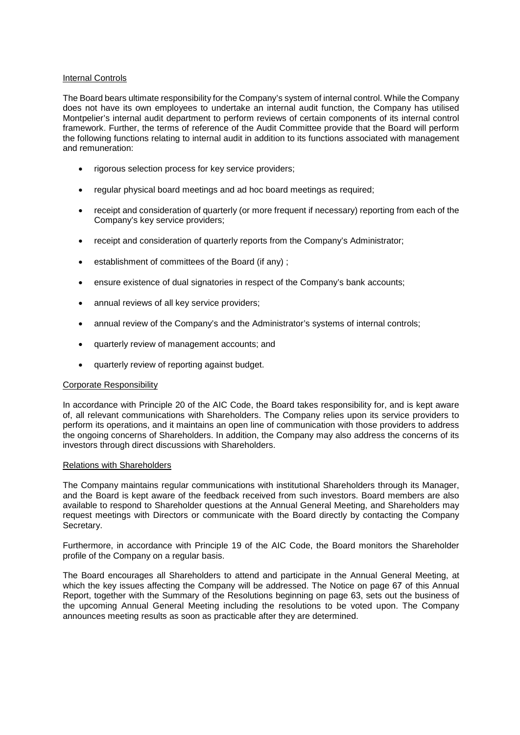#### Internal Controls

The Board bears ultimate responsibility for the Company's system of internal control. While the Company does not have its own employees to undertake an internal audit function, the Company has utilised Montpelier's internal audit department to perform reviews of certain components of its internal control framework. Further, the terms of reference of the Audit Committee provide that the Board will perform the following functions relating to internal audit in addition to its functions associated with management and remuneration:

- rigorous selection process for key service providers;
- regular physical board meetings and ad hoc board meetings as required;
- receipt and consideration of quarterly (or more frequent if necessary) reporting from each of the Company's key service providers;
- receipt and consideration of quarterly reports from the Company's Administrator;
- establishment of committees of the Board (if any) ;
- ensure existence of dual signatories in respect of the Company's bank accounts;
- annual reviews of all key service providers;
- annual review of the Company's and the Administrator's systems of internal controls;
- quarterly review of management accounts; and
- quarterly review of reporting against budget.

#### Corporate Responsibility

In accordance with Principle 20 of the AIC Code, the Board takes responsibility for, and is kept aware of, all relevant communications with Shareholders. The Company relies upon its service providers to perform its operations, and it maintains an open line of communication with those providers to address the ongoing concerns of Shareholders. In addition, the Company may also address the concerns of its investors through direct discussions with Shareholders.

#### Relations with Shareholders

The Company maintains regular communications with institutional Shareholders through its Manager, and the Board is kept aware of the feedback received from such investors. Board members are also available to respond to Shareholder questions at the Annual General Meeting, and Shareholders may request meetings with Directors or communicate with the Board directly by contacting the Company Secretary.

Furthermore, in accordance with Principle 19 of the AIC Code, the Board monitors the Shareholder profile of the Company on a regular basis.

The Board encourages all Shareholders to attend and participate in the Annual General Meeting, at which the key issues affecting the Company will be addressed. The Notice on page 67 of this Annual Report, together with the Summary of the Resolutions beginning on page 63, sets out the business of the upcoming Annual General Meeting including the resolutions to be voted upon. The Company announces meeting results as soon as practicable after they are determined.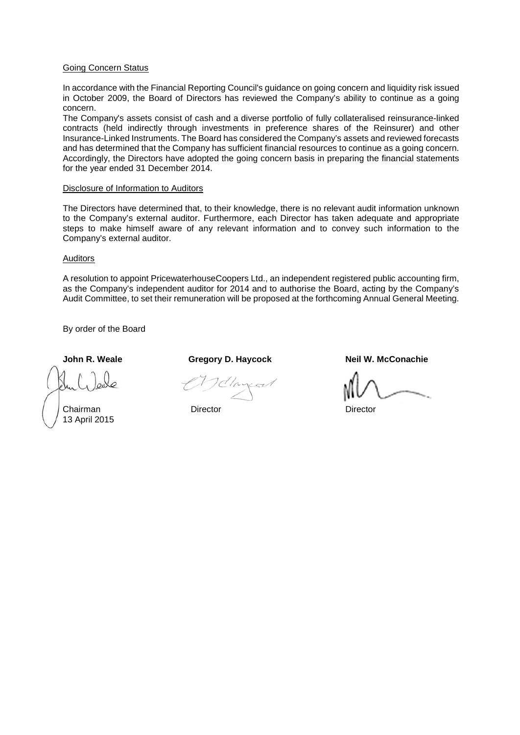#### Going Concern Status

In accordance with the Financial Reporting Council's guidance on going concern and liquidity risk issued in October 2009, the Board of Directors has reviewed the Company's ability to continue as a going concern.

The Company's assets consist of cash and a diverse portfolio of fully collateralised reinsurance-linked contracts (held indirectly through investments in preference shares of the Reinsurer) and other Insurance-Linked Instruments. The Board has considered the Company's assets and reviewed forecasts and has determined that the Company has sufficient financial resources to continue as a going concern. Accordingly, the Directors have adopted the going concern basis in preparing the financial statements for the year ended 31 December 2014.

#### Disclosure of Information to Auditors

The Directors have determined that, to their knowledge, there is no relevant audit information unknown to the Company's external auditor. Furthermore, each Director has taken adequate and appropriate steps to make himself aware of any relevant information and to convey such information to the Company's external auditor.

#### Auditors

A resolution to appoint PricewaterhouseCoopers Ltd., an independent registered public accounting firm, as the Company's independent auditor for 2014 and to authorise the Board, acting by the Company's Audit Committee, to set their remuneration will be proposed at the forthcoming Annual General Meeting.

By order of the Board

**John R. Weale** 

Chairman Director Director 13 April 2015

**Gregory D. Haycock Neil W. McConachie**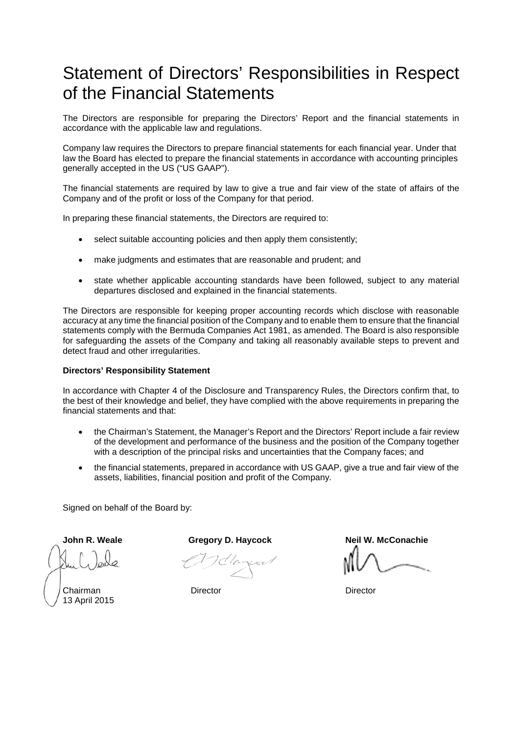## Statement of Directors' Responsibilities in Respect of the Financial Statements

The Directors are responsible for preparing the Directors' Report and the financial statements in accordance with the applicable law and regulations.

Company law requires the Directors to prepare financial statements for each financial year. Under that law the Board has elected to prepare the financial statements in accordance with accounting principles generally accepted in the US ("US GAAP").

The financial statements are required by law to give a true and fair view of the state of affairs of the Company and of the profit or loss of the Company for that period.

In preparing these financial statements, the Directors are required to:

- select suitable accounting policies and then apply them consistently;
- make judgments and estimates that are reasonable and prudent; and
- state whether applicable accounting standards have been followed, subject to any material departures disclosed and explained in the financial statements.

The Directors are responsible for keeping proper accounting records which disclose with reasonable accuracy at any time the financial position of the Company and to enable them to ensure that the financial statements comply with the Bermuda Companies Act 1981, as amended. The Board is also responsible for safeguarding the assets of the Company and taking all reasonably available steps to prevent and detect fraud and other irregularities.

#### **Directors' Responsibility Statement**

In accordance with Chapter 4 of the Disclosure and Transparency Rules, the Directors confirm that, to the best of their knowledge and belief, they have complied with the above requirements in preparing the financial statements and that:

- the Chairman's Statement, the Manager's Report and the Directors' Report include a fair review of the development and performance of the business and the position of the Company together with a description of the principal risks and uncertainties that the Company faces; and
- the financial statements, prepared in accordance with US GAAP, give a true and fair view of the assets, liabilities, financial position and profit of the Company.

Signed on behalf of the Board by:

Chairman Director Director 13 April 2015

Iclaycool

**John R. Weale Gregory D. Haycock Neil W. McConachie**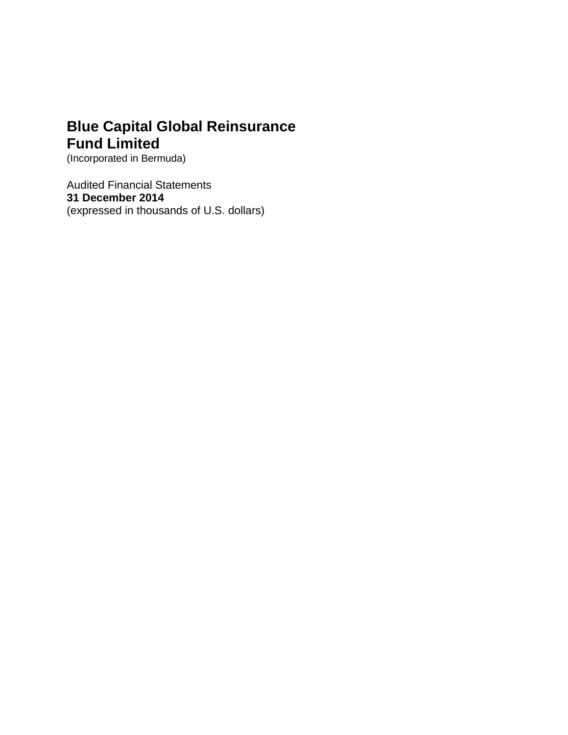(Incorporated in Bermuda)

Audited Financial Statements **31 December 2014** (expressed in thousands of U.S. dollars)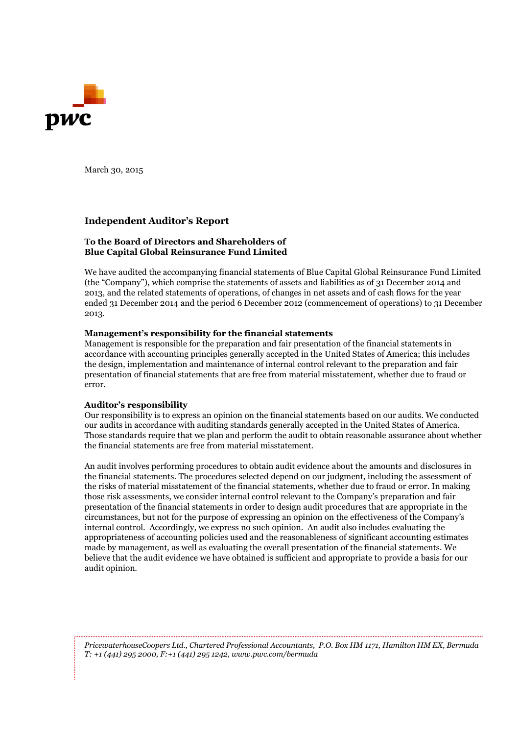

March 30, 2015

#### **Independent Auditor's Report**

#### **To the Board of Directors and Shareholders of Blue Capital Global Reinsurance Fund Limited**

We have audited the accompanying financial statements of Blue Capital Global Reinsurance Fund Limited (the "Company"), which comprise the statements of assets and liabilities as of 31 December 2014 and 2013, and the related statements of operations, of changes in net assets and of cash flows for the year ended 31 December 2014 and the period 6 December 2012 (commencement of operations) to 31 December 2013.

#### **Management's responsibility for the financial statements**

Management is responsible for the preparation and fair presentation of the financial statements in accordance with accounting principles generally accepted in the United States of America; this includes the design, implementation and maintenance of internal control relevant to the preparation and fair presentation of financial statements that are free from material misstatement, whether due to fraud or error.

#### **Auditor's responsibility**

Our responsibility is to express an opinion on the financial statements based on our audits. We conducted our audits in accordance with auditing standards generally accepted in the United States of America. Those standards require that we plan and perform the audit to obtain reasonable assurance about whether the financial statements are free from material misstatement.

An audit involves performing procedures to obtain audit evidence about the amounts and disclosures in the financial statements. The procedures selected depend on our judgment, including the assessment of the risks of material misstatement of the financial statements, whether due to fraud or error. In making those risk assessments, we consider internal control relevant to the Company's preparation and fair presentation of the financial statements in order to design audit procedures that are appropriate in the circumstances, but not for the purpose of expressing an opinion on the effectiveness of the Company's internal control. Accordingly, we express no such opinion. An audit also includes evaluating the appropriateness of accounting policies used and the reasonableness of significant accounting estimates made by management, as well as evaluating the overall presentation of the financial statements. We believe that the audit evidence we have obtained is sufficient and appropriate to provide a basis for our audit opinion.

*PricewaterhouseCoopers Ltd., Chartered Professional Accountants, P.O. Box HM 1171, Hamilton HM EX, Bermuda T: +1 (441) 295 2000, F:+1 (441) 295 1242, www.pwc.com/bermuda*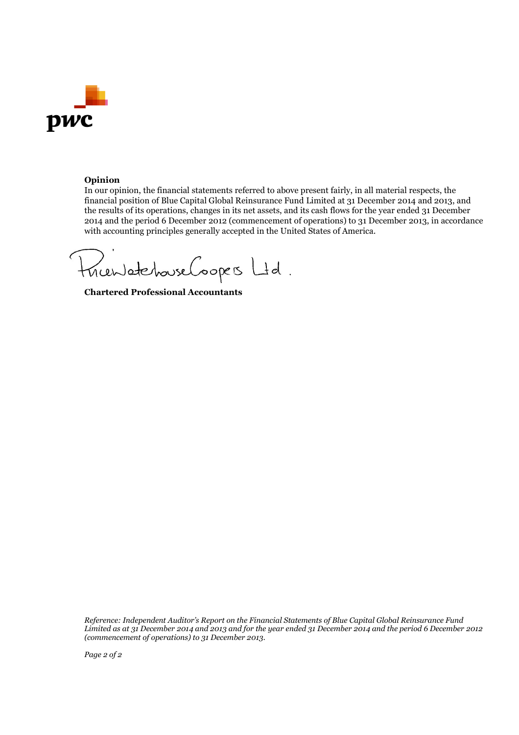

#### **Opinion**

In our opinion, the financial statements referred to above present fairly, in all material respects, the financial position of Blue Capital Global Reinsurance Fund Limited at 31 December 2014 and 2013, and the results of its operations, changes in its net assets, and its cash flows for the year ended 31 December 2014 and the period 6 December 2012 (commencement of operations) to 31 December 2013, in accordance with accounting principles generally accepted in the United States of America.

HienlatchouseCoopes Ltd.

**Chartered Professional Accountants**

*Reference: Independent Auditor's Report on the Financial Statements of Blue Capital Global Reinsurance Fund Limited as at 31 December 2014 and 2013 and for the year ended 31 December 2014 and the period 6 December 2012 (commencement of operations) to 31 December 2013.*

*Page 2 of 2*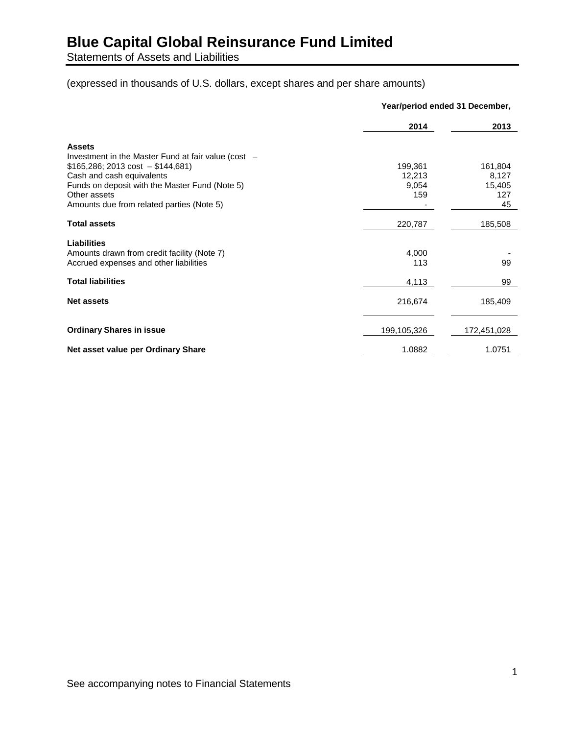Statements of Assets and Liabilities

(expressed in thousands of U.S. dollars, except shares and per share amounts)

|                                                     | Year/period ended 31 December, |             |  |
|-----------------------------------------------------|--------------------------------|-------------|--|
|                                                     | 2014                           | 2013        |  |
| <b>Assets</b>                                       |                                |             |  |
| Investment in the Master Fund at fair value (cost – |                                |             |  |
| $$165,286; 2013 \text{ cost } - $144,681)$          | 199,361                        | 161,804     |  |
| Cash and cash equivalents                           | 12,213                         | 8,127       |  |
| Funds on deposit with the Master Fund (Note 5)      | 9,054                          | 15,405      |  |
| Other assets                                        | 159                            | 127         |  |
| Amounts due from related parties (Note 5)           |                                | 45          |  |
| <b>Total assets</b>                                 | 220,787                        | 185,508     |  |
| Liabilities                                         |                                |             |  |
| Amounts drawn from credit facility (Note 7)         | 4,000                          |             |  |
| Accrued expenses and other liabilities              | 113                            | 99          |  |
| <b>Total liabilities</b>                            | 4,113                          | 99          |  |
| <b>Net assets</b>                                   | 216,674                        | 185,409     |  |
| <b>Ordinary Shares in issue</b>                     | 199,105,326                    | 172,451,028 |  |
|                                                     |                                |             |  |
| Net asset value per Ordinary Share                  | 1.0882                         | 1.0751      |  |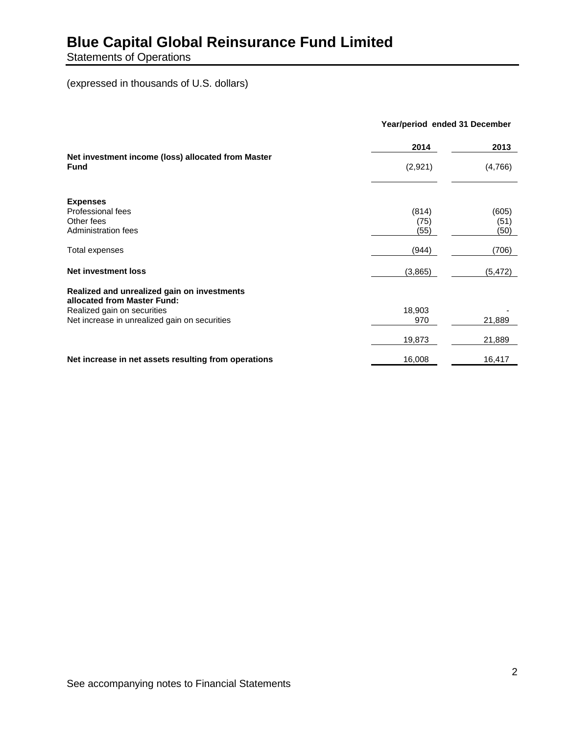Statements of Operations

### (expressed in thousands of U.S. dollars)

|                                                                              | Year/period ended 31 December |              |  |  |
|------------------------------------------------------------------------------|-------------------------------|--------------|--|--|
|                                                                              | 2014                          | 2013         |  |  |
| Net investment income (loss) allocated from Master<br><b>Fund</b>            | (2,921)                       | (4,766)      |  |  |
| <b>Expenses</b><br>Professional fees<br>Other fees                           | (814)                         | (605)        |  |  |
| Administration fees                                                          | (75)<br>(55)                  | (51)<br>(50) |  |  |
| Total expenses                                                               | (944)                         | (706)        |  |  |
| <b>Net investment loss</b>                                                   | (3,865)                       | (5, 472)     |  |  |
| Realized and unrealized gain on investments<br>allocated from Master Fund:   |                               |              |  |  |
| Realized gain on securities<br>Net increase in unrealized gain on securities | 18,903<br>970                 | 21,889       |  |  |
|                                                                              | 19,873                        | 21,889       |  |  |
| Net increase in net assets resulting from operations                         | 16,008                        | 16,417       |  |  |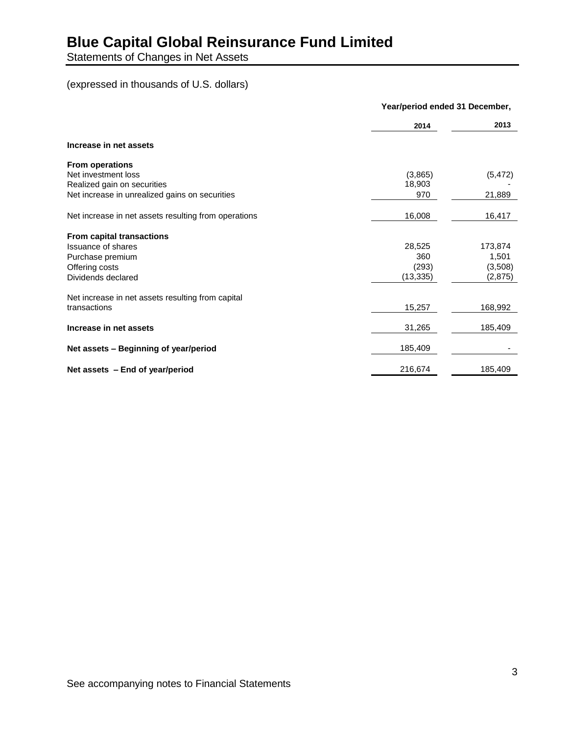Statements of Changes in Net Assets

### (expressed in thousands of U.S. dollars)

|                                                      | Year/period ended 31 December, |          |  |
|------------------------------------------------------|--------------------------------|----------|--|
|                                                      | 2014                           | 2013     |  |
| Increase in net assets                               |                                |          |  |
| <b>From operations</b>                               |                                |          |  |
| Net investment loss                                  | (3,865)                        | (5, 472) |  |
| Realized gain on securities                          | 18,903                         |          |  |
| Net increase in unrealized gains on securities       | 970                            | 21,889   |  |
| Net increase in net assets resulting from operations | 16,008                         | 16,417   |  |
| From capital transactions                            |                                |          |  |
| <b>Issuance of shares</b>                            | 28,525                         | 173,874  |  |
| Purchase premium                                     | 360                            | 1,501    |  |
| Offering costs                                       | (293)                          | (3,508)  |  |
| Dividends declared                                   | (13, 335)                      | (2, 875) |  |
| Net increase in net assets resulting from capital    |                                |          |  |
| transactions                                         | 15,257                         | 168,992  |  |
| Increase in net assets                               | 31,265                         | 185,409  |  |
| Net assets - Beginning of year/period                | 185,409                        |          |  |
| Net assets – End of year/period                      | 216,674                        | 185,409  |  |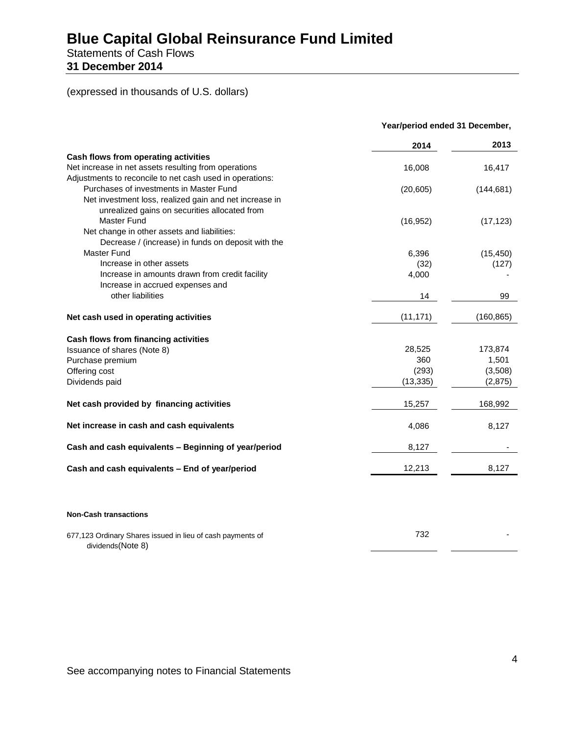Statements of Cash Flows **31 December 2014** 

(expressed in thousands of U.S. dollars)

|                                                            | Year/period ended 31 December, |            |
|------------------------------------------------------------|--------------------------------|------------|
|                                                            | 2014                           | 2013       |
| Cash flows from operating activities                       |                                |            |
| Net increase in net assets resulting from operations       | 16,008                         | 16,417     |
| Adjustments to reconcile to net cash used in operations:   |                                |            |
| Purchases of investments in Master Fund                    | (20, 605)                      | (144, 681) |
| Net investment loss, realized gain and net increase in     |                                |            |
| unrealized gains on securities allocated from              |                                |            |
| Master Fund                                                | (16, 952)                      | (17, 123)  |
| Net change in other assets and liabilities:                |                                |            |
| Decrease / (increase) in funds on deposit with the         |                                |            |
| <b>Master Fund</b>                                         | 6,396                          | (15, 450)  |
| Increase in other assets                                   | (32)                           | (127)      |
| Increase in amounts drawn from credit facility             | 4,000                          |            |
| Increase in accrued expenses and                           |                                |            |
| other liabilities                                          | 14                             | 99         |
| Net cash used in operating activities                      | (11, 171)                      | (160, 865) |
| Cash flows from financing activities                       |                                |            |
| Issuance of shares (Note 8)                                | 28,525                         | 173,874    |
| Purchase premium                                           | 360                            | 1,501      |
| Offering cost                                              | (293)                          | (3,508)    |
| Dividends paid                                             | (13, 335)                      | (2,875)    |
| Net cash provided by financing activities                  | 15,257                         | 168,992    |
| Net increase in cash and cash equivalents                  | 4,086                          | 8,127      |
| Cash and cash equivalents - Beginning of year/period       | 8,127                          |            |
| Cash and cash equivalents - End of year/period             | 12,213                         | 8,127      |
| <b>Non-Cash transactions</b>                               |                                |            |
| 677,123 Ordinary Shares issued in lieu of cash payments of | 732                            |            |

dividends(Note 8)

See accompanying notes to Financial Statements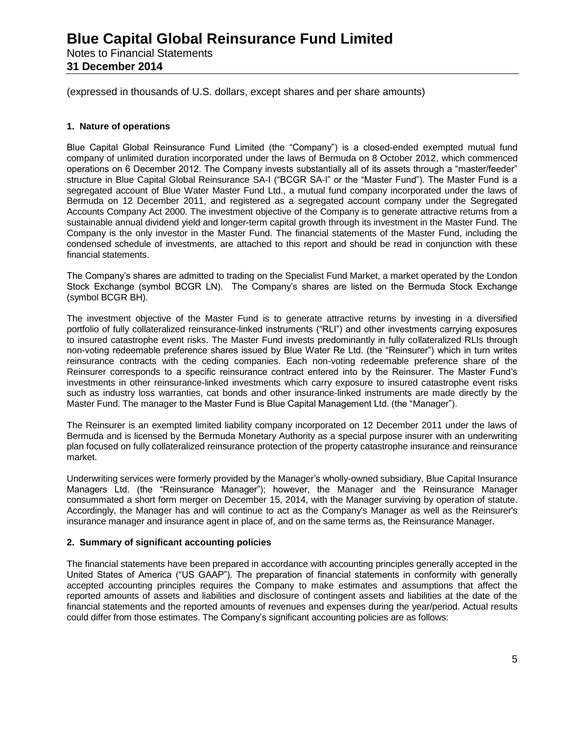Notes to Financial Statements **31 December 2014** 

(expressed in thousands of U.S. dollars, except shares and per share amounts)

#### **1. Nature of operations**

Blue Capital Global Reinsurance Fund Limited (the "Company") is a closed-ended exempted mutual fund company of unlimited duration incorporated under the laws of Bermuda on 8 October 2012, which commenced operations on 6 December 2012. The Company invests substantially all of its assets through a "master/feeder" structure in Blue Capital Global Reinsurance SA-I ("BCGR SA-I" or the "Master Fund"). The Master Fund is a segregated account of Blue Water Master Fund Ltd., a mutual fund company incorporated under the laws of Bermuda on 12 December 2011, and registered as a segregated account company under the Segregated Accounts Company Act 2000. The investment objective of the Company is to generate attractive returns from a sustainable annual dividend yield and longer-term capital growth through its investment in the Master Fund. The Company is the only investor in the Master Fund. The financial statements of the Master Fund, including the condensed schedule of investments, are attached to this report and should be read in conjunction with these financial statements.

The Company's shares are admitted to trading on the Specialist Fund Market, a market operated by the London Stock Exchange (symbol BCGR LN). The Company's shares are listed on the Bermuda Stock Exchange (symbol BCGR BH).

The investment objective of the Master Fund is to generate attractive returns by investing in a diversified portfolio of fully collateralized reinsurance-linked instruments ("RLI") and other investments carrying exposures to insured catastrophe event risks. The Master Fund invests predominantly in fully collateralized RLIs through non-voting redeemable preference shares issued by Blue Water Re Ltd. (the "Reinsurer") which in turn writes reinsurance contracts with the ceding companies. Each non-voting redeemable preference share of the Reinsurer corresponds to a specific reinsurance contract entered into by the Reinsurer. The Master Fund's investments in other reinsurance-linked investments which carry exposure to insured catastrophe event risks such as industry loss warranties, cat bonds and other insurance-linked instruments are made directly by the Master Fund. The manager to the Master Fund is Blue Capital Management Ltd. (the "Manager").

The Reinsurer is an exempted limited liability company incorporated on 12 December 2011 under the laws of Bermuda and is licensed by the Bermuda Monetary Authority as a special purpose insurer with an underwriting plan focused on fully collateralized reinsurance protection of the property catastrophe insurance and reinsurance market.

Underwriting services were formerly provided by the Manager's wholly-owned subsidiary, Blue Capital Insurance Managers Ltd. (the "Reinsurance Manager"); however, the Manager and the Reinsurance Manager consummated a short form merger on December 15, 2014, with the Manager surviving by operation of statute. Accordingly, the Manager has and will continue to act as the Company's Manager as well as the Reinsurer's insurance manager and insurance agent in place of, and on the same terms as, the Reinsurance Manager.

#### **2. Summary of significant accounting policies**

The financial statements have been prepared in accordance with accounting principles generally accepted in the United States of America ("US GAAP"). The preparation of financial statements in conformity with generally accepted accounting principles requires the Company to make estimates and assumptions that affect the reported amounts of assets and liabilities and disclosure of contingent assets and liabilities at the date of the financial statements and the reported amounts of revenues and expenses during the year/period. Actual results could differ from those estimates. The Company's significant accounting policies are as follows: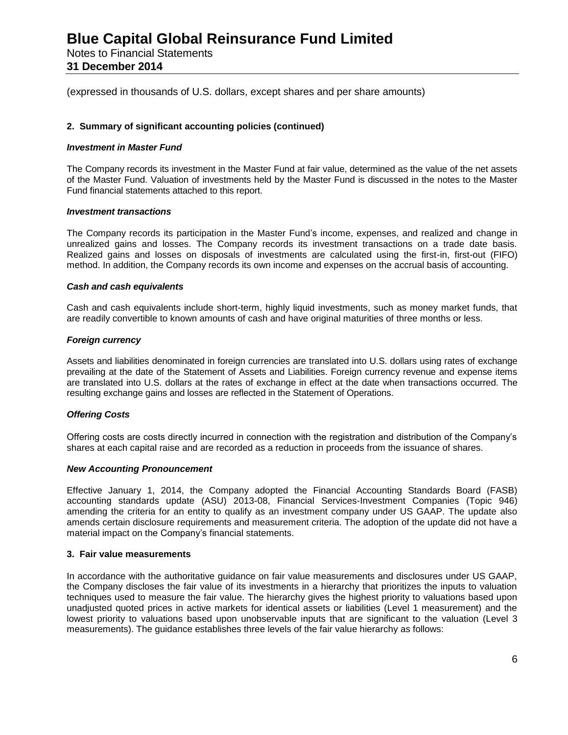Notes to Financial Statements **31 December 2014** 

(expressed in thousands of U.S. dollars, except shares and per share amounts)

#### **2. Summary of significant accounting policies (continued)**

#### *Investment in Master Fund*

The Company records its investment in the Master Fund at fair value, determined as the value of the net assets of the Master Fund. Valuation of investments held by the Master Fund is discussed in the notes to the Master Fund financial statements attached to this report.

#### *Investment transactions*

The Company records its participation in the Master Fund's income, expenses, and realized and change in unrealized gains and losses. The Company records its investment transactions on a trade date basis. Realized gains and losses on disposals of investments are calculated using the first-in, first-out (FIFO) method. In addition, the Company records its own income and expenses on the accrual basis of accounting.

#### *Cash and cash equivalents*

Cash and cash equivalents include short-term, highly liquid investments, such as money market funds, that are readily convertible to known amounts of cash and have original maturities of three months or less.

#### *Foreign currency*

Assets and liabilities denominated in foreign currencies are translated into U.S. dollars using rates of exchange prevailing at the date of the Statement of Assets and Liabilities. Foreign currency revenue and expense items are translated into U.S. dollars at the rates of exchange in effect at the date when transactions occurred. The resulting exchange gains and losses are reflected in the Statement of Operations.

#### *Offering Costs*

Offering costs are costs directly incurred in connection with the registration and distribution of the Company's shares at each capital raise and are recorded as a reduction in proceeds from the issuance of shares.

#### *New Accounting Pronouncement*

Effective January 1, 2014, the Company adopted the Financial Accounting Standards Board (FASB) accounting standards update (ASU) 2013-08, Financial Services-Investment Companies (Topic 946) amending the criteria for an entity to qualify as an investment company under US GAAP. The update also amends certain disclosure requirements and measurement criteria. The adoption of the update did not have a material impact on the Company's financial statements.

#### **3. Fair value measurements**

In accordance with the authoritative guidance on fair value measurements and disclosures under US GAAP, the Company discloses the fair value of its investments in a hierarchy that prioritizes the inputs to valuation techniques used to measure the fair value. The hierarchy gives the highest priority to valuations based upon unadjusted quoted prices in active markets for identical assets or liabilities (Level 1 measurement) and the lowest priority to valuations based upon unobservable inputs that are significant to the valuation (Level 3 measurements). The guidance establishes three levels of the fair value hierarchy as follows: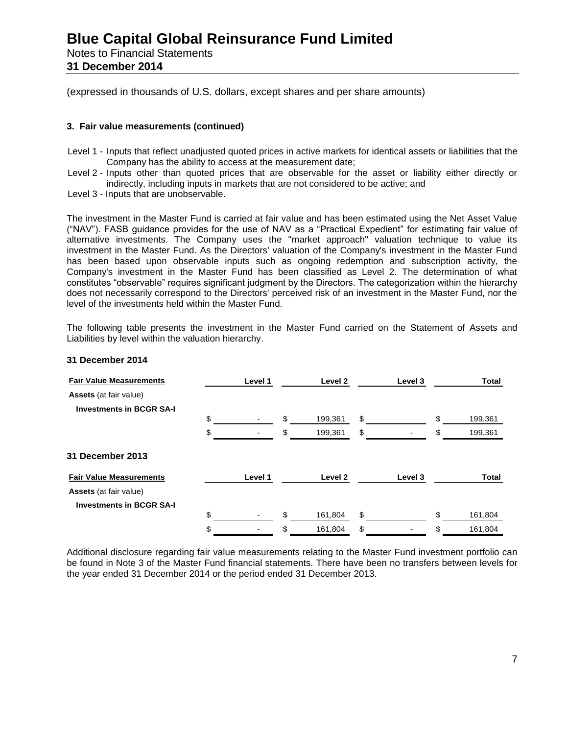Notes to Financial Statements **31 December 2014** 

(expressed in thousands of U.S. dollars, except shares and per share amounts)

#### **3. Fair value measurements (continued)**

- Level 1 Inputs that reflect unadjusted quoted prices in active markets for identical assets or liabilities that the Company has the ability to access at the measurement date;
- Level 2 Inputs other than quoted prices that are observable for the asset or liability either directly or indirectly, including inputs in markets that are not considered to be active; and
- Level 3 Inputs that are unobservable.

The investment in the Master Fund is carried at fair value and has been estimated using the Net Asset Value ("NAV"). FASB guidance provides for the use of NAV as a "Practical Expedient" for estimating fair value of alternative investments. The Company uses the "market approach" valuation technique to value its investment in the Master Fund. As the Directors' valuation of the Company's investment in the Master Fund has been based upon observable inputs such as ongoing redemption and subscription activity, the Company's investment in the Master Fund has been classified as Level 2. The determination of what constitutes "observable" requires significant judgment by the Directors. The categorization within the hierarchy does not necessarily correspond to the Directors' perceived risk of an investment in the Master Fund, nor the level of the investments held within the Master Fund.

The following table presents the investment in the Master Fund carried on the Statement of Assets and Liabilities by level within the valuation hierarchy.

| <b>Fair Value Measurements</b>  | Level 1 |    | Level 2 | Level 3 |     | Total        |
|---------------------------------|---------|----|---------|---------|-----|--------------|
| <b>Assets</b> (at fair value)   |         |    |         |         |     |              |
| <b>Investments in BCGR SA-I</b> |         |    |         |         |     |              |
|                                 | \$      | \$ | 199,361 | \$      | \$. | 199,361      |
|                                 | \$      |    | 199,361 | \$      |     | 199,361      |
| <b>31 December 2013</b>         |         |    |         |         |     |              |
| <b>Fair Value Measurements</b>  | Level 1 |    | Level 2 | Level 3 |     | <b>Total</b> |
| <b>Assets</b> (at fair value)   |         |    |         |         |     |              |
| <b>Investments in BCGR SA-I</b> |         |    |         |         |     |              |
|                                 | \$      | \$ | 161,804 | \$      | \$  | 161,804      |
|                                 | \$      | S  | 161,804 | \$      |     | 161,804      |

#### **31 December 2014**

Additional disclosure regarding fair value measurements relating to the Master Fund investment portfolio can be found in Note 3 of the Master Fund financial statements. There have been no transfers between levels for the year ended 31 December 2014 or the period ended 31 December 2013.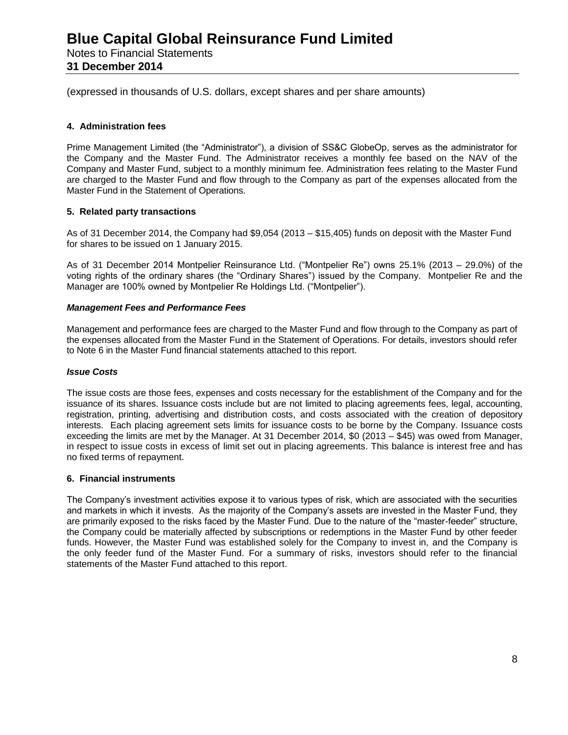Notes to Financial Statements **31 December 2014** 

(expressed in thousands of U.S. dollars, except shares and per share amounts)

#### **4. Administration fees**

Prime Management Limited (the "Administrator"), a division of SS&C GlobeOp, serves as the administrator for the Company and the Master Fund. The Administrator receives a monthly fee based on the NAV of the Company and Master Fund, subject to a monthly minimum fee. Administration fees relating to the Master Fund are charged to the Master Fund and flow through to the Company as part of the expenses allocated from the Master Fund in the Statement of Operations.

#### **5. Related party transactions**

As of 31 December 2014, the Company had \$9,054 (2013 – \$15,405) funds on deposit with the Master Fund for shares to be issued on 1 January 2015.

As of 31 December 2014 Montpelier Reinsurance Ltd. ("Montpelier Re") owns 25.1% (2013 – 29.0%) of the voting rights of the ordinary shares (the "Ordinary Shares") issued by the Company. Montpelier Re and the Manager are 100% owned by Montpelier Re Holdings Ltd. ("Montpelier").

#### *Management Fees and Performance Fees*

Management and performance fees are charged to the Master Fund and flow through to the Company as part of the expenses allocated from the Master Fund in the Statement of Operations. For details, investors should refer to Note 6 in the Master Fund financial statements attached to this report.

#### *Issue Costs*

The issue costs are those fees, expenses and costs necessary for the establishment of the Company and for the issuance of its shares. Issuance costs include but are not limited to placing agreements fees, legal, accounting, registration, printing, advertising and distribution costs, and costs associated with the creation of depository interests. Each placing agreement sets limits for issuance costs to be borne by the Company. Issuance costs exceeding the limits are met by the Manager. At 31 December 2014, \$0 (2013 – \$45) was owed from Manager, in respect to issue costs in excess of limit set out in placing agreements. This balance is interest free and has no fixed terms of repayment.

#### **6. Financial instruments**

The Company's investment activities expose it to various types of risk, which are associated with the securities and markets in which it invests. As the majority of the Company's assets are invested in the Master Fund, they are primarily exposed to the risks faced by the Master Fund. Due to the nature of the "master-feeder" structure, the Company could be materially affected by subscriptions or redemptions in the Master Fund by other feeder funds. However, the Master Fund was established solely for the Company to invest in, and the Company is the only feeder fund of the Master Fund. For a summary of risks, investors should refer to the financial statements of the Master Fund attached to this report.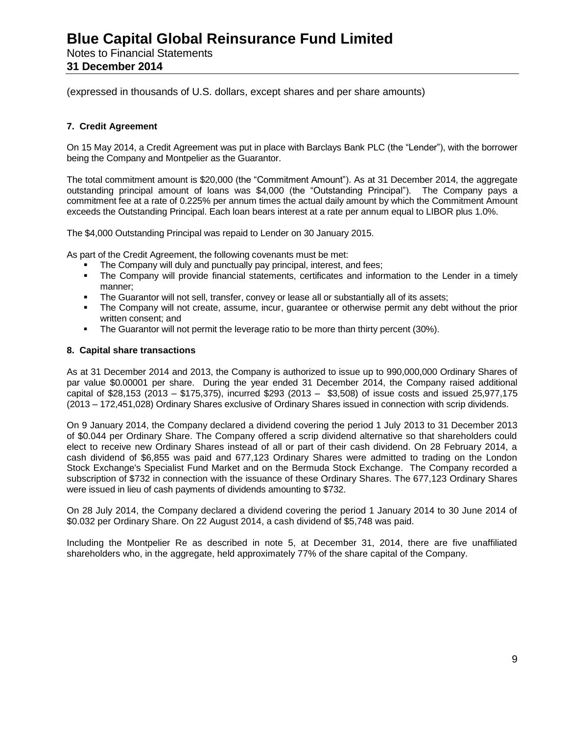Notes to Financial Statements

### **31 December 2014**

(expressed in thousands of U.S. dollars, except shares and per share amounts)

#### **7. Credit Agreement**

On 15 May 2014, a Credit Agreement was put in place with Barclays Bank PLC (the "Lender"), with the borrower being the Company and Montpelier as the Guarantor.

The total commitment amount is \$20,000 (the "Commitment Amount"). As at 31 December 2014, the aggregate outstanding principal amount of loans was \$4,000 (the "Outstanding Principal"). The Company pays a commitment fee at a rate of 0.225% per annum times the actual daily amount by which the Commitment Amount exceeds the Outstanding Principal. Each loan bears interest at a rate per annum equal to LIBOR plus 1.0%.

The \$4,000 Outstanding Principal was repaid to Lender on 30 January 2015.

As part of the Credit Agreement, the following covenants must be met:

- The Company will duly and punctually pay principal, interest, and fees;<br>The Company will provide financial statements, certificates and inform
- The Company will provide financial statements, certificates and information to the Lender in a timely manner;
- The Guarantor will not sell, transfer, convey or lease all or substantially all of its assets;<br>The Company will not create, assume, incur, quarantee or otherwise permit any debt
- The Company will not create, assume, incur, guarantee or otherwise permit any debt without the prior written consent; and
- The Guarantor will not permit the leverage ratio to be more than thirty percent (30%).

#### **8. Capital share transactions**

As at 31 December 2014 and 2013, the Company is authorized to issue up to 990,000,000 Ordinary Shares of par value \$0.00001 per share. During the year ended 31 December 2014, the Company raised additional capital of \$28,153 (2013 – \$175,375), incurred \$293 (2013 – \$3,508) of issue costs and issued 25,977,175 (2013 – 172,451,028) Ordinary Shares exclusive of Ordinary Shares issued in connection with scrip dividends.

On 9 January 2014, the Company declared a dividend covering the period 1 July 2013 to 31 December 2013 of \$0.044 per Ordinary Share. The Company offered a scrip dividend alternative so that shareholders could elect to receive new Ordinary Shares instead of all or part of their cash dividend. On 28 February 2014, a cash dividend of \$6,855 was paid and 677,123 Ordinary Shares were admitted to trading on the London Stock Exchange's Specialist Fund Market and on the Bermuda Stock Exchange. The Company recorded a subscription of \$732 in connection with the issuance of these Ordinary Shares. The 677,123 Ordinary Shares were issued in lieu of cash payments of dividends amounting to \$732.

On 28 July 2014, the Company declared a dividend covering the period 1 January 2014 to 30 June 2014 of \$0.032 per Ordinary Share. On 22 August 2014, a cash dividend of \$5,748 was paid.

Including the Montpelier Re as described in note 5, at December 31, 2014, there are five unaffiliated shareholders who, in the aggregate, held approximately 77% of the share capital of the Company.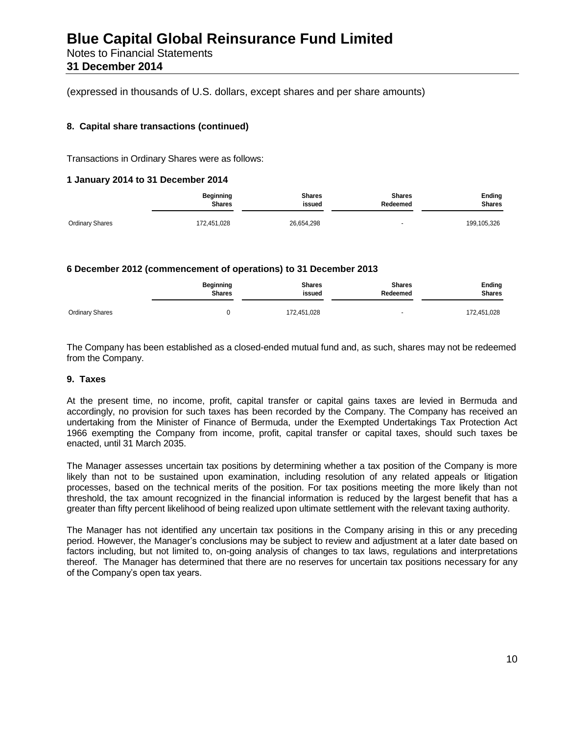#### Notes to Financial Statements **31 December 2014**

(expressed in thousands of U.S. dollars, except shares and per share amounts)

#### **8. Capital share transactions (continued)**

Transactions in Ordinary Shares were as follows:

#### **1 January 2014 to 31 December 2014**

|                        | <b>Beginning</b> | <b>Shares</b> | Shares                   | <b>Ending</b> |
|------------------------|------------------|---------------|--------------------------|---------------|
|                        | <b>Shares</b>    | issued        | Redeemed                 | Shares        |
| <b>Ordinary Shares</b> | 72,451,028       | 26,654,298    | $\overline{\phantom{a}}$ | 199,105,326   |

#### **6 December 2012 (commencement of operations) to 31 December 2013**

|                 | <b>Beginning</b> | <b>Shares</b> | <b>Shares</b> | <b>Ending</b> |
|-----------------|------------------|---------------|---------------|---------------|
|                 | <b>Shares</b>    | issued        | Redeemed      | <b>Shares</b> |
| Ordinary Shares |                  | 172,451,028   |               | 172,451,028   |

The Company has been established as a closed-ended mutual fund and, as such, shares may not be redeemed from the Company.

#### **9. Taxes**

At the present time, no income, profit, capital transfer or capital gains taxes are levied in Bermuda and accordingly, no provision for such taxes has been recorded by the Company. The Company has received an undertaking from the Minister of Finance of Bermuda, under the Exempted Undertakings Tax Protection Act 1966 exempting the Company from income, profit, capital transfer or capital taxes, should such taxes be enacted, until 31 March 2035.

The Manager assesses uncertain tax positions by determining whether a tax position of the Company is more likely than not to be sustained upon examination, including resolution of any related appeals or litigation processes, based on the technical merits of the position. For tax positions meeting the more likely than not threshold, the tax amount recognized in the financial information is reduced by the largest benefit that has a greater than fifty percent likelihood of being realized upon ultimate settlement with the relevant taxing authority.

The Manager has not identified any uncertain tax positions in the Company arising in this or any preceding period. However, the Manager's conclusions may be subject to review and adjustment at a later date based on factors including, but not limited to, on-going analysis of changes to tax laws, regulations and interpretations thereof. The Manager has determined that there are no reserves for uncertain tax positions necessary for any of the Company's open tax years.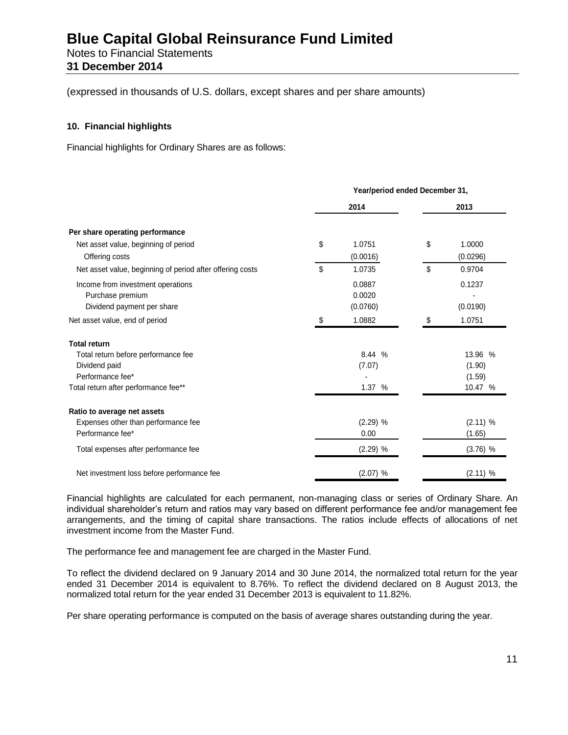#### Notes to Financial Statements **31 December 2014**

(expressed in thousands of U.S. dollars, except shares and per share amounts)

#### **10. Financial highlights**

Financial highlights for Ordinary Shares are as follows:

|                                                           | Year/period ended December 31, |            |    |            |
|-----------------------------------------------------------|--------------------------------|------------|----|------------|
|                                                           |                                | 2014       |    | 2013       |
| Per share operating performance                           |                                |            |    |            |
| Net asset value, beginning of period                      | \$                             | 1.0751     | \$ | 1.0000     |
| Offering costs                                            |                                | (0.0016)   |    | (0.0296)   |
| Net asset value, beginning of period after offering costs | \$                             | 1.0735     | \$ | 0.9704     |
| Income from investment operations                         |                                | 0.0887     |    | 0.1237     |
| Purchase premium                                          |                                | 0.0020     |    |            |
| Dividend payment per share                                |                                | (0.0760)   |    | (0.0190)   |
| Net asset value, end of period                            | \$                             | 1.0882     | \$ | 1.0751     |
| <b>Total return</b>                                       |                                |            |    |            |
| Total return before performance fee                       |                                | 8.44 %     |    | 13.96 %    |
| Dividend paid                                             |                                | (7.07)     |    | (1.90)     |
| Performance fee*                                          |                                |            |    | (1.59)     |
| Total return after performance fee**                      |                                | 1.37 %     |    | 10.47 %    |
| Ratio to average net assets                               |                                |            |    |            |
| Expenses other than performance fee                       |                                | $(2.29)$ % |    | (2.11) %   |
| Performance fee*                                          |                                | 0.00       |    | (1.65)     |
| Total expenses after performance fee                      |                                | $(2.29)$ % |    | $(3.76)$ % |
| Net investment loss before performance fee                |                                | $(2.07)$ % |    | (2.11) %   |

Financial highlights are calculated for each permanent, non-managing class or series of Ordinary Share. An individual shareholder's return and ratios may vary based on different performance fee and/or management fee arrangements, and the timing of capital share transactions. The ratios include effects of allocations of net investment income from the Master Fund.

The performance fee and management fee are charged in the Master Fund.

To reflect the dividend declared on 9 January 2014 and 30 June 2014, the normalized total return for the year ended 31 December 2014 is equivalent to 8.76%. To reflect the dividend declared on 8 August 2013, the normalized total return for the year ended 31 December 2013 is equivalent to 11.82%.

Per share operating performance is computed on the basis of average shares outstanding during the year.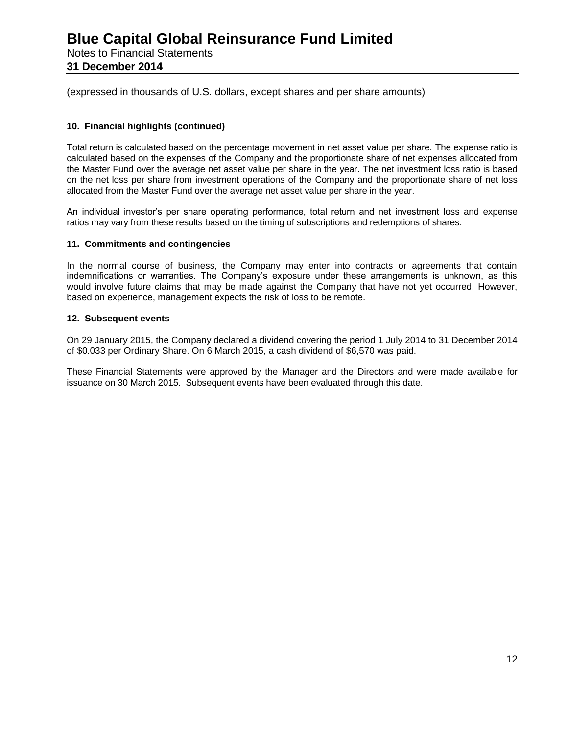Notes to Financial Statements **31 December 2014** 

(expressed in thousands of U.S. dollars, except shares and per share amounts)

#### **10. Financial highlights (continued)**

Total return is calculated based on the percentage movement in net asset value per share. The expense ratio is calculated based on the expenses of the Company and the proportionate share of net expenses allocated from the Master Fund over the average net asset value per share in the year. The net investment loss ratio is based on the net loss per share from investment operations of the Company and the proportionate share of net loss allocated from the Master Fund over the average net asset value per share in the year.

An individual investor's per share operating performance, total return and net investment loss and expense ratios may vary from these results based on the timing of subscriptions and redemptions of shares.

#### **11. Commitments and contingencies**

In the normal course of business, the Company may enter into contracts or agreements that contain indemnifications or warranties. The Company's exposure under these arrangements is unknown, as this would involve future claims that may be made against the Company that have not yet occurred. However, based on experience, management expects the risk of loss to be remote.

#### **12. Subsequent events**

On 29 January 2015, the Company declared a dividend covering the period 1 July 2014 to 31 December 2014 of \$0.033 per Ordinary Share. On 6 March 2015, a cash dividend of \$6,570 was paid.

These Financial Statements were approved by the Manager and the Directors and were made available for issuance on 30 March 2015. Subsequent events have been evaluated through this date.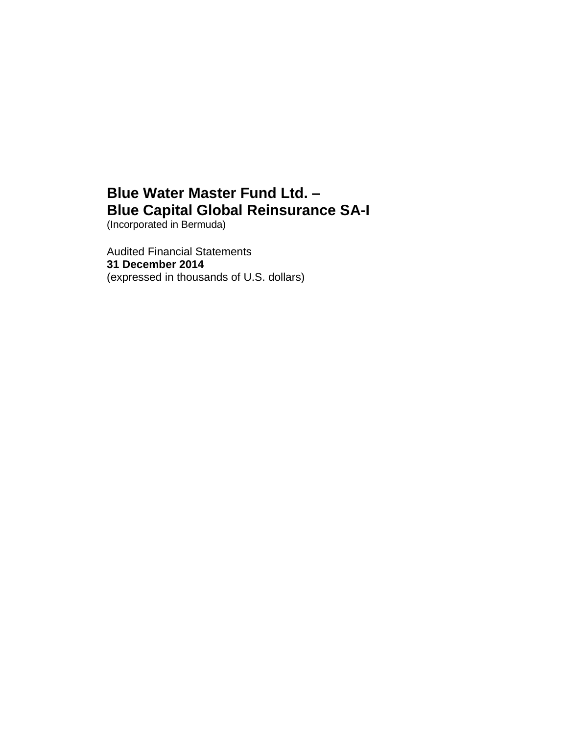### **Blue Water Master Fund Ltd. – Blue Capital Global Reinsurance SA-I**

(Incorporated in Bermuda)

Audited Financial Statements **31 December 2014**  (expressed in thousands of U.S. dollars)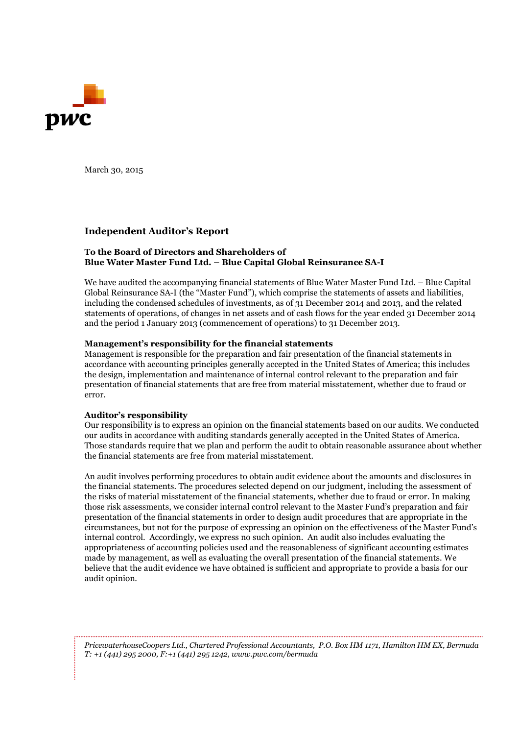

March 30, 2015

#### **Independent Auditor's Report**

#### **To the Board of Directors and Shareholders of Blue Water Master Fund Ltd. – Blue Capital Global Reinsurance SA-I**

We have audited the accompanying financial statements of Blue Water Master Fund Ltd. – Blue Capital Global Reinsurance SA-I (the "Master Fund"), which comprise the statements of assets and liabilities, including the condensed schedules of investments, as of 31 December 2014 and 2013, and the related statements of operations, of changes in net assets and of cash flows for the year ended 31 December 2014 and the period 1 January 2013 (commencement of operations) to 31 December 2013.

#### **Management's responsibility for the financial statements**

Management is responsible for the preparation and fair presentation of the financial statements in accordance with accounting principles generally accepted in the United States of America; this includes the design, implementation and maintenance of internal control relevant to the preparation and fair presentation of financial statements that are free from material misstatement, whether due to fraud or error.

#### **Auditor's responsibility**

Our responsibility is to express an opinion on the financial statements based on our audits. We conducted our audits in accordance with auditing standards generally accepted in the United States of America. Those standards require that we plan and perform the audit to obtain reasonable assurance about whether the financial statements are free from material misstatement.

An audit involves performing procedures to obtain audit evidence about the amounts and disclosures in the financial statements. The procedures selected depend on our judgment, including the assessment of the risks of material misstatement of the financial statements, whether due to fraud or error. In making those risk assessments, we consider internal control relevant to the Master Fund's preparation and fair presentation of the financial statements in order to design audit procedures that are appropriate in the circumstances, but not for the purpose of expressing an opinion on the effectiveness of the Master Fund's internal control. Accordingly, we express no such opinion. An audit also includes evaluating the appropriateness of accounting policies used and the reasonableness of significant accounting estimates made by management, as well as evaluating the overall presentation of the financial statements. We believe that the audit evidence we have obtained is sufficient and appropriate to provide a basis for our audit opinion.

*PricewaterhouseCoopers Ltd., Chartered Professional Accountants, P.O. Box HM 1171, Hamilton HM EX, Bermuda T: +1 (441) 295 2000, F:+1 (441) 295 1242, www.pwc.com/bermuda*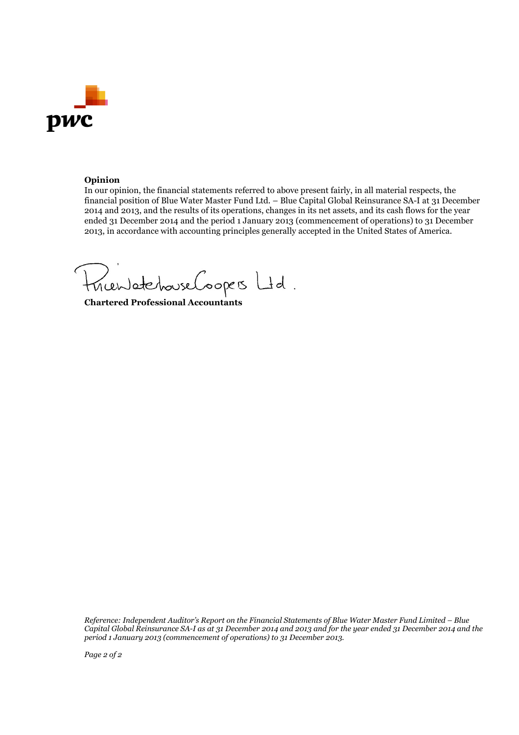

#### **Opinion**

In our opinion, the financial statements referred to above present fairly, in all material respects, the financial position of Blue Water Master Fund Ltd. – Blue Capital Global Reinsurance SA-I at 31 December 2014 and 2013, and the results of its operations, changes in its net assets, and its cash flows for the year ended 31 December 2014 and the period 1 January 2013 (commencement of operations) to 31 December 2013, in accordance with accounting principles generally accepted in the United States of America.

HiendetchouseCoopes Ltd.

**Chartered Professional Accountants**

*Reference: Independent Auditor's Report on the Financial Statements of Blue Water Master Fund Limited – Blue Capital Global Reinsurance SA-I as at 31 December 2014 and 2013 and for the year ended 31 December 2014 and the period 1 January 2013 (commencement of operations) to 31 December 2013.*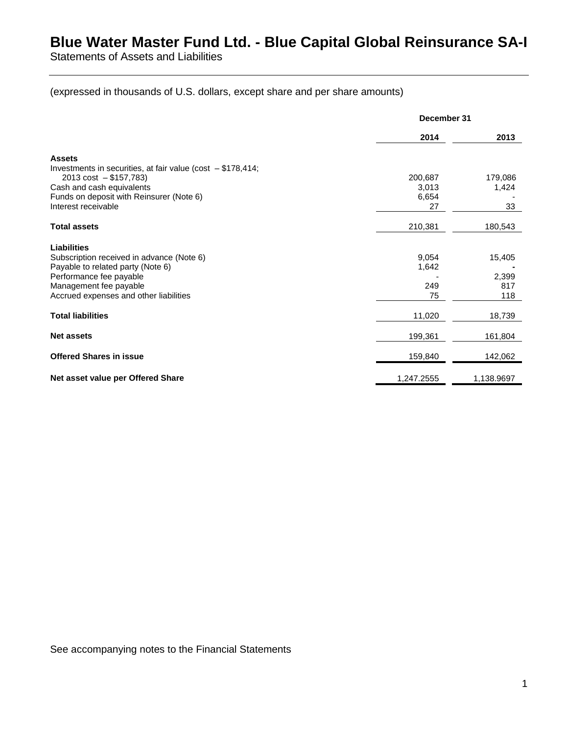Statements of Assets and Liabilities

# (expressed in thousands of U.S. dollars, except share and per share amounts)

|                                                               | December 31 |            |  |
|---------------------------------------------------------------|-------------|------------|--|
|                                                               | 2014        | 2013       |  |
| <b>Assets</b>                                                 |             |            |  |
| Investments in securities, at fair value (cost $-$ \$178,414; |             |            |  |
| $2013 \text{ cost } - $157,783$                               | 200,687     | 179,086    |  |
| Cash and cash equivalents                                     | 3,013       | 1,424      |  |
| Funds on deposit with Reinsurer (Note 6)                      | 6,654       |            |  |
| Interest receivable                                           | 27          | 33         |  |
| <b>Total assets</b>                                           | 210,381     | 180,543    |  |
| <b>Liabilities</b>                                            |             |            |  |
| Subscription received in advance (Note 6)                     | 9,054       | 15,405     |  |
| Payable to related party (Note 6)                             | 1,642       |            |  |
| Performance fee payable                                       |             | 2,399      |  |
| Management fee payable                                        | 249         | 817        |  |
| Accrued expenses and other liabilities                        | 75          | 118        |  |
| <b>Total liabilities</b>                                      | 11,020      | 18,739     |  |
| <b>Net assets</b>                                             | 199,361     | 161,804    |  |
| <b>Offered Shares in issue</b>                                | 159,840     | 142,062    |  |
| Net asset value per Offered Share                             | 1,247.2555  | 1,138.9697 |  |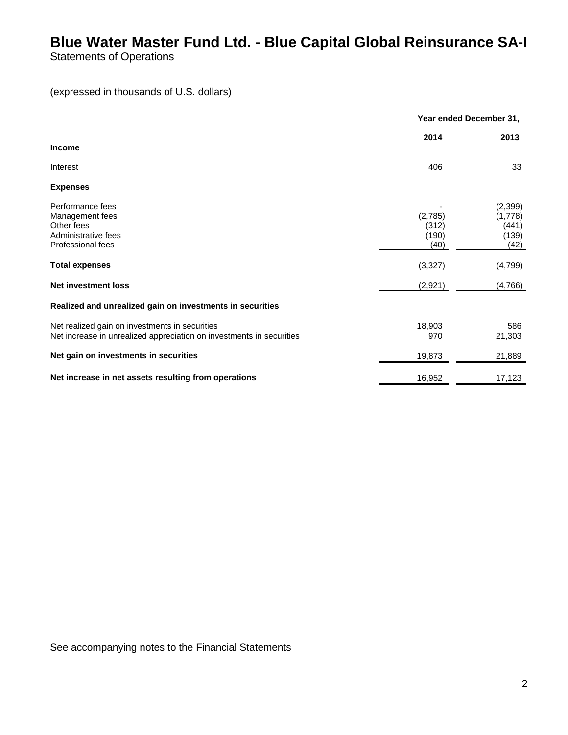Statements of Operations

# (expressed in thousands of U.S. dollars)

|                                                                                                                        |                                   | Year ended December 31,                       |
|------------------------------------------------------------------------------------------------------------------------|-----------------------------------|-----------------------------------------------|
| <b>Income</b>                                                                                                          | 2014                              | 2013                                          |
| Interest                                                                                                               | 406                               | 33                                            |
| <b>Expenses</b>                                                                                                        |                                   |                                               |
| Performance fees<br>Management fees<br>Other fees<br>Administrative fees<br>Professional fees                          | (2,785)<br>(312)<br>(190)<br>(40) | (2, 399)<br>(1,778)<br>(441)<br>(139)<br>(42) |
| <b>Total expenses</b>                                                                                                  | (3, 327)                          | (4, 799)                                      |
| <b>Net investment loss</b>                                                                                             | (2,921)                           | (4, 766)                                      |
| Realized and unrealized gain on investments in securities                                                              |                                   |                                               |
| Net realized gain on investments in securities<br>Net increase in unrealized appreciation on investments in securities | 18,903<br>970                     | 586<br>21,303                                 |
| Net gain on investments in securities                                                                                  | 19,873                            | 21,889                                        |
| Net increase in net assets resulting from operations                                                                   | 16,952                            | 17,123                                        |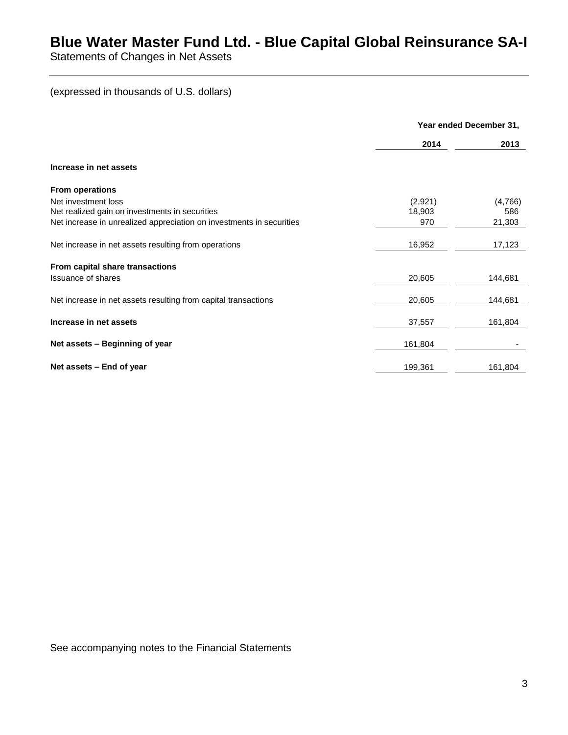Statements of Changes in Net Assets

(expressed in thousands of U.S. dollars)

|                                                                      | Year ended December 31, |         |  |
|----------------------------------------------------------------------|-------------------------|---------|--|
|                                                                      | 2014                    | 2013    |  |
| Increase in net assets                                               |                         |         |  |
| <b>From operations</b>                                               |                         |         |  |
| Net investment loss                                                  | (2,921)                 | (4,766) |  |
| Net realized gain on investments in securities                       | 18,903                  | 586     |  |
| Net increase in unrealized appreciation on investments in securities | 970                     | 21,303  |  |
| Net increase in net assets resulting from operations                 | 16,952                  | 17,123  |  |
| From capital share transactions                                      |                         |         |  |
| <b>Issuance of shares</b>                                            | 20,605                  | 144,681 |  |
| Net increase in net assets resulting from capital transactions       | 20,605                  | 144,681 |  |
| Increase in net assets                                               | 37,557                  | 161,804 |  |
| Net assets - Beginning of year                                       | 161,804                 |         |  |
| Net assets - End of year                                             | 199,361                 | 161,804 |  |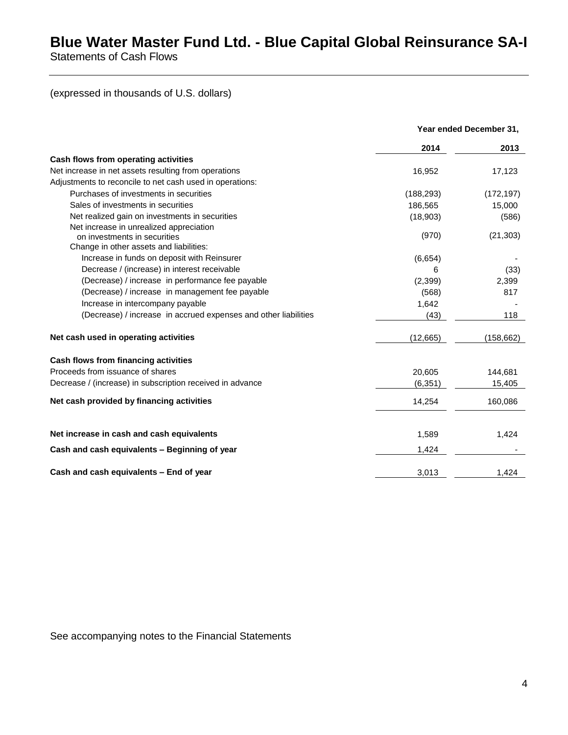Statements of Cash Flows

(expressed in thousands of U.S. dollars)

|                                                                 | Year ended December 31, |            |  |
|-----------------------------------------------------------------|-------------------------|------------|--|
|                                                                 | 2014                    | 2013       |  |
| Cash flows from operating activities                            |                         |            |  |
| Net increase in net assets resulting from operations            | 16,952                  | 17,123     |  |
| Adjustments to reconcile to net cash used in operations:        |                         |            |  |
| Purchases of investments in securities                          | (188, 293)              | (172, 197) |  |
| Sales of investments in securities                              | 186,565                 | 15,000     |  |
| Net realized gain on investments in securities                  | (18,903)                | (586)      |  |
| Net increase in unrealized appreciation                         |                         |            |  |
| on investments in securities                                    | (970)                   | (21, 303)  |  |
| Change in other assets and liabilities:                         |                         |            |  |
| Increase in funds on deposit with Reinsurer                     | (6,654)                 |            |  |
| Decrease / (increase) in interest receivable                    | 6                       | (33)       |  |
| (Decrease) / increase in performance fee payable                | (2, 399)                | 2,399      |  |
| (Decrease) / increase in management fee payable                 | (568)                   | 817        |  |
| Increase in intercompany payable                                | 1,642                   |            |  |
| (Decrease) / increase in accrued expenses and other liabilities | (43)                    | 118        |  |
| Net cash used in operating activities                           | (12,665)                | (158, 662) |  |
| Cash flows from financing activities                            |                         |            |  |
| Proceeds from issuance of shares                                | 20,605                  | 144,681    |  |
| Decrease / (increase) in subscription received in advance       | (6, 351)                | 15,405     |  |
| Net cash provided by financing activities                       | 14,254                  | 160,086    |  |
| Net increase in cash and cash equivalents                       | 1,589                   | 1,424      |  |
| Cash and cash equivalents - Beginning of year                   | 1,424                   |            |  |
| Cash and cash equivalents - End of year                         | 3,013                   | 1,424      |  |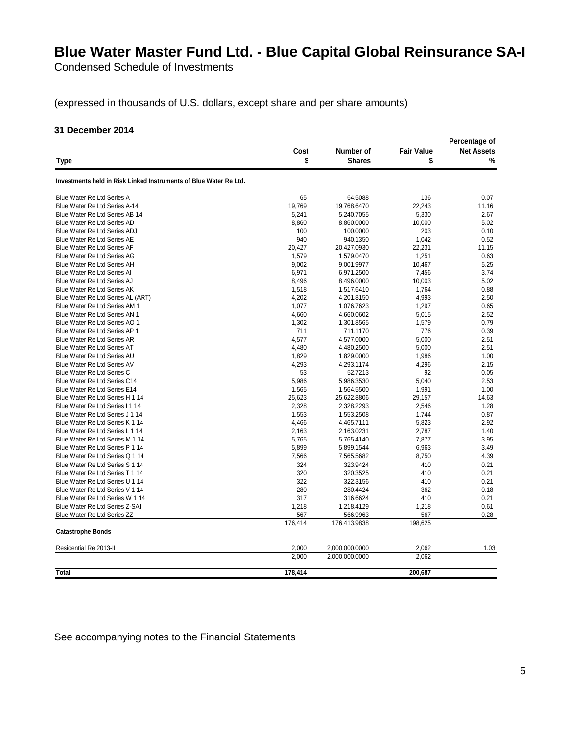Condensed Schedule of Investments

(expressed in thousands of U.S. dollars, except share and per share amounts)

# **31 December 2014**

|                                                                   |                 |                            |                         | Percentage of          |
|-------------------------------------------------------------------|-----------------|----------------------------|-------------------------|------------------------|
| <b>Type</b>                                                       | Cost<br>\$      | Number of<br><b>Shares</b> | <b>Fair Value</b><br>\$ | <b>Net Assets</b><br>% |
| Investments held in Risk Linked Instruments of Blue Water Re Ltd. |                 |                            |                         |                        |
| Blue Water Re Ltd Series A                                        | 65              | 64.5088                    | 136                     | 0.07                   |
| Blue Water Re Ltd Series A-14                                     | 19,769          | 19,768.6470                | 22,243                  | 11.16                  |
| Blue Water Re Ltd Series AB 14                                    | 5,241           | 5,240.7055                 | 5,330                   | 2.67                   |
| Blue Water Re Ltd Series AD                                       | 8,860           | 8,860,0000                 | 10,000                  | 5.02                   |
| Blue Water Re Ltd Series ADJ                                      | 100             | 100.0000                   | 203                     | 0.10                   |
| Blue Water Re Ltd Series AE                                       | 940             | 940.1350                   | 1,042                   | 0.52                   |
| Blue Water Re Ltd Series AF                                       | 20,427          | 20,427.0930                | 22,231                  | 11.15                  |
| Blue Water Re Ltd Series AG                                       | 1,579           | 1,579.0470                 | 1,251                   | 0.63                   |
| Blue Water Re Ltd Series AH                                       | 9,002           | 9,001.9977                 | 10,467                  | 5.25                   |
| Blue Water Re Ltd Series AI                                       | 6,971           | 6,971.2500                 | 7,456                   | 3.74                   |
| Blue Water Re Ltd Series AJ                                       | 8,496           | 8,496.0000                 | 10,003                  | 5.02                   |
| Blue Water Re Ltd Series AK                                       | 1,518           | 1,517.6410                 | 1,764                   | 0.88                   |
| Blue Water Re Ltd Series AL (ART)                                 | 4,202           | 4,201.8150                 | 4,993                   | 2.50                   |
| Blue Water Re Ltd Series AM 1                                     | 1,077           | 1,076.7623                 | 1,297                   | 0.65                   |
| Blue Water Re Ltd Series AN 1                                     | 4,660           | 4,660.0602                 | 5,015                   | 2.52                   |
| Blue Water Re Ltd Series AO 1                                     | 1,302           | 1,301.8565                 | 1,579                   | 0.79                   |
| Blue Water Re Ltd Series AP 1                                     | 711             | 711.1170                   | 776                     | 0.39                   |
| Blue Water Re Ltd Series AR                                       | 4,577           | 4,577.0000                 | 5,000                   | 2.51                   |
| Blue Water Re Ltd Series AT                                       | 4,480           | 4,480.2500                 | 5,000                   | 2.51                   |
| Blue Water Re Ltd Series AU                                       | 1,829           | 1,829.0000                 | 1,986                   | 1.00                   |
| Blue Water Re Ltd Series AV                                       | 4,293           | 4,293.1174                 | 4,296                   | 2.15                   |
| Blue Water Re Ltd Series C                                        | 53              | 52.7213                    | 92                      | 0.05                   |
| Blue Water Re Ltd Series C14                                      | 5,986           | 5.986.3530                 | 5,040                   | 2.53                   |
| Blue Water Re Ltd Series E14                                      |                 |                            | 1,991                   | 1.00                   |
| Blue Water Re Ltd Series H 1 14                                   | 1,565<br>25,623 | 1,564.5500<br>25,622.8806  | 29,157                  | 14.63                  |
| Blue Water Re Ltd Series I 1 14                                   | 2,328           | 2,328.2293                 | 2,546                   | 1.28                   |
| Blue Water Re Ltd Series J 1 14                                   | 1,553           |                            | 1.744                   | 0.87                   |
| Blue Water Re Ltd Series K 1 14                                   | 4,466           | 1,553.2508<br>4,465.7111   | 5,823                   | 2.92                   |
| Blue Water Re Ltd Series L 1 14                                   | 2,163           | 2.163.0231                 | 2,787                   | 1.40                   |
| Blue Water Re Ltd Series M 1 14                                   | 5,765           | 5,765.4140                 | 7,877                   | 3.95                   |
| Blue Water Re Ltd Series P 1 14                                   | 5,899           | 5,899.1544                 | 6,963                   | 3.49                   |
| Blue Water Re Ltd Series Q 1 14                                   |                 |                            |                         |                        |
| Blue Water Re Ltd Series S 1 14                                   | 7,566<br>324    | 7,565.5682<br>323.9424     | 8,750<br>410            | 4.39<br>0.21           |
| Blue Water Re Ltd Series T 1 14                                   | 320             | 320.3525                   |                         | 0.21                   |
| Blue Water Re Ltd Series U 1 14                                   | 322             |                            | 410                     |                        |
| Blue Water Re Ltd Series V 1 14                                   | 280             | 322.3156                   | 410<br>362              | 0.21                   |
|                                                                   |                 | 280.4424                   |                         | 0.18                   |
| Blue Water Re Ltd Series W 1 14                                   | 317             | 316.6624                   | 410                     | 0.21                   |
| Blue Water Re Ltd Series Z-SAI                                    | 1,218           | 1,218.4129                 | 1,218                   | 0.61                   |
| Blue Water Re Ltd Series ZZ                                       | 567             | 566.9963                   | 567                     | 0.28                   |
| <b>Catastrophe Bonds</b>                                          | 176,414         | 176,413.9838               | 198,625                 |                        |
| Residential Re 2013-II                                            | 2,000           | 2,000,000.0000             | 2,062                   | 1.03                   |
|                                                                   | 2,000           | 2,000,000.0000             | 2,062                   |                        |
| Total                                                             | 178,414         |                            | 200.687                 |                        |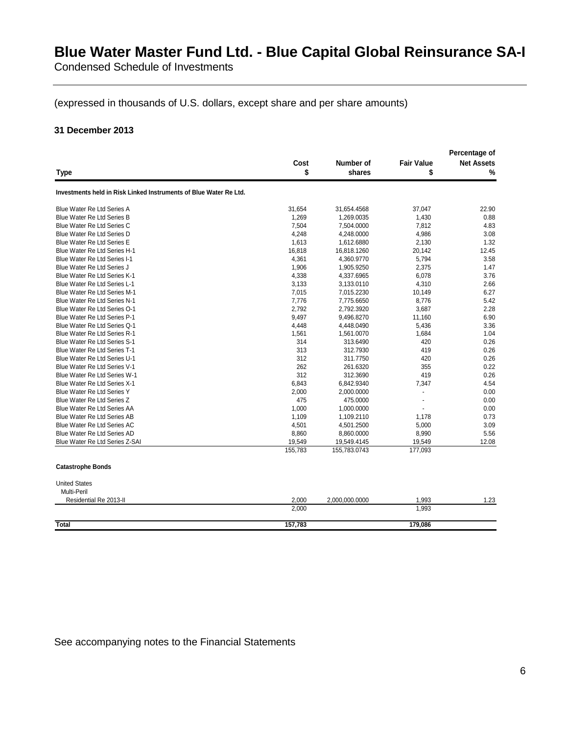Condensed Schedule of Investments

(expressed in thousands of U.S. dollars, except share and per share amounts)

# **31 December 2013**

|                                                                   | Cost              | Number of                   | <b>Fair Value</b> | Percentage of<br><b>Net Assets</b> |
|-------------------------------------------------------------------|-------------------|-----------------------------|-------------------|------------------------------------|
| <b>Type</b>                                                       | \$                | shares                      | \$                | %                                  |
| Investments held in Risk Linked Instruments of Blue Water Re Ltd. |                   |                             |                   |                                    |
| Blue Water Re Ltd Series A                                        | 31,654            | 31,654.4568                 | 37.047            | 22.90                              |
| Blue Water Re Ltd Series B                                        | 1,269             | 1,269.0035                  | 1,430             | 0.88                               |
| Blue Water Re Ltd Series C                                        | 7,504             | 7,504.0000                  | 7,812             | 4.83                               |
| Blue Water Re Ltd Series D                                        | 4,248             | 4,248.0000                  | 4,986             | 3.08                               |
| Blue Water Re Ltd Series E                                        | 1,613             | 1,612.6880                  | 2,130             | 1.32                               |
| Blue Water Re Ltd Series H-1                                      | 16,818            | 16,818.1260                 | 20,142            | 12.45                              |
| Blue Water Re Ltd Series I-1                                      | 4,361             | 4,360.9770                  | 5,794             | 3.58                               |
| Blue Water Re Ltd Series J                                        | 1,906             | 1,905.9250                  | 2,375             | 1.47                               |
| Blue Water Re Ltd Series K-1                                      | 4,338             | 4,337.6965                  | 6,078             | 3.76                               |
| Blue Water Re Ltd Series L-1                                      | 3,133             | 3,133.0110                  | 4,310             | 2.66                               |
| Blue Water Re Ltd Series M-1                                      | 7,015             | 7,015.2230                  | 10,149            | 6.27                               |
| Blue Water Re Ltd Series N-1                                      | 7,776             | 7,775.6650                  | 8,776             | 5.42                               |
| Blue Water Re Ltd Series O-1                                      | 2,792             | 2,792.3920                  | 3,687             | 2.28                               |
| Blue Water Re Ltd Series P-1                                      | 9,497             | 9,496.8270                  | 11,160            | 6.90                               |
| Blue Water Re Ltd Series Q-1                                      | 4,448             | 4,448.0490                  | 5,436             | 3.36                               |
| Blue Water Re Ltd Series R-1                                      | 1,561             | 1,561.0070                  | 1,684             | 1.04                               |
| Blue Water Re Ltd Series S-1                                      | 314               | 313.6490                    | 420               | 0.26                               |
| Blue Water Re Ltd Series T-1                                      | 313               | 312.7930                    | 419               | 0.26                               |
| Blue Water Re Ltd Series U-1                                      | 312               | 311.7750                    | 420               | 0.26                               |
| Blue Water Re Ltd Series V-1                                      | 262               | 261.6320                    | 355               | 0.22                               |
| Blue Water Re Ltd Series W-1                                      | 312               | 312.3690                    | 419               | 0.26                               |
| Blue Water Re Ltd Series X-1                                      | 6,843             | 6,842.9340                  | 7,347             | 4.54                               |
| Blue Water Re Ltd Series Y                                        | 2,000             | 2,000.0000                  |                   | 0.00                               |
| Blue Water Re Ltd Series Z                                        | 475               | 475.0000                    |                   | 0.00                               |
| Blue Water Re Ltd Series AA                                       | 1,000             | 1,000.0000                  |                   | 0.00                               |
| Blue Water Re Ltd Series AB                                       | 1,109             | 1,109.2110                  | 1,178             | 0.73                               |
| Blue Water Re Ltd Series AC                                       | 4,501             | 4,501.2500                  | 5,000             | 3.09                               |
| Blue Water Re Ltd Series AD                                       | 8,860             | 8,860.0000                  | 8,990             | 5.56                               |
| Blue Water Re Ltd Series Z-SAI                                    | 19,549<br>155,783 | 19,549.4145<br>155,783.0743 | 19,549<br>177,093 | 12.08                              |
|                                                                   |                   |                             |                   |                                    |
| <b>Catastrophe Bonds</b>                                          |                   |                             |                   |                                    |
| <b>United States</b><br>Multi-Peril                               |                   |                             |                   |                                    |
| Residential Re 2013-II                                            | 2,000             | 2,000,000.0000              | 1,993             | 1.23                               |
|                                                                   | 2,000             |                             | 1,993             |                                    |
| Total                                                             | 157,783           |                             | 179,086           |                                    |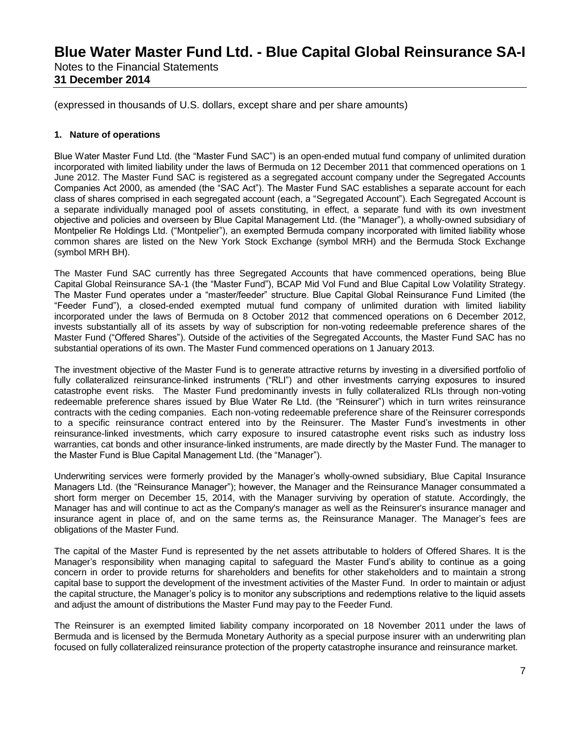Notes to the Financial Statements **31 December 2014** 

(expressed in thousands of U.S. dollars, except share and per share amounts)

# **1. Nature of operations**

Blue Water Master Fund Ltd. (the "Master Fund SAC") is an open-ended mutual fund company of unlimited duration incorporated with limited liability under the laws of Bermuda on 12 December 2011 that commenced operations on 1 June 2012. The Master Fund SAC is registered as a segregated account company under the Segregated Accounts Companies Act 2000, as amended (the "SAC Act"). The Master Fund SAC establishes a separate account for each class of shares comprised in each segregated account (each, a "Segregated Account"). Each Segregated Account is a separate individually managed pool of assets constituting, in effect, a separate fund with its own investment objective and policies and overseen by Blue Capital Management Ltd. (the "Manager"), a wholly-owned subsidiary of Montpelier Re Holdings Ltd. ("Montpelier"), an exempted Bermuda company incorporated with limited liability whose common shares are listed on the New York Stock Exchange (symbol MRH) and the Bermuda Stock Exchange (symbol MRH BH).

The Master Fund SAC currently has three Segregated Accounts that have commenced operations, being Blue Capital Global Reinsurance SA-1 (the "Master Fund"), BCAP Mid Vol Fund and Blue Capital Low Volatility Strategy. The Master Fund operates under a "master/feeder" structure. Blue Capital Global Reinsurance Fund Limited (the "Feeder Fund"), a closed-ended exempted mutual fund company of unlimited duration with limited liability incorporated under the laws of Bermuda on 8 October 2012 that commenced operations on 6 December 2012, invests substantially all of its assets by way of subscription for non-voting redeemable preference shares of the Master Fund ("Offered Shares"). Outside of the activities of the Segregated Accounts, the Master Fund SAC has no substantial operations of its own. The Master Fund commenced operations on 1 January 2013.

The investment objective of the Master Fund is to generate attractive returns by investing in a diversified portfolio of fully collateralized reinsurance-linked instruments ("RLI") and other investments carrying exposures to insured catastrophe event risks. The Master Fund predominantly invests in fully collateralized RLIs through non-voting redeemable preference shares issued by Blue Water Re Ltd. (the "Reinsurer") which in turn writes reinsurance contracts with the ceding companies. Each non-voting redeemable preference share of the Reinsurer corresponds to a specific reinsurance contract entered into by the Reinsurer. The Master Fund's investments in other reinsurance-linked investments, which carry exposure to insured catastrophe event risks such as industry loss warranties, cat bonds and other insurance-linked instruments, are made directly by the Master Fund. The manager to the Master Fund is Blue Capital Management Ltd. (the "Manager").

Underwriting services were formerly provided by the Manager's wholly-owned subsidiary, Blue Capital Insurance Managers Ltd. (the "Reinsurance Manager"); however, the Manager and the Reinsurance Manager consummated a short form merger on December 15, 2014, with the Manager surviving by operation of statute. Accordingly, the Manager has and will continue to act as the Company's manager as well as the Reinsurer's insurance manager and insurance agent in place of, and on the same terms as, the Reinsurance Manager. The Manager's fees are obligations of the Master Fund.

The capital of the Master Fund is represented by the net assets attributable to holders of Offered Shares. It is the Manager's responsibility when managing capital to safeguard the Master Fund's ability to continue as a going concern in order to provide returns for shareholders and benefits for other stakeholders and to maintain a strong capital base to support the development of the investment activities of the Master Fund. In order to maintain or adjust the capital structure, the Manager's policy is to monitor any subscriptions and redemptions relative to the liquid assets and adjust the amount of distributions the Master Fund may pay to the Feeder Fund.

The Reinsurer is an exempted limited liability company incorporated on 18 November 2011 under the laws of Bermuda and is licensed by the Bermuda Monetary Authority as a special purpose insurer with an underwriting plan focused on fully collateralized reinsurance protection of the property catastrophe insurance and reinsurance market.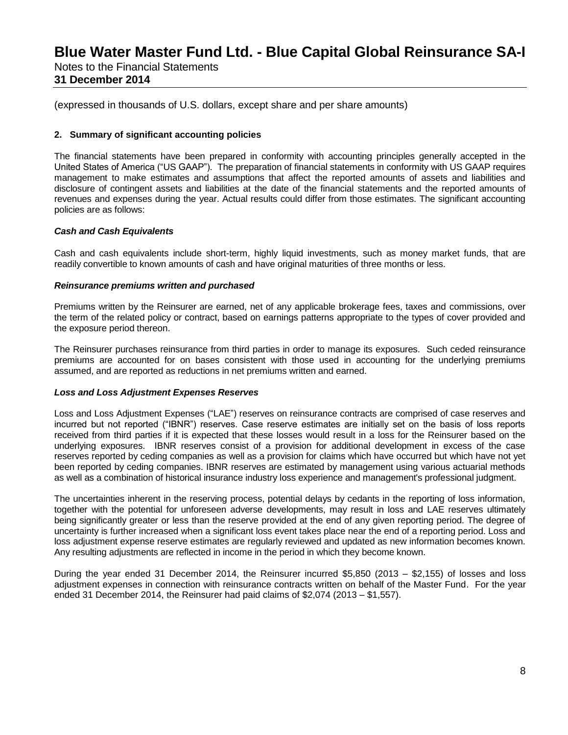Notes to the Financial Statements **31 December 2014** 

(expressed in thousands of U.S. dollars, except share and per share amounts)

# **2. Summary of significant accounting policies**

The financial statements have been prepared in conformity with accounting principles generally accepted in the United States of America ("US GAAP"). The preparation of financial statements in conformity with US GAAP requires management to make estimates and assumptions that affect the reported amounts of assets and liabilities and disclosure of contingent assets and liabilities at the date of the financial statements and the reported amounts of revenues and expenses during the year. Actual results could differ from those estimates. The significant accounting policies are as follows:

# *Cash and Cash Equivalents*

Cash and cash equivalents include short-term, highly liquid investments, such as money market funds, that are readily convertible to known amounts of cash and have original maturities of three months or less.

## *Reinsurance premiums written and purchased*

Premiums written by the Reinsurer are earned, net of any applicable brokerage fees, taxes and commissions, over the term of the related policy or contract, based on earnings patterns appropriate to the types of cover provided and the exposure period thereon.

The Reinsurer purchases reinsurance from third parties in order to manage its exposures. Such ceded reinsurance premiums are accounted for on bases consistent with those used in accounting for the underlying premiums assumed, and are reported as reductions in net premiums written and earned.

## *Loss and Loss Adjustment Expenses Reserves*

Loss and Loss Adjustment Expenses ("LAE") reserves on reinsurance contracts are comprised of case reserves and incurred but not reported ("IBNR") reserves. Case reserve estimates are initially set on the basis of loss reports received from third parties if it is expected that these losses would result in a loss for the Reinsurer based on the underlying exposures. IBNR reserves consist of a provision for additional development in excess of the case reserves reported by ceding companies as well as a provision for claims which have occurred but which have not yet been reported by ceding companies. IBNR reserves are estimated by management using various actuarial methods as well as a combination of historical insurance industry loss experience and management's professional judgment.

The uncertainties inherent in the reserving process, potential delays by cedants in the reporting of loss information, together with the potential for unforeseen adverse developments, may result in loss and LAE reserves ultimately being significantly greater or less than the reserve provided at the end of any given reporting period. The degree of uncertainty is further increased when a significant loss event takes place near the end of a reporting period. Loss and loss adjustment expense reserve estimates are regularly reviewed and updated as new information becomes known. Any resulting adjustments are reflected in income in the period in which they become known.

During the year ended 31 December 2014, the Reinsurer incurred \$5,850 (2013 – \$2,155) of losses and loss adjustment expenses in connection with reinsurance contracts written on behalf of the Master Fund. For the year ended 31 December 2014, the Reinsurer had paid claims of \$2,074 (2013 – \$1,557).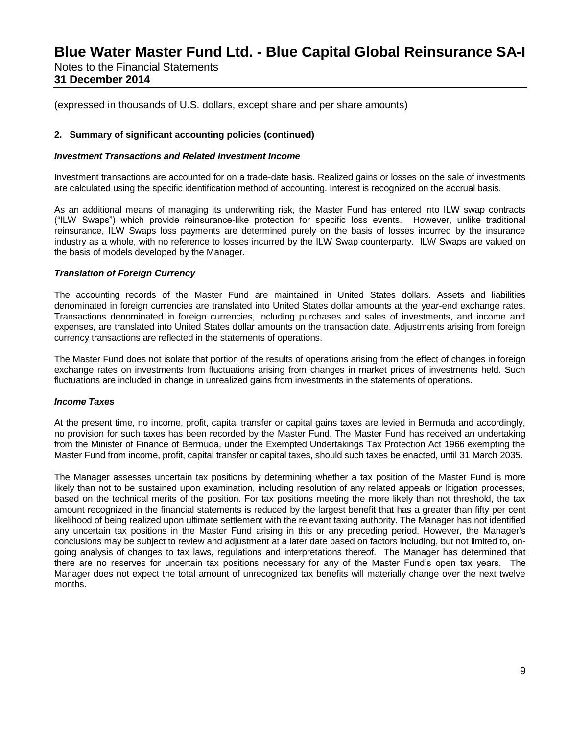Notes to the Financial Statements **31 December 2014** 

(expressed in thousands of U.S. dollars, except share and per share amounts)

# **2. Summary of significant accounting policies (continued)**

#### *Investment Transactions and Related Investment Income*

Investment transactions are accounted for on a trade-date basis. Realized gains or losses on the sale of investments are calculated using the specific identification method of accounting. Interest is recognized on the accrual basis.

As an additional means of managing its underwriting risk, the Master Fund has entered into ILW swap contracts ("ILW Swaps") which provide reinsurance-like protection for specific loss events. However, unlike traditional reinsurance, ILW Swaps loss payments are determined purely on the basis of losses incurred by the insurance industry as a whole, with no reference to losses incurred by the ILW Swap counterparty. ILW Swaps are valued on the basis of models developed by the Manager.

## *Translation of Foreign Currency*

The accounting records of the Master Fund are maintained in United States dollars. Assets and liabilities denominated in foreign currencies are translated into United States dollar amounts at the year-end exchange rates. Transactions denominated in foreign currencies, including purchases and sales of investments, and income and expenses, are translated into United States dollar amounts on the transaction date. Adjustments arising from foreign currency transactions are reflected in the statements of operations.

The Master Fund does not isolate that portion of the results of operations arising from the effect of changes in foreign exchange rates on investments from fluctuations arising from changes in market prices of investments held. Such fluctuations are included in change in unrealized gains from investments in the statements of operations.

#### *Income Taxes*

At the present time, no income, profit, capital transfer or capital gains taxes are levied in Bermuda and accordingly, no provision for such taxes has been recorded by the Master Fund. The Master Fund has received an undertaking from the Minister of Finance of Bermuda, under the Exempted Undertakings Tax Protection Act 1966 exempting the Master Fund from income, profit, capital transfer or capital taxes, should such taxes be enacted, until 31 March 2035.

The Manager assesses uncertain tax positions by determining whether a tax position of the Master Fund is more likely than not to be sustained upon examination, including resolution of any related appeals or litigation processes, based on the technical merits of the position. For tax positions meeting the more likely than not threshold, the tax amount recognized in the financial statements is reduced by the largest benefit that has a greater than fifty per cent likelihood of being realized upon ultimate settlement with the relevant taxing authority. The Manager has not identified any uncertain tax positions in the Master Fund arising in this or any preceding period. However, the Manager's conclusions may be subject to review and adjustment at a later date based on factors including, but not limited to, ongoing analysis of changes to tax laws, regulations and interpretations thereof. The Manager has determined that there are no reserves for uncertain tax positions necessary for any of the Master Fund's open tax years. The Manager does not expect the total amount of unrecognized tax benefits will materially change over the next twelve months.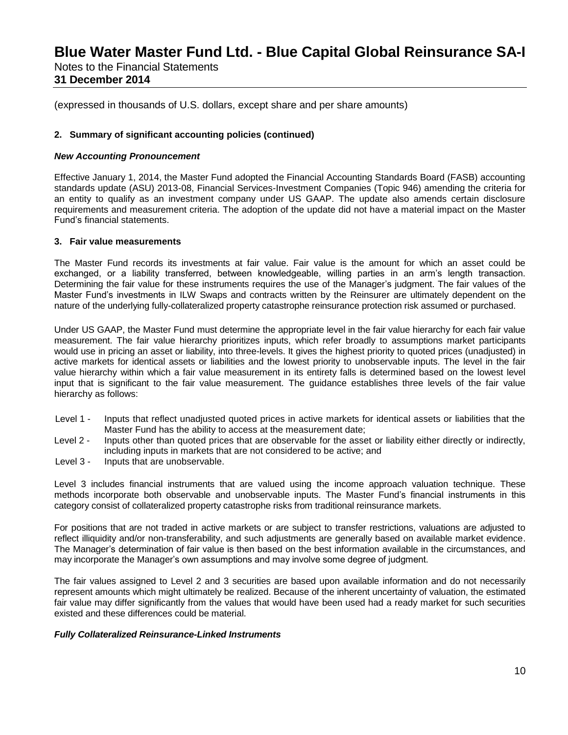Notes to the Financial Statements **31 December 2014** 

(expressed in thousands of U.S. dollars, except share and per share amounts)

# **2. Summary of significant accounting policies (continued)**

# *New Accounting Pronouncement*

Effective January 1, 2014, the Master Fund adopted the Financial Accounting Standards Board (FASB) accounting standards update (ASU) 2013-08, Financial Services-Investment Companies (Topic 946) amending the criteria for an entity to qualify as an investment company under US GAAP. The update also amends certain disclosure requirements and measurement criteria. The adoption of the update did not have a material impact on the Master Fund's financial statements.

## **3. Fair value measurements**

The Master Fund records its investments at fair value. Fair value is the amount for which an asset could be exchanged, or a liability transferred, between knowledgeable, willing parties in an arm's length transaction. Determining the fair value for these instruments requires the use of the Manager's judgment. The fair values of the Master Fund's investments in ILW Swaps and contracts written by the Reinsurer are ultimately dependent on the nature of the underlying fully-collateralized property catastrophe reinsurance protection risk assumed or purchased.

Under US GAAP, the Master Fund must determine the appropriate level in the fair value hierarchy for each fair value measurement. The fair value hierarchy prioritizes inputs, which refer broadly to assumptions market participants would use in pricing an asset or liability, into three-levels. It gives the highest priority to quoted prices (unadjusted) in active markets for identical assets or liabilities and the lowest priority to unobservable inputs. The level in the fair value hierarchy within which a fair value measurement in its entirety falls is determined based on the lowest level input that is significant to the fair value measurement. The guidance establishes three levels of the fair value hierarchy as follows:

- Level 1 Inputs that reflect unadjusted quoted prices in active markets for identical assets or liabilities that the Master Fund has the ability to access at the measurement date;
- Level 2 Inputs other than quoted prices that are observable for the asset or liability either directly or indirectly, including inputs in markets that are not considered to be active; and
- Level 3 Inputs that are unobservable.

Level 3 includes financial instruments that are valued using the income approach valuation technique. These methods incorporate both observable and unobservable inputs. The Master Fund's financial instruments in this category consist of collateralized property catastrophe risks from traditional reinsurance markets.

For positions that are not traded in active markets or are subject to transfer restrictions, valuations are adjusted to reflect illiquidity and/or non-transferability, and such adjustments are generally based on available market evidence. The Manager's determination of fair value is then based on the best information available in the circumstances, and may incorporate the Manager's own assumptions and may involve some degree of judgment.

The fair values assigned to Level 2 and 3 securities are based upon available information and do not necessarily represent amounts which might ultimately be realized. Because of the inherent uncertainty of valuation, the estimated fair value may differ significantly from the values that would have been used had a ready market for such securities existed and these differences could be material.

#### *Fully Collateralized Reinsurance-Linked Instruments*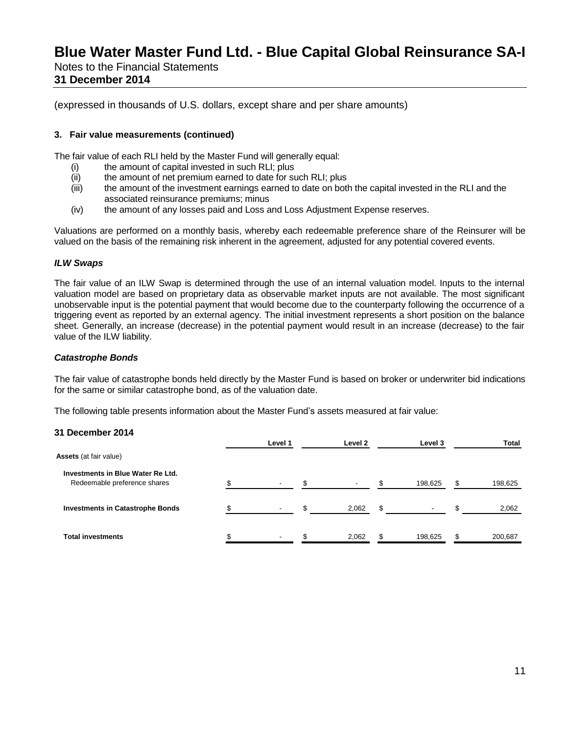Notes to the Financial Statements **31 December 2014** 

(expressed in thousands of U.S. dollars, except share and per share amounts)

# **3. Fair value measurements (continued)**

The fair value of each RLI held by the Master Fund will generally equal:

- (i) the amount of capital invested in such RLI; plus
- (ii) the amount of net premium earned to date for such RLI; plus
- (iii) the amount of the investment earnings earned to date on both the capital invested in the RLI and the associated reinsurance premiums; minus
- (iv) the amount of any losses paid and Loss and Loss Adjustment Expense reserves.

Valuations are performed on a monthly basis, whereby each redeemable preference share of the Reinsurer will be valued on the basis of the remaining risk inherent in the agreement, adjusted for any potential covered events.

# *ILW Swaps*

The fair value of an ILW Swap is determined through the use of an internal valuation model. Inputs to the internal valuation model are based on proprietary data as observable market inputs are not available. The most significant unobservable input is the potential payment that would become due to the counterparty following the occurrence of a triggering event as reported by an external agency. The initial investment represents a short position on the balance sheet. Generally, an increase (decrease) in the potential payment would result in an increase (decrease) to the fair value of the ILW liability.

# *Catastrophe Bonds*

The fair value of catastrophe bonds held directly by the Master Fund is based on broker or underwriter bid indications for the same or similar catastrophe bond, as of the valuation date.

The following table presents information about the Master Fund's assets measured at fair value:

## **31 December 2014**

|                                                                   | Level 1                  |     | Level <sub>2</sub> | Level 3                        | <b>Total</b>  |
|-------------------------------------------------------------------|--------------------------|-----|--------------------|--------------------------------|---------------|
| <b>Assets</b> (at fair value)                                     |                          |     |                    |                                |               |
| Investments in Blue Water Re Ltd.<br>Redeemable preference shares |                          | \$. |                    | 198,625                        | 198,625       |
| <b>Investments in Catastrophe Bonds</b>                           | $\overline{\phantom{a}}$ | \$. | 2,062              | \$<br>$\overline{\phantom{a}}$ | \$<br>2,062   |
| <b>Total investments</b>                                          |                          |     | 2,062              | \$<br>198,625                  | \$<br>200,687 |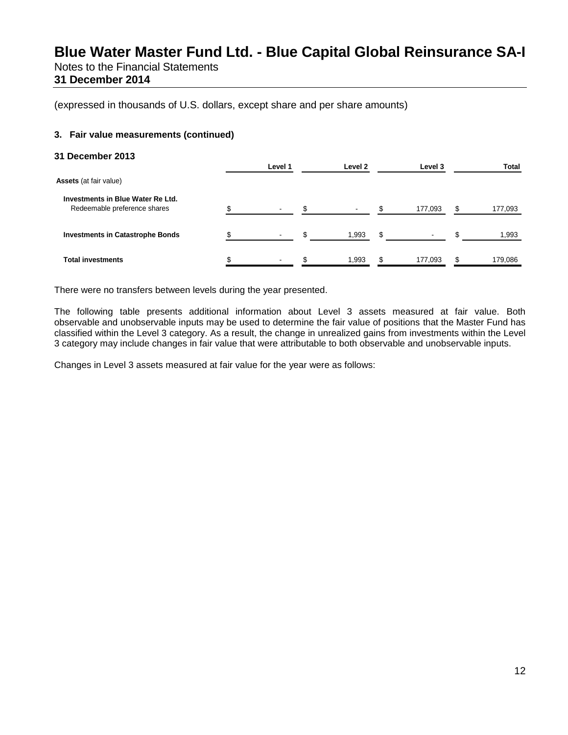Notes to the Financial Statements **31 December 2014** 

(expressed in thousands of U.S. dollars, except share and per share amounts)

# **3. Fair value measurements (continued)**

# **31 December 2013**

|                                                                   | Level 1 | Level 2     | Level 3                        |    | <b>Total</b> |
|-------------------------------------------------------------------|---------|-------------|--------------------------------|----|--------------|
| <b>Assets</b> (at fair value)                                     |         |             |                                |    |              |
| Investments in Blue Water Re Ltd.<br>Redeemable preference shares |         | \$          | 177,093                        |    | 177,093      |
| <b>Investments in Catastrophe Bonds</b>                           |         | \$<br>1,993 | \$<br>$\overline{\phantom{a}}$ | £. | 1,993        |
| <b>Total investments</b>                                          |         | 1,993       | 177,093                        | S  | 179,086      |

There were no transfers between levels during the year presented.

The following table presents additional information about Level 3 assets measured at fair value. Both observable and unobservable inputs may be used to determine the fair value of positions that the Master Fund has classified within the Level 3 category. As a result, the change in unrealized gains from investments within the Level 3 category may include changes in fair value that were attributable to both observable and unobservable inputs.

Changes in Level 3 assets measured at fair value for the year were as follows: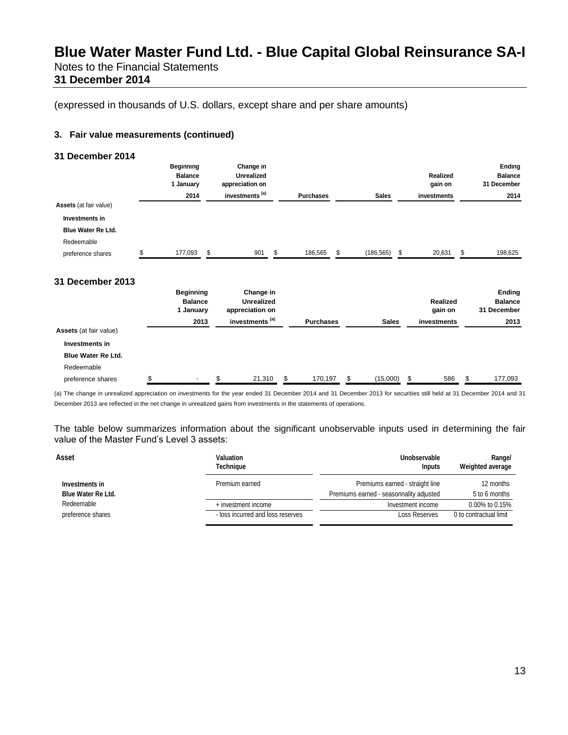Notes to the Financial Statements **31 December 2014** 

(expressed in thousands of U.S. dollars, except share and per share amounts)

## **3. Fair value measurements (continued)**

#### **31 December 2014**

### **31 December 2013**

|                               |   | <b>Beginning</b><br><b>Balance</b><br>1 January |        | Change in<br><b>Unrealized</b><br>appreciation on |                  |   |              | Realized<br>gain on | Ending<br><b>Balance</b><br>31 December |
|-------------------------------|---|-------------------------------------------------|--------|---------------------------------------------------|------------------|---|--------------|---------------------|-----------------------------------------|
|                               |   | 2013                                            |        | investments <sup>(a)</sup>                        | <b>Purchases</b> |   | <b>Sales</b> | investments         | 2013                                    |
| <b>Assets (at fair value)</b> |   |                                                 |        |                                                   |                  |   |              |                     |                                         |
| Investments in                |   |                                                 |        |                                                   |                  |   |              |                     |                                         |
| <b>Blue Water Re Ltd.</b>     |   |                                                 |        |                                                   |                  |   |              |                     |                                         |
| Redeemable                    |   |                                                 |        |                                                   |                  |   |              |                     |                                         |
| preference shares             | ึ | $\sim$                                          | œ<br>ъ | 21,310                                            | 170,197          | S | (15,000)     | \$<br>586           | \$<br>177,093                           |

(a) The change in unrealized appreciation on investments for the year ended 31 December 2014 and 31 December 2013 for securities still held at 31 December 2014 and 31 December 2013 are reflected in the net change in unrealized gains from investments in the statements of operations.

The table below summarizes information about the significant unobservable inputs used in determining the fair value of the Master Fund's Level 3 assets:

| Asset                     | <b>Valuation</b>                  | Unobservable                            | Range/                 |
|---------------------------|-----------------------------------|-----------------------------------------|------------------------|
|                           | Technique                         | Inputs                                  | Weighted average       |
| Investments in            | Premium earned                    | Premiums earned - straight line         | 12 months              |
| <b>Blue Water Re Ltd.</b> |                                   | Premiums earned - seasonnality adjusted | 5 to 6 months          |
| Redeemable                | + investment income               | Investment income                       | 0.00% to 0.15%         |
| preference shares         | - loss incurred and loss reserves | Loss Reserves                           | 0 to contractual limit |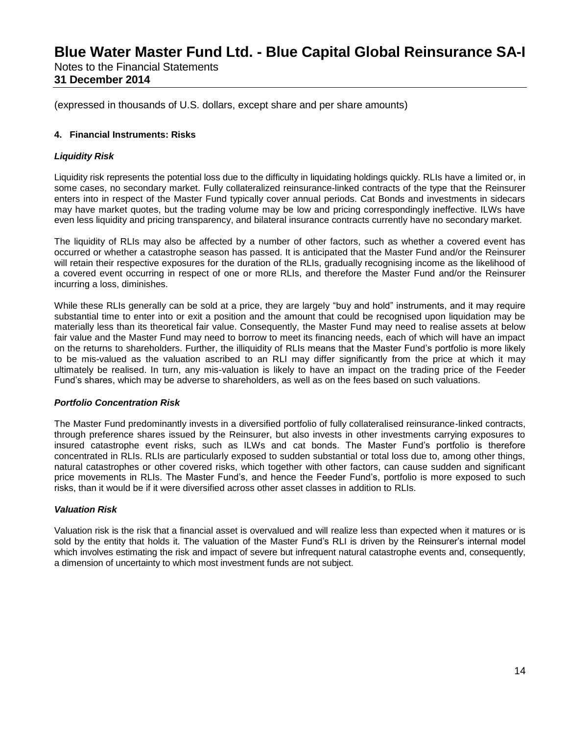Notes to the Financial Statements **31 December 2014** 

(expressed in thousands of U.S. dollars, except share and per share amounts)

# **4. Financial Instruments: Risks**

# *Liquidity Risk*

Liquidity risk represents the potential loss due to the difficulty in liquidating holdings quickly. RLIs have a limited or, in some cases, no secondary market. Fully collateralized reinsurance-linked contracts of the type that the Reinsurer enters into in respect of the Master Fund typically cover annual periods. Cat Bonds and investments in sidecars may have market quotes, but the trading volume may be low and pricing correspondingly ineffective. ILWs have even less liquidity and pricing transparency, and bilateral insurance contracts currently have no secondary market.

The liquidity of RLIs may also be affected by a number of other factors, such as whether a covered event has occurred or whether a catastrophe season has passed. It is anticipated that the Master Fund and/or the Reinsurer will retain their respective exposures for the duration of the RLIs, gradually recognising income as the likelihood of a covered event occurring in respect of one or more RLIs, and therefore the Master Fund and/or the Reinsurer incurring a loss, diminishes.

While these RLIs generally can be sold at a price, they are largely "buy and hold" instruments, and it may require substantial time to enter into or exit a position and the amount that could be recognised upon liquidation may be materially less than its theoretical fair value. Consequently, the Master Fund may need to realise assets at below fair value and the Master Fund may need to borrow to meet its financing needs, each of which will have an impact on the returns to shareholders. Further, the illiquidity of RLIs means that the Master Fund's portfolio is more likely to be mis-valued as the valuation ascribed to an RLI may differ significantly from the price at which it may ultimately be realised. In turn, any mis-valuation is likely to have an impact on the trading price of the Feeder Fund's shares, which may be adverse to shareholders, as well as on the fees based on such valuations.

## *Portfolio Concentration Risk*

The Master Fund predominantly invests in a diversified portfolio of fully collateralised reinsurance-linked contracts, through preference shares issued by the Reinsurer, but also invests in other investments carrying exposures to insured catastrophe event risks, such as ILWs and cat bonds. The Master Fund's portfolio is therefore concentrated in RLIs. RLIs are particularly exposed to sudden substantial or total loss due to, among other things, natural catastrophes or other covered risks, which together with other factors, can cause sudden and significant price movements in RLIs. The Master Fund's, and hence the Feeder Fund's, portfolio is more exposed to such risks, than it would be if it were diversified across other asset classes in addition to RLIs.

## *Valuation Risk*

Valuation risk is the risk that a financial asset is overvalued and will realize less than expected when it matures or is sold by the entity that holds it. The valuation of the Master Fund's RLI is driven by the Reinsurer's internal model which involves estimating the risk and impact of severe but infrequent natural catastrophe events and, consequently, a dimension of uncertainty to which most investment funds are not subject.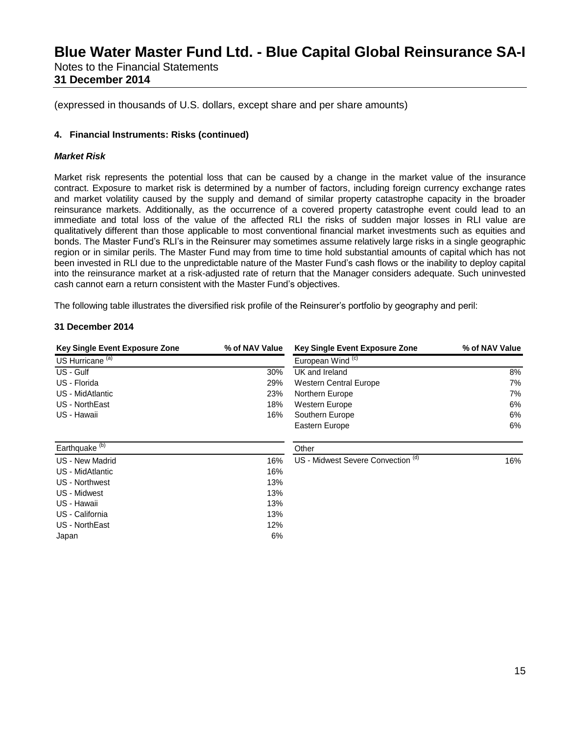Notes to the Financial Statements **31 December 2014** 

(expressed in thousands of U.S. dollars, except share and per share amounts)

# **4. Financial Instruments: Risks (continued)**

## *Market Risk*

Market risk represents the potential loss that can be caused by a change in the market value of the insurance contract. Exposure to market risk is determined by a number of factors, including foreign currency exchange rates and market volatility caused by the supply and demand of similar property catastrophe capacity in the broader reinsurance markets. Additionally, as the occurrence of a covered property catastrophe event could lead to an immediate and total loss of the value of the affected RLI the risks of sudden major losses in RLI value are qualitatively different than those applicable to most conventional financial market investments such as equities and bonds. The Master Fund's RLI's in the Reinsurer may sometimes assume relatively large risks in a single geographic region or in similar perils. The Master Fund may from time to time hold substantial amounts of capital which has not been invested in RLI due to the unpredictable nature of the Master Fund's cash flows or the inability to deploy capital into the reinsurance market at a risk-adjusted rate of return that the Manager considers adequate. Such uninvested cash cannot earn a return consistent with the Master Fund's objectives.

# **31 December 2014**

| <b>Key Single Event Exposure Zone</b> | % of NAV Value | <b>Key Single Event Exposure Zone</b> | % of NAV Value |
|---------------------------------------|----------------|---------------------------------------|----------------|
| US Hurricane <sup>(a)</sup>           |                | European Wind <sup>(c)</sup>          |                |
| US - Gulf                             | 30%            | UK and Ireland                        | 8%             |
| US - Florida                          | 29%            | <b>Western Central Europe</b>         | 7%             |
| US - MidAtlantic                      | 23%            | Northern Europe                       | 7%             |
| US - NorthEast                        | 18%            | Western Europe                        | 6%             |
| US - Hawaii                           | 16%            | Southern Europe                       | 6%             |
|                                       |                | Eastern Europe                        | 6%             |
| Earthquake <sup>(b)</sup>             |                | Other                                 |                |
| US - New Madrid                       | 16%            | US - Midwest Severe Convection (d)    | 16%            |
| US - MidAtlantic                      | 16%            |                                       |                |
| US - Northwest                        | 13%            |                                       |                |
| US - Midwest                          | 13%            |                                       |                |
| US - Hawaii                           | 13%            |                                       |                |
| US - California                       | 13%            |                                       |                |
| US - NorthEast                        | 12%            |                                       |                |
| Japan                                 | 6%             |                                       |                |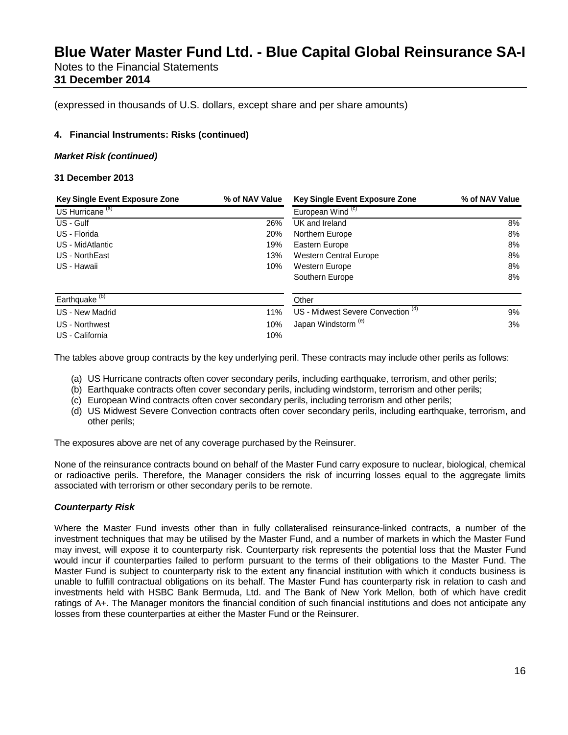Notes to the Financial Statements **31 December 2014** 

(expressed in thousands of U.S. dollars, except share and per share amounts)

# **4. Financial Instruments: Risks (continued)**

#### *Market Risk (continued)*

#### **31 December 2013**

| <b>Market Risk (continued)</b>        |                |                                       |                |
|---------------------------------------|----------------|---------------------------------------|----------------|
| 31 December 2013                      |                |                                       |                |
| <b>Key Single Event Exposure Zone</b> | % of NAV Value | <b>Key Single Event Exposure Zone</b> | % of NAV Value |
| US Hurricane <sup>(a)</sup>           |                | European Wind <sup>(c)</sup>          |                |
| US - Gulf                             | 26%            | UK and Ireland                        | 8%             |
| US - Florida                          | 20%            | Northern Europe                       | 8%             |
| US - MidAtlantic                      | 19%            | Eastern Europe                        | 8%             |
| US - NorthEast                        | 13%            | <b>Western Central Europe</b>         | 8%             |
| US - Hawaii                           | 10%            | Western Europe                        | 8%             |
|                                       |                | Southern Europe                       | 8%             |
| Earthquake <sup>(b)</sup>             |                | Other                                 |                |
| US - New Madrid                       | 11%            | US - Midwest Severe Convection (d)    | 9%             |
| US - Northwest                        | 10%            | Japan Windstorm <sup>(e)</sup>        | 3%             |
| US - California                       | 10%            |                                       |                |

The tables above group contracts by the key underlying peril. These contracts may include other perils as follows:

- (a) US Hurricane contracts often cover secondary perils, including earthquake, terrorism, and other perils;
- (b) Earthquake contracts often cover secondary perils, including windstorm, terrorism and other perils;
- (c) European Wind contracts often cover secondary perils, including terrorism and other perils;
- (d) US Midwest Severe Convection contracts often cover secondary perils, including earthquake, terrorism, and other perils;

The exposures above are net of any coverage purchased by the Reinsurer.

None of the reinsurance contracts bound on behalf of the Master Fund carry exposure to nuclear, biological, chemical or radioactive perils. Therefore, the Manager considers the risk of incurring losses equal to the aggregate limits associated with terrorism or other secondary perils to be remote.

## *Counterparty Risk*

Where the Master Fund invests other than in fully collateralised reinsurance-linked contracts, a number of the investment techniques that may be utilised by the Master Fund, and a number of markets in which the Master Fund may invest, will expose it to counterparty risk. Counterparty risk represents the potential loss that the Master Fund would incur if counterparties failed to perform pursuant to the terms of their obligations to the Master Fund. The Master Fund is subject to counterparty risk to the extent any financial institution with which it conducts business is unable to fulfill contractual obligations on its behalf. The Master Fund has counterparty risk in relation to cash and investments held with HSBC Bank Bermuda, Ltd. and The Bank of New York Mellon, both of which have credit ratings of A+. The Manager monitors the financial condition of such financial institutions and does not anticipate any losses from these counterparties at either the Master Fund or the Reinsurer.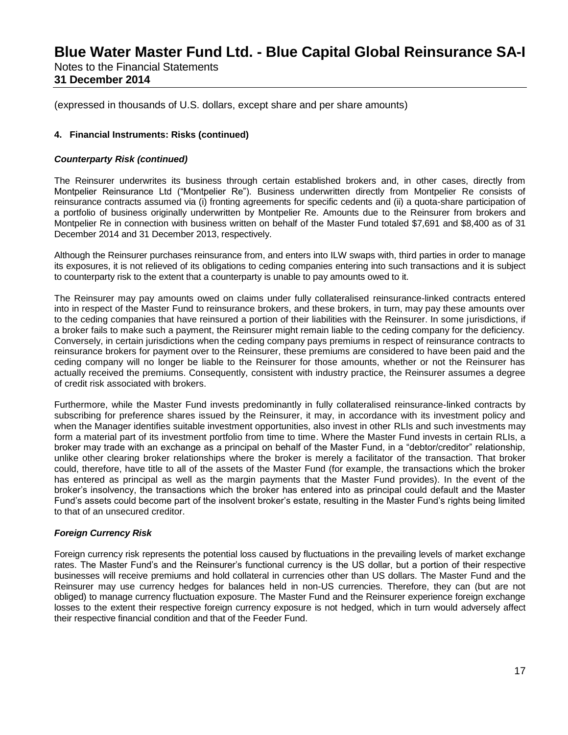Notes to the Financial Statements **31 December 2014** 

(expressed in thousands of U.S. dollars, except share and per share amounts)

# **4. Financial Instruments: Risks (continued)**

## *Counterparty Risk (continued)*

The Reinsurer underwrites its business through certain established brokers and, in other cases, directly from Montpelier Reinsurance Ltd ("Montpelier Re"). Business underwritten directly from Montpelier Re consists of reinsurance contracts assumed via (i) fronting agreements for specific cedents and (ii) a quota-share participation of a portfolio of business originally underwritten by Montpelier Re. Amounts due to the Reinsurer from brokers and Montpelier Re in connection with business written on behalf of the Master Fund totaled \$7,691 and \$8,400 as of 31 December 2014 and 31 December 2013, respectively.

Although the Reinsurer purchases reinsurance from, and enters into ILW swaps with, third parties in order to manage its exposures, it is not relieved of its obligations to ceding companies entering into such transactions and it is subject to counterparty risk to the extent that a counterparty is unable to pay amounts owed to it.

The Reinsurer may pay amounts owed on claims under fully collateralised reinsurance-linked contracts entered into in respect of the Master Fund to reinsurance brokers, and these brokers, in turn, may pay these amounts over to the ceding companies that have reinsured a portion of their liabilities with the Reinsurer. In some jurisdictions, if a broker fails to make such a payment, the Reinsurer might remain liable to the ceding company for the deficiency. Conversely, in certain jurisdictions when the ceding company pays premiums in respect of reinsurance contracts to reinsurance brokers for payment over to the Reinsurer, these premiums are considered to have been paid and the ceding company will no longer be liable to the Reinsurer for those amounts, whether or not the Reinsurer has actually received the premiums. Consequently, consistent with industry practice, the Reinsurer assumes a degree of credit risk associated with brokers.

Furthermore, while the Master Fund invests predominantly in fully collateralised reinsurance-linked contracts by subscribing for preference shares issued by the Reinsurer, it may, in accordance with its investment policy and when the Manager identifies suitable investment opportunities, also invest in other RLIs and such investments may form a material part of its investment portfolio from time to time. Where the Master Fund invests in certain RLIs, a broker may trade with an exchange as a principal on behalf of the Master Fund, in a "debtor/creditor" relationship, unlike other clearing broker relationships where the broker is merely a facilitator of the transaction. That broker could, therefore, have title to all of the assets of the Master Fund (for example, the transactions which the broker has entered as principal as well as the margin payments that the Master Fund provides). In the event of the broker's insolvency, the transactions which the broker has entered into as principal could default and the Master Fund's assets could become part of the insolvent broker's estate, resulting in the Master Fund's rights being limited to that of an unsecured creditor.

## *Foreign Currency Risk*

Foreign currency risk represents the potential loss caused by fluctuations in the prevailing levels of market exchange rates. The Master Fund's and the Reinsurer's functional currency is the US dollar, but a portion of their respective businesses will receive premiums and hold collateral in currencies other than US dollars. The Master Fund and the Reinsurer may use currency hedges for balances held in non-US currencies. Therefore, they can (but are not obliged) to manage currency fluctuation exposure. The Master Fund and the Reinsurer experience foreign exchange losses to the extent their respective foreign currency exposure is not hedged, which in turn would adversely affect their respective financial condition and that of the Feeder Fund.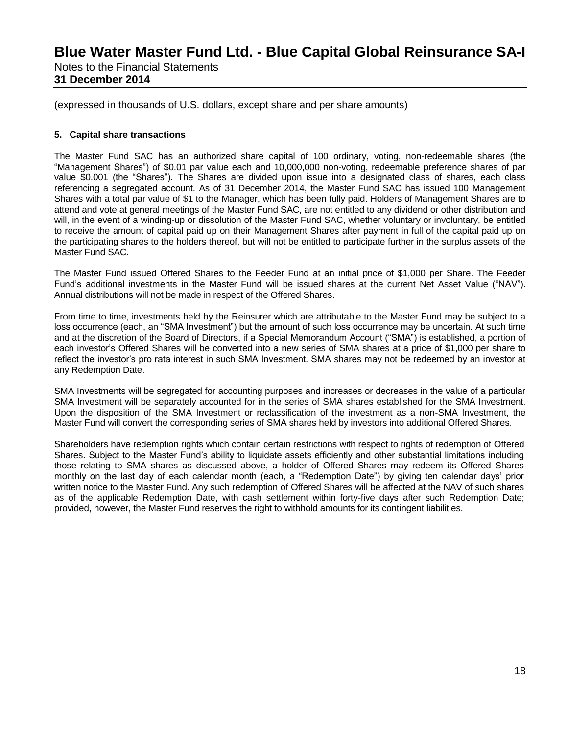Notes to the Financial Statements **31 December 2014** 

(expressed in thousands of U.S. dollars, except share and per share amounts)

# **5. Capital share transactions**

The Master Fund SAC has an authorized share capital of 100 ordinary, voting, non-redeemable shares (the "Management Shares") of \$0.01 par value each and 10,000,000 non-voting, redeemable preference shares of par value \$0.001 (the "Shares"). The Shares are divided upon issue into a designated class of shares, each class referencing a segregated account. As of 31 December 2014, the Master Fund SAC has issued 100 Management Shares with a total par value of \$1 to the Manager, which has been fully paid. Holders of Management Shares are to attend and vote at general meetings of the Master Fund SAC, are not entitled to any dividend or other distribution and will, in the event of a winding-up or dissolution of the Master Fund SAC, whether voluntary or involuntary, be entitled to receive the amount of capital paid up on their Management Shares after payment in full of the capital paid up on the participating shares to the holders thereof, but will not be entitled to participate further in the surplus assets of the Master Fund SAC.

The Master Fund issued Offered Shares to the Feeder Fund at an initial price of \$1,000 per Share. The Feeder Fund's additional investments in the Master Fund will be issued shares at the current Net Asset Value ("NAV"). Annual distributions will not be made in respect of the Offered Shares.

From time to time, investments held by the Reinsurer which are attributable to the Master Fund may be subject to a loss occurrence (each, an "SMA Investment") but the amount of such loss occurrence may be uncertain. At such time and at the discretion of the Board of Directors, if a Special Memorandum Account ("SMA") is established, a portion of each investor's Offered Shares will be converted into a new series of SMA shares at a price of \$1,000 per share to reflect the investor's pro rata interest in such SMA Investment. SMA shares may not be redeemed by an investor at any Redemption Date.

SMA Investments will be segregated for accounting purposes and increases or decreases in the value of a particular SMA Investment will be separately accounted for in the series of SMA shares established for the SMA Investment. Upon the disposition of the SMA Investment or reclassification of the investment as a non-SMA Investment, the Master Fund will convert the corresponding series of SMA shares held by investors into additional Offered Shares.

Shareholders have redemption rights which contain certain restrictions with respect to rights of redemption of Offered Shares. Subject to the Master Fund's ability to liquidate assets efficiently and other substantial limitations including those relating to SMA shares as discussed above, a holder of Offered Shares may redeem its Offered Shares monthly on the last day of each calendar month (each, a "Redemption Date") by giving ten calendar days' prior written notice to the Master Fund. Any such redemption of Offered Shares will be affected at the NAV of such shares as of the applicable Redemption Date, with cash settlement within forty-five days after such Redemption Date; provided, however, the Master Fund reserves the right to withhold amounts for its contingent liabilities.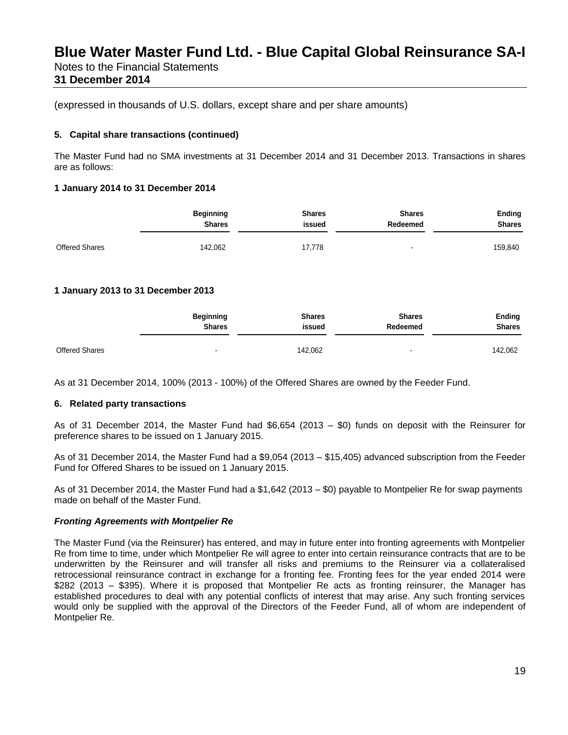Notes to the Financial Statements **31 December 2014** 

(expressed in thousands of U.S. dollars, except share and per share amounts)

# **5. Capital share transactions (continued)**

The Master Fund had no SMA investments at 31 December 2014 and 31 December 2013. Transactions in shares are as follows:

# **1 January 2014 to 31 December 2014**

|                       | <b>Beginning</b> | <b>Shares</b> | <b>Shares</b>            | <b>Ending</b> |
|-----------------------|------------------|---------------|--------------------------|---------------|
|                       | <b>Shares</b>    | issued        | Redeemed                 | <b>Shares</b> |
| <b>Offered Shares</b> | 142,062          | 17,778        | $\overline{\phantom{a}}$ | 159,840       |

# **1 January 2013 to 31 December 2013**

|                       | <b>Beginning</b>         | <b>Shares</b> | <b>Shares</b>            | <b>Ending</b> |
|-----------------------|--------------------------|---------------|--------------------------|---------------|
|                       | <b>Shares</b>            | issued        | Redeemed                 | Shares        |
| <b>Offered Shares</b> | $\overline{\phantom{a}}$ | 142,062       | $\overline{\phantom{0}}$ | 142,062       |

As at 31 December 2014, 100% (2013 - 100%) of the Offered Shares are owned by the Feeder Fund.

# **6. Related party transactions**

As of 31 December 2014, the Master Fund had \$6,654 (2013 – \$0) funds on deposit with the Reinsurer for preference shares to be issued on 1 January 2015.

As of 31 December 2014, the Master Fund had a \$9,054 (2013 – \$15,405) advanced subscription from the Feeder Fund for Offered Shares to be issued on 1 January 2015.

As of 31 December 2014, the Master Fund had a \$1,642 (2013 – \$0) payable to Montpelier Re for swap payments made on behalf of the Master Fund.

## *Fronting Agreements with Montpelier Re*

The Master Fund (via the Reinsurer) has entered, and may in future enter into fronting agreements with Montpelier Re from time to time, under which Montpelier Re will agree to enter into certain reinsurance contracts that are to be underwritten by the Reinsurer and will transfer all risks and premiums to the Reinsurer via a collateralised retrocessional reinsurance contract in exchange for a fronting fee. Fronting fees for the year ended 2014 were \$282 (2013 – \$395). Where it is proposed that Montpelier Re acts as fronting reinsurer, the Manager has established procedures to deal with any potential conflicts of interest that may arise. Any such fronting services would only be supplied with the approval of the Directors of the Feeder Fund, all of whom are independent of Montpelier Re.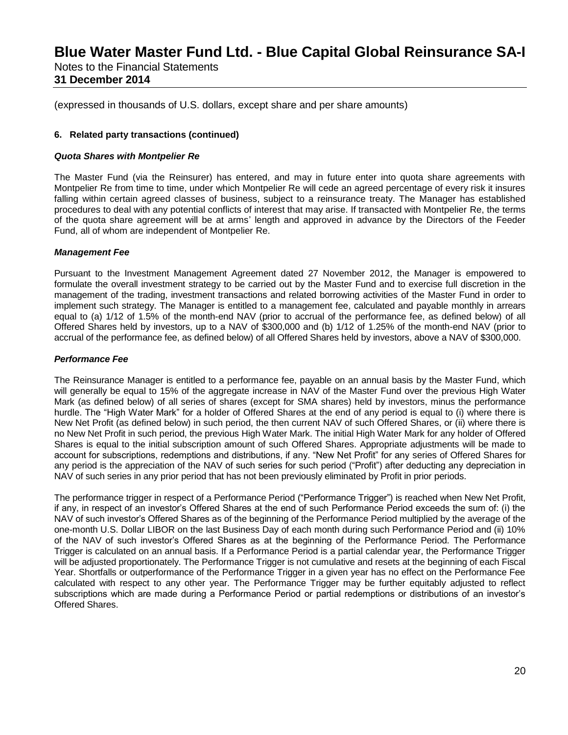Notes to the Financial Statements **31 December 2014** 

(expressed in thousands of U.S. dollars, except share and per share amounts)

# **6. Related party transactions (continued)**

## *Quota Shares with Montpelier Re*

The Master Fund (via the Reinsurer) has entered, and may in future enter into quota share agreements with Montpelier Re from time to time, under which Montpelier Re will cede an agreed percentage of every risk it insures falling within certain agreed classes of business, subject to a reinsurance treaty. The Manager has established procedures to deal with any potential conflicts of interest that may arise. If transacted with Montpelier Re, the terms of the quota share agreement will be at arms' length and approved in advance by the Directors of the Feeder Fund, all of whom are independent of Montpelier Re.

## *Management Fee*

Pursuant to the Investment Management Agreement dated 27 November 2012, the Manager is empowered to formulate the overall investment strategy to be carried out by the Master Fund and to exercise full discretion in the management of the trading, investment transactions and related borrowing activities of the Master Fund in order to implement such strategy. The Manager is entitled to a management fee, calculated and payable monthly in arrears equal to (a) 1/12 of 1.5% of the month-end NAV (prior to accrual of the performance fee, as defined below) of all Offered Shares held by investors, up to a NAV of \$300,000 and (b) 1/12 of 1.25% of the month-end NAV (prior to accrual of the performance fee, as defined below) of all Offered Shares held by investors, above a NAV of \$300,000.

# *Performance Fee*

The Reinsurance Manager is entitled to a performance fee, payable on an annual basis by the Master Fund, which will generally be equal to 15% of the aggregate increase in NAV of the Master Fund over the previous High Water Mark (as defined below) of all series of shares (except for SMA shares) held by investors, minus the performance hurdle. The "High Water Mark" for a holder of Offered Shares at the end of any period is equal to (i) where there is New Net Profit (as defined below) in such period, the then current NAV of such Offered Shares, or (ii) where there is no New Net Profit in such period, the previous High Water Mark. The initial High Water Mark for any holder of Offered Shares is equal to the initial subscription amount of such Offered Shares. Appropriate adjustments will be made to account for subscriptions, redemptions and distributions, if any. "New Net Profit" for any series of Offered Shares for any period is the appreciation of the NAV of such series for such period ("Profit") after deducting any depreciation in NAV of such series in any prior period that has not been previously eliminated by Profit in prior periods.

The performance trigger in respect of a Performance Period ("Performance Trigger") is reached when New Net Profit, if any, in respect of an investor's Offered Shares at the end of such Performance Period exceeds the sum of: (i) the NAV of such investor's Offered Shares as of the beginning of the Performance Period multiplied by the average of the one-month U.S. Dollar LIBOR on the last Business Day of each month during such Performance Period and (ii) 10% of the NAV of such investor's Offered Shares as at the beginning of the Performance Period. The Performance Trigger is calculated on an annual basis. If a Performance Period is a partial calendar year, the Performance Trigger will be adjusted proportionately. The Performance Trigger is not cumulative and resets at the beginning of each Fiscal Year. Shortfalls or outperformance of the Performance Trigger in a given year has no effect on the Performance Fee calculated with respect to any other year. The Performance Trigger may be further equitably adjusted to reflect subscriptions which are made during a Performance Period or partial redemptions or distributions of an investor's Offered Shares.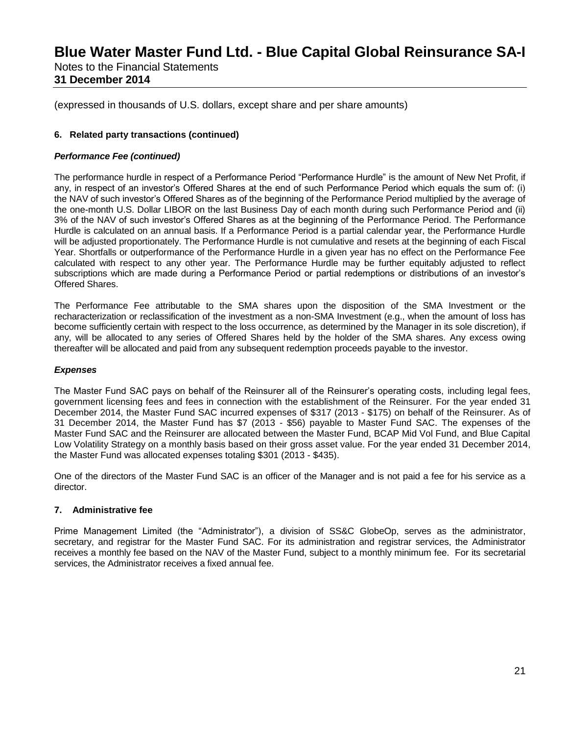Notes to the Financial Statements **31 December 2014** 

(expressed in thousands of U.S. dollars, except share and per share amounts)

# **6. Related party transactions (continued)**

# *Performance Fee (continued)*

The performance hurdle in respect of a Performance Period "Performance Hurdle" is the amount of New Net Profit, if any, in respect of an investor's Offered Shares at the end of such Performance Period which equals the sum of: (i) the NAV of such investor's Offered Shares as of the beginning of the Performance Period multiplied by the average of the one-month U.S. Dollar LIBOR on the last Business Day of each month during such Performance Period and (ii) 3% of the NAV of such investor's Offered Shares as at the beginning of the Performance Period. The Performance Hurdle is calculated on an annual basis. If a Performance Period is a partial calendar year, the Performance Hurdle will be adjusted proportionately. The Performance Hurdle is not cumulative and resets at the beginning of each Fiscal Year. Shortfalls or outperformance of the Performance Hurdle in a given year has no effect on the Performance Fee calculated with respect to any other year. The Performance Hurdle may be further equitably adjusted to reflect subscriptions which are made during a Performance Period or partial redemptions or distributions of an investor's Offered Shares.

The Performance Fee attributable to the SMA shares upon the disposition of the SMA Investment or the recharacterization or reclassification of the investment as a non-SMA Investment (e.g., when the amount of loss has become sufficiently certain with respect to the loss occurrence, as determined by the Manager in its sole discretion), if any, will be allocated to any series of Offered Shares held by the holder of the SMA shares. Any excess owing thereafter will be allocated and paid from any subsequent redemption proceeds payable to the investor.

## *Expenses*

The Master Fund SAC pays on behalf of the Reinsurer all of the Reinsurer's operating costs, including legal fees, government licensing fees and fees in connection with the establishment of the Reinsurer. For the year ended 31 December 2014, the Master Fund SAC incurred expenses of \$317 (2013 - \$175) on behalf of the Reinsurer. As of 31 December 2014, the Master Fund has \$7 (2013 - \$56) payable to Master Fund SAC. The expenses of the Master Fund SAC and the Reinsurer are allocated between the Master Fund, BCAP Mid Vol Fund, and Blue Capital Low Volatility Strategy on a monthly basis based on their gross asset value. For the year ended 31 December 2014, the Master Fund was allocated expenses totaling \$301 (2013 - \$435).

One of the directors of the Master Fund SAC is an officer of the Manager and is not paid a fee for his service as a director.

## **7. Administrative fee**

Prime Management Limited (the "Administrator"), a division of SS&C GlobeOp, serves as the administrator, secretary, and registrar for the Master Fund SAC. For its administration and registrar services, the Administrator receives a monthly fee based on the NAV of the Master Fund, subject to a monthly minimum fee. For its secretarial services, the Administrator receives a fixed annual fee.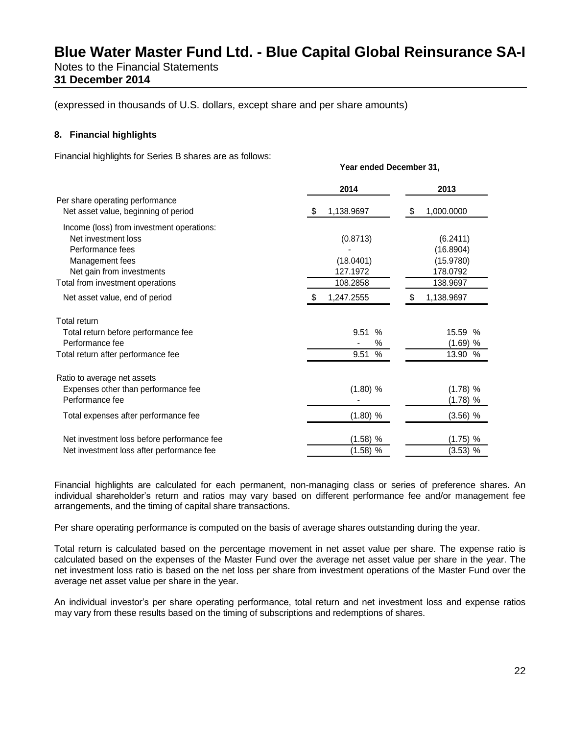**Year ended December 31,**

Notes to the Financial Statements **31 December 2014** 

(expressed in thousands of U.S. dollars, except share and per share amounts)

## **8. Financial highlights**

Financial highlights for Series B shares are as follows:

|                                                                                                                                                                          | 2014                                          | 2013                                   |  |
|--------------------------------------------------------------------------------------------------------------------------------------------------------------------------|-----------------------------------------------|----------------------------------------|--|
| Per share operating performance<br>Net asset value, beginning of period                                                                                                  | 1,138.9697<br>\$                              | 1,000.0000<br>S                        |  |
| Income (loss) from investment operations:<br>Net investment loss<br>Performance fees<br>Management fees<br>Net gain from investments<br>Total from investment operations | (0.8713)<br>(18.0401)<br>127.1972<br>108.2858 |                                        |  |
| Net asset value, end of period                                                                                                                                           | 1,247.2555<br>S                               | 1,138.9697                             |  |
| Total return<br>Total return before performance fee<br>Performance fee<br>Total return after performance fee                                                             | 9.51<br>$\%$<br>$\%$<br>9.51<br>%             | 15.59 %<br>$(1.69)$ %<br>13.90 %       |  |
| Ratio to average net assets<br>Expenses other than performance fee<br>Performance fee<br>Total expenses after performance fee                                            | $(1.80)$ %<br>(1.80) %                        | $(1.78)$ %<br>$(1.78)$ %<br>$(3.56)$ % |  |
| Net investment loss before performance fee<br>Net investment loss after performance fee                                                                                  | $(1.58)$ %<br>$\%$<br>(1.58)                  | (1.75) %<br>$(3.53)$ %                 |  |

Financial highlights are calculated for each permanent, non-managing class or series of preference shares. An individual shareholder's return and ratios may vary based on different performance fee and/or management fee arrangements, and the timing of capital share transactions.

Per share operating performance is computed on the basis of average shares outstanding during the year.

Total return is calculated based on the percentage movement in net asset value per share. The expense ratio is calculated based on the expenses of the Master Fund over the average net asset value per share in the year. The net investment loss ratio is based on the net loss per share from investment operations of the Master Fund over the average net asset value per share in the year.

An individual investor's per share operating performance, total return and net investment loss and expense ratios may vary from these results based on the timing of subscriptions and redemptions of shares.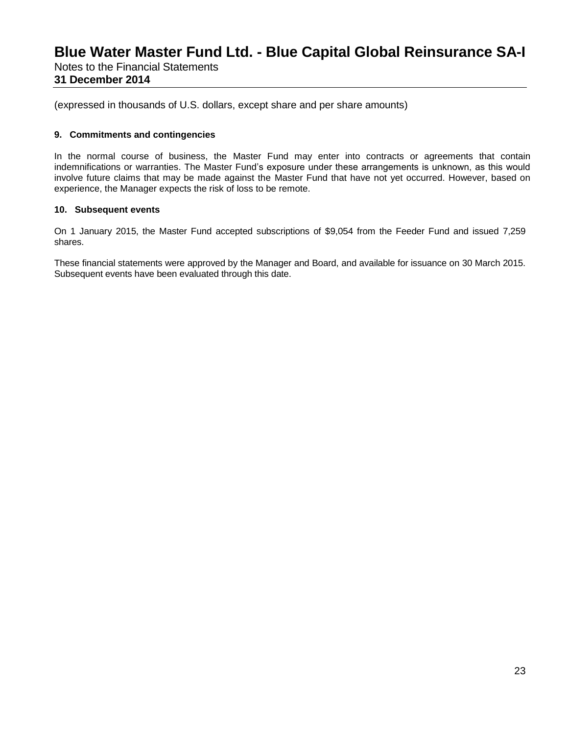Notes to the Financial Statements **31 December 2014** 

(expressed in thousands of U.S. dollars, except share and per share amounts)

# **9. Commitments and contingencies**

In the normal course of business, the Master Fund may enter into contracts or agreements that contain indemnifications or warranties. The Master Fund's exposure under these arrangements is unknown, as this would involve future claims that may be made against the Master Fund that have not yet occurred. However, based on experience, the Manager expects the risk of loss to be remote.

## **10. Subsequent events**

On 1 January 2015, the Master Fund accepted subscriptions of \$9,054 from the Feeder Fund and issued 7,259 shares.

These financial statements were approved by the Manager and Board, and available for issuance on 30 March 2015. Subsequent events have been evaluated through this date.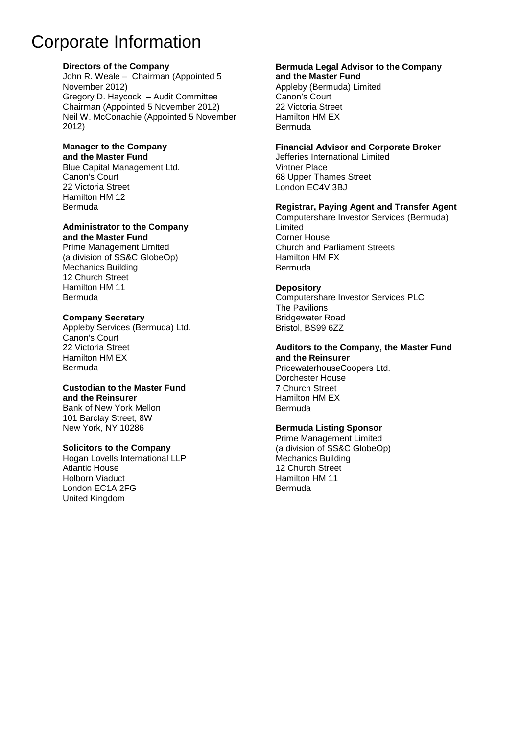# Corporate Information

# **Directors of the Company**

John R. Weale – Chairman (Appointed 5 November 2012) Gregory D. Haycock – Audit Committee Chairman (Appointed 5 November 2012) Neil W. McConachie (Appointed 5 November 2012)

# **Manager to the Company and the Master Fund**

Blue Capital Management Ltd. Canon's Court 22 Victoria Street Hamilton HM 12 Bermuda

# **Administrator to the Company and the Master Fund**

Prime Management Limited (a division of SS&C GlobeOp) Mechanics Building 12 Church Street Hamilton HM 11 Bermuda

# **Company Secretary**

Appleby Services (Bermuda) Ltd. Canon's Court 22 Victoria Street Hamilton HM EX Bermuda

# **Custodian to the Master Fund and the Reinsurer**

Bank of New York Mellon 101 Barclay Street, 8W New York, NY 10286

# **Solicitors to the Company**

Hogan Lovells International LLP Atlantic House Holborn Viaduct London EC1A 2FG United Kingdom

#### **Bermuda Legal Advisor to the Company and the Master Fund**

Appleby (Bermuda) Limited Canon's Court 22 Victoria Street Hamilton HM EX Bermuda

# **Financial Advisor and Corporate Broker**

Jefferies International Limited Vintner Place 68 Upper Thames Street London EC4V 3BJ

# **Registrar, Paying Agent and Transfer Agent**

Computershare Investor Services (Bermuda) Limited Corner House Church and Parliament Streets Hamilton HM FX Bermuda

# **Depository**

Computershare Investor Services PLC The Pavilions Bridgewater Road Bristol, BS99 6ZZ

#### **Auditors to the Company, the Master Fund and the Reinsurer**

PricewaterhouseCoopers Ltd. Dorchester House 7 Church Street Hamilton HM EX Bermuda

# **Bermuda Listing Sponsor**

Prime Management Limited (a division of SS&C GlobeOp) Mechanics Building 12 Church Street Hamilton HM 11 Bermuda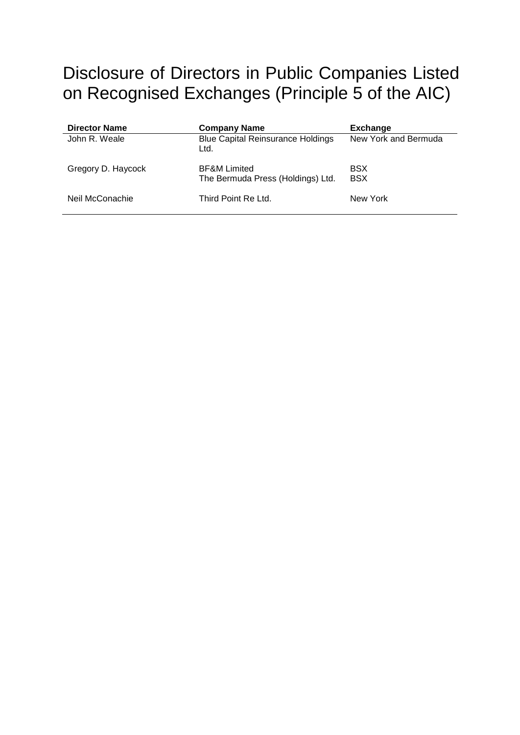# Disclosure of Directors in Public Companies Listed on Recognised Exchanges (Principle 5 of the AIC)

| <b>Director Name</b> | <b>Company Name</b>                                          | <b>Exchange</b>          |
|----------------------|--------------------------------------------------------------|--------------------------|
| John R. Weale        | <b>Blue Capital Reinsurance Holdings</b><br>Ltd.             | New York and Bermuda     |
| Gregory D. Haycock   | <b>BF&amp;M Limited</b><br>The Bermuda Press (Holdings) Ltd. | <b>BSX</b><br><b>BSX</b> |
| Neil McConachie      | Third Point Re Ltd.                                          | New York                 |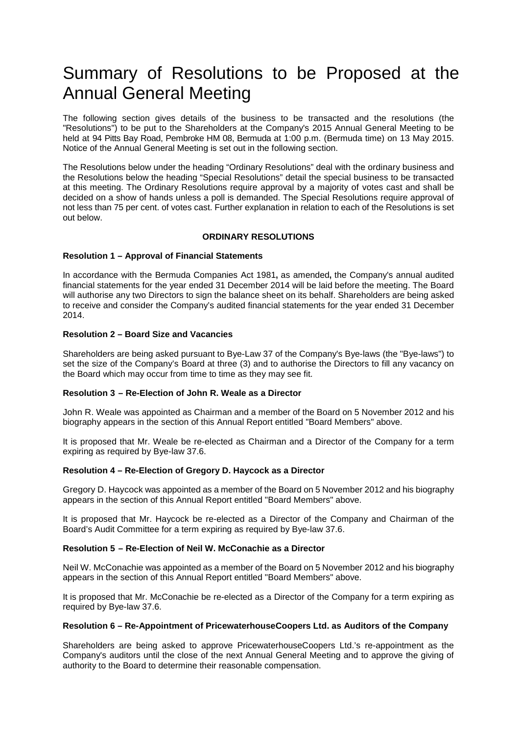# Summary of Resolutions to be Proposed at the Annual General Meeting

The following section gives details of the business to be transacted and the resolutions (the "Resolutions") to be put to the Shareholders at the Company's 2015 Annual General Meeting to be held at 94 Pitts Bay Road, Pembroke HM 08, Bermuda at 1:00 p.m. (Bermuda time) on 13 May 2015. Notice of the Annual General Meeting is set out in the following section.

The Resolutions below under the heading "Ordinary Resolutions" deal with the ordinary business and the Resolutions below the heading "Special Resolutions" detail the special business to be transacted at this meeting. The Ordinary Resolutions require approval by a majority of votes cast and shall be decided on a show of hands unless a poll is demanded. The Special Resolutions require approval of not less than 75 per cent. of votes cast. Further explanation in relation to each of the Resolutions is set out below.

# **ORDINARY RESOLUTIONS**

# **Resolution 1 – Approval of Financial Statements**

In accordance with the Bermuda Companies Act 1981**,** as amended**,** the Company's annual audited financial statements for the year ended 31 December 2014 will be laid before the meeting. The Board will authorise any two Directors to sign the balance sheet on its behalf. Shareholders are being asked to receive and consider the Company's audited financial statements for the year ended 31 December 2014.

# **Resolution 2 – Board Size and Vacancies**

Shareholders are being asked pursuant to Bye-Law 37 of the Company's Bye-laws (the "Bye-laws") to set the size of the Company's Board at three (3) and to authorise the Directors to fill any vacancy on the Board which may occur from time to time as they may see fit.

# **Resolution 3 – Re-Election of John R. Weale as a Director**

John R. Weale was appointed as Chairman and a member of the Board on 5 November 2012 and his biography appears in the section of this Annual Report entitled "Board Members" above.

It is proposed that Mr. Weale be re-elected as Chairman and a Director of the Company for a term expiring as required by Bye-law 37.6.

## **Resolution 4 – Re-Election of Gregory D. Haycock as a Director**

Gregory D. Haycock was appointed as a member of the Board on 5 November 2012 and his biography appears in the section of this Annual Report entitled "Board Members" above.

It is proposed that Mr. Haycock be re-elected as a Director of the Company and Chairman of the Board's Audit Committee for a term expiring as required by Bye-law 37.6.

## **Resolution 5 – Re-Election of Neil W. McConachie as a Director**

Neil W. McConachie was appointed as a member of the Board on 5 November 2012 and his biography appears in the section of this Annual Report entitled "Board Members" above.

It is proposed that Mr. McConachie be re-elected as a Director of the Company for a term expiring as required by Bye-law 37.6.

# **Resolution 6 – Re-Appointment of PricewaterhouseCoopers Ltd. as Auditors of the Company**

Shareholders are being asked to approve PricewaterhouseCoopers Ltd.'s re-appointment as the Company's auditors until the close of the next Annual General Meeting and to approve the giving of authority to the Board to determine their reasonable compensation.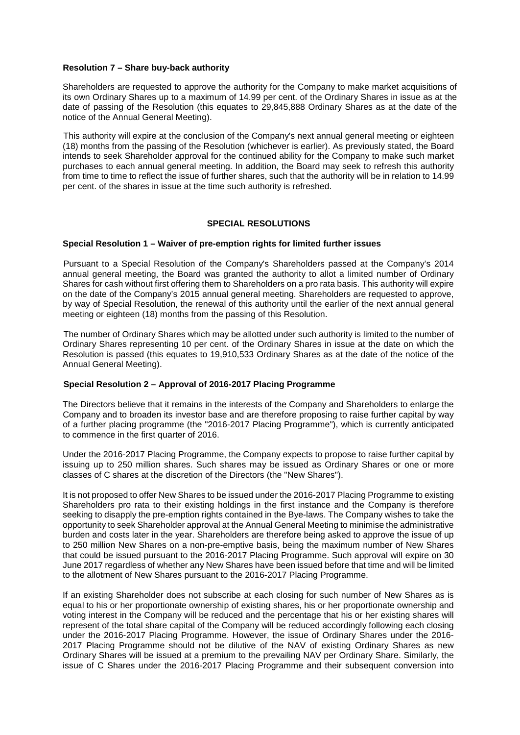# **Resolution 7 – Share buy-back authority**

Shareholders are requested to approve the authority for the Company to make market acquisitions of its own Ordinary Shares up to a maximum of 14.99 per cent. of the Ordinary Shares in issue as at the date of passing of the Resolution (this equates to 29,845,888 Ordinary Shares as at the date of the notice of the Annual General Meeting).

This authority will expire at the conclusion of the Company's next annual general meeting or eighteen (18) months from the passing of the Resolution (whichever is earlier). As previously stated, the Board intends to seek Shareholder approval for the continued ability for the Company to make such market purchases to each annual general meeting. In addition, the Board may seek to refresh this authority from time to time to reflect the issue of further shares, such that the authority will be in relation to 14.99 per cent. of the shares in issue at the time such authority is refreshed.

# **SPECIAL RESOLUTIONS**

# **Special Resolution 1 – Waiver of pre-emption rights for limited further issues**

Pursuant to a Special Resolution of the Company's Shareholders passed at the Company's 2014 annual general meeting, the Board was granted the authority to allot a limited number of Ordinary Shares for cash without first offering them to Shareholders on a pro rata basis. This authority will expire on the date of the Company's 2015 annual general meeting. Shareholders are requested to approve, by way of Special Resolution, the renewal of this authority until the earlier of the next annual general meeting or eighteen (18) months from the passing of this Resolution.

The number of Ordinary Shares which may be allotted under such authority is limited to the number of Ordinary Shares representing 10 per cent. of the Ordinary Shares in issue at the date on which the Resolution is passed (this equates to 19,910,533 Ordinary Shares as at the date of the notice of the Annual General Meeting).

## **Special Resolution 2 – Approval of 2016-2017 Placing Programme**

The Directors believe that it remains in the interests of the Company and Shareholders to enlarge the Company and to broaden its investor base and are therefore proposing to raise further capital by way of a further placing programme (the "2016-2017 Placing Programme"), which is currently anticipated to commence in the first quarter of 2016.

Under the 2016-2017 Placing Programme, the Company expects to propose to raise further capital by issuing up to 250 million shares. Such shares may be issued as Ordinary Shares or one or more classes of C shares at the discretion of the Directors (the "New Shares").

It is not proposed to offer New Shares to be issued under the 2016-2017 Placing Programme to existing Shareholders pro rata to their existing holdings in the first instance and the Company is therefore seeking to disapply the pre-emption rights contained in the Bye-laws. The Company wishes to take the opportunity to seek Shareholder approval at the Annual General Meeting to minimise the administrative burden and costs later in the year. Shareholders are therefore being asked to approve the issue of up to 250 million New Shares on a non-pre-emptive basis, being the maximum number of New Shares that could be issued pursuant to the 2016-2017 Placing Programme. Such approval will expire on 30 June 2017 regardless of whether any New Shares have been issued before that time and will be limited to the allotment of New Shares pursuant to the 2016-2017 Placing Programme.

If an existing Shareholder does not subscribe at each closing for such number of New Shares as is equal to his or her proportionate ownership of existing shares, his or her proportionate ownership and voting interest in the Company will be reduced and the percentage that his or her existing shares will represent of the total share capital of the Company will be reduced accordingly following each closing under the 2016-2017 Placing Programme. However, the issue of Ordinary Shares under the 2016- 2017 Placing Programme should not be dilutive of the NAV of existing Ordinary Shares as new Ordinary Shares will be issued at a premium to the prevailing NAV per Ordinary Share. Similarly, the issue of C Shares under the 2016-2017 Placing Programme and their subsequent conversion into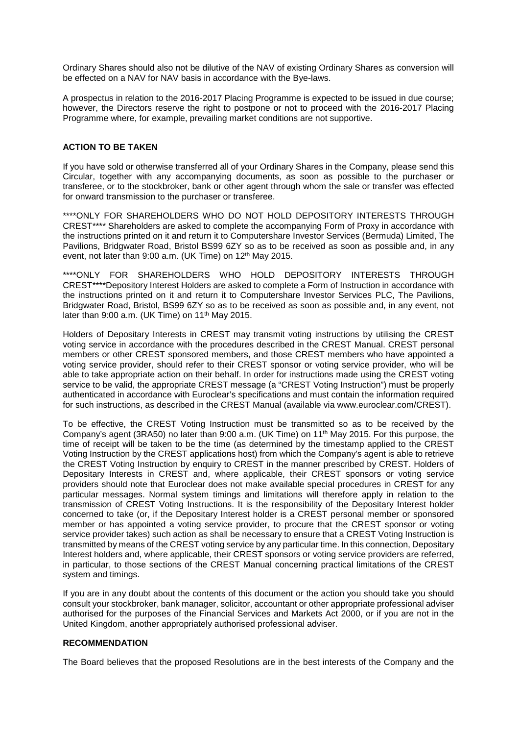Ordinary Shares should also not be dilutive of the NAV of existing Ordinary Shares as conversion will be effected on a NAV for NAV basis in accordance with the Bye-laws.

A prospectus in relation to the 2016-2017 Placing Programme is expected to be issued in due course; however, the Directors reserve the right to postpone or not to proceed with the 2016-2017 Placing Programme where, for example, prevailing market conditions are not supportive.

# **ACTION TO BE TAKEN**

If you have sold or otherwise transferred all of your Ordinary Shares in the Company, please send this Circular, together with any accompanying documents, as soon as possible to the purchaser or transferee, or to the stockbroker, bank or other agent through whom the sale or transfer was effected for onward transmission to the purchaser or transferee.

\*\*\*\*ONLY FOR SHAREHOLDERS WHO DO NOT HOLD DEPOSITORY INTERESTS THROUGH CREST\*\*\*\* Shareholders are asked to complete the accompanying Form of Proxy in accordance with the instructions printed on it and return it to Computershare Investor Services (Bermuda) Limited, The Pavilions, Bridgwater Road, Bristol BS99 6ZY so as to be received as soon as possible and, in any event, not later than 9:00 a.m. (UK Time) on 12<sup>th</sup> May 2015.

\*\*\*\*ONLY FOR SHAREHOLDERS WHO HOLD DEPOSITORY INTERESTS THROUGH CREST\*\*\*\*Depository Interest Holders are asked to complete a Form of Instruction in accordance with the instructions printed on it and return it to Computershare Investor Services PLC, The Pavilions, Bridgwater Road, Bristol, BS99 6ZY so as to be received as soon as possible and, in any event, not later than  $9:00$  a.m. (UK Time) on  $11<sup>th</sup>$  May 2015.

Holders of Depositary Interests in CREST may transmit voting instructions by utilising the CREST voting service in accordance with the procedures described in the CREST Manual. CREST personal members or other CREST sponsored members, and those CREST members who have appointed a voting service provider, should refer to their CREST sponsor or voting service provider, who will be able to take appropriate action on their behalf. In order for instructions made using the CREST voting service to be valid, the appropriate CREST message (a "CREST Voting Instruction") must be properly authenticated in accordance with Euroclear's specifications and must contain the information required for such instructions, as described in the CREST Manual (available via www.euroclear.com/CREST).

To be effective, the CREST Voting Instruction must be transmitted so as to be received by the Company's agent (3RA50) no later than 9:00 a.m. (UK Time) on 11th May 2015. For this purpose, the time of receipt will be taken to be the time (as determined by the timestamp applied to the CREST Voting Instruction by the CREST applications host) from which the Company's agent is able to retrieve the CREST Voting Instruction by enquiry to CREST in the manner prescribed by CREST. Holders of Depositary Interests in CREST and, where applicable, their CREST sponsors or voting service providers should note that Euroclear does not make available special procedures in CREST for any particular messages. Normal system timings and limitations will therefore apply in relation to the transmission of CREST Voting Instructions. It is the responsibility of the Depositary Interest holder concerned to take (or, if the Depositary Interest holder is a CREST personal member or sponsored member or has appointed a voting service provider, to procure that the CREST sponsor or voting service provider takes) such action as shall be necessary to ensure that a CREST Voting Instruction is transmitted by means of the CREST voting service by any particular time. In this connection, Depositary Interest holders and, where applicable, their CREST sponsors or voting service providers are referred, in particular, to those sections of the CREST Manual concerning practical limitations of the CREST system and timings.

If you are in any doubt about the contents of this document or the action you should take you should consult your stockbroker, bank manager, solicitor, accountant or other appropriate professional adviser authorised for the purposes of the Financial Services and Markets Act 2000, or if you are not in the United Kingdom, another appropriately authorised professional adviser.

## **RECOMMENDATION**

The Board believes that the proposed Resolutions are in the best interests of the Company and the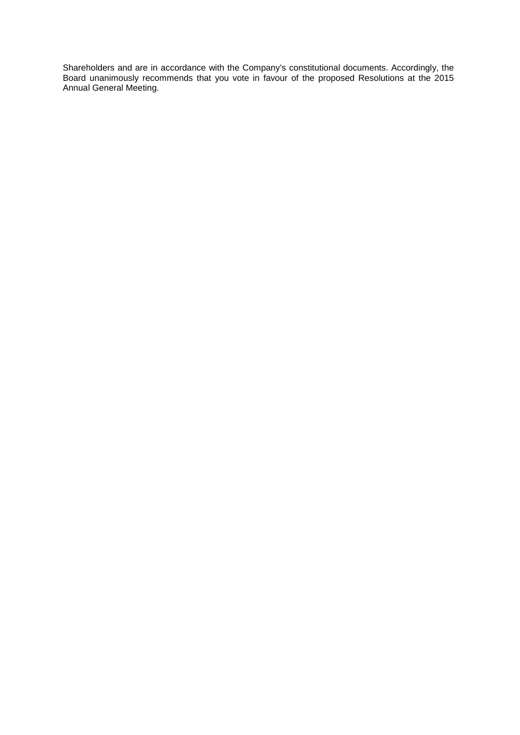Shareholders and are in accordance with the Company's constitutional documents. Accordingly, the Board unanimously recommends that you vote in favour of the proposed Resolutions at the 2015 Annual General Meeting.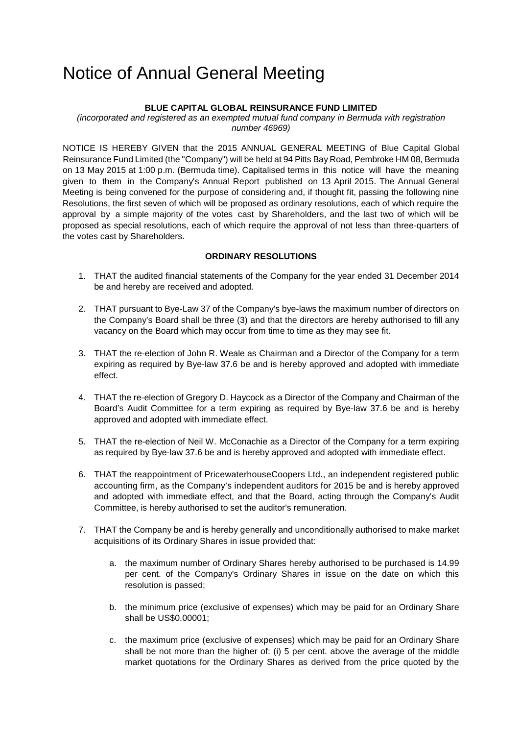# Notice of Annual General Meeting

# **BLUE CAPITAL GLOBAL REINSURANCE FUND LIMITED**

*(incorporated and registered as an exempted mutual fund company in Bermuda with registration number 46969)* 

NOTICE IS HEREBY GIVEN that the 2015 ANNUAL GENERAL MEETING of Blue Capital Global Reinsurance Fund Limited (the "Company") will be held at 94 Pitts Bay Road, Pembroke HM 08, Bermuda on 13 May 2015 at 1:00 p.m. (Bermuda time). Capitalised terms in this notice will have the meaning given to them in the Company's Annual Report published on 13 April 2015. The Annual General Meeting is being convened for the purpose of considering and, if thought fit, passing the following nine Resolutions, the first seven of which will be proposed as ordinary resolutions, each of which require the approval by a simple majority of the votes cast by Shareholders, and the last two of which will be proposed as special resolutions, each of which require the approval of not less than three-quarters of the votes cast by Shareholders.

# **ORDINARY RESOLUTIONS**

- 1. THAT the audited financial statements of the Company for the year ended 31 December 2014 be and hereby are received and adopted.
- 2. THAT pursuant to Bye-Law 37 of the Company's bye-laws the maximum number of directors on the Company's Board shall be three (3) and that the directors are hereby authorised to fill any vacancy on the Board which may occur from time to time as they may see fit.
- 3. THAT the re-election of John R. Weale as Chairman and a Director of the Company for a term expiring as required by Bye-law 37.6 be and is hereby approved and adopted with immediate effect.
- 4. THAT the re-election of Gregory D. Haycock as a Director of the Company and Chairman of the Board's Audit Committee for a term expiring as required by Bye-law 37.6 be and is hereby approved and adopted with immediate effect.
- 5. THAT the re-election of Neil W. McConachie as a Director of the Company for a term expiring as required by Bye-law 37.6 be and is hereby approved and adopted with immediate effect.
- 6. THAT the reappointment of PricewaterhouseCoopers Ltd., an independent registered public accounting firm, as the Company's independent auditors for 2015 be and is hereby approved and adopted with immediate effect, and that the Board, acting through the Company's Audit Committee, is hereby authorised to set the auditor's remuneration.
- 7. THAT the Company be and is hereby generally and unconditionally authorised to make market acquisitions of its Ordinary Shares in issue provided that:
	- a. the maximum number of Ordinary Shares hereby authorised to be purchased is 14.99 per cent. of the Company's Ordinary Shares in issue on the date on which this resolution is passed;
	- b. the minimum price (exclusive of expenses) which may be paid for an Ordinary Share shall be US\$0.00001;
	- c. the maximum price (exclusive of expenses) which may be paid for an Ordinary Share shall be not more than the higher of: (i) 5 per cent. above the average of the middle market quotations for the Ordinary Shares as derived from the price quoted by the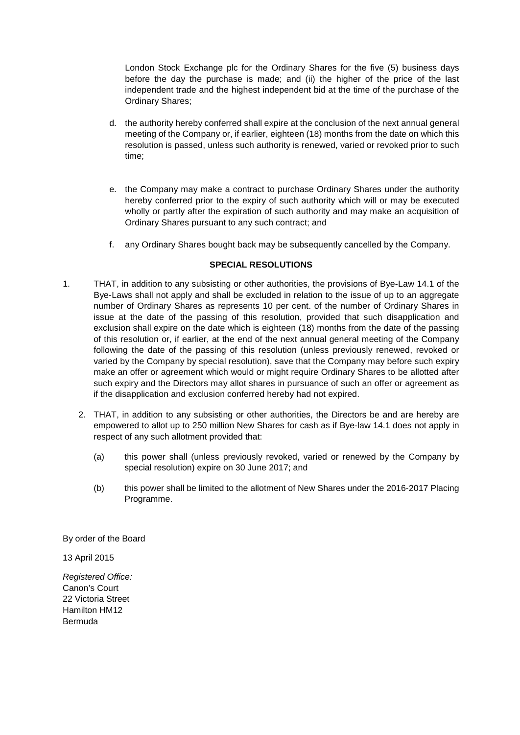London Stock Exchange plc for the Ordinary Shares for the five (5) business days before the day the purchase is made; and (ii) the higher of the price of the last independent trade and the highest independent bid at the time of the purchase of the Ordinary Shares;

- d. the authority hereby conferred shall expire at the conclusion of the next annual general meeting of the Company or, if earlier, eighteen (18) months from the date on which this resolution is passed, unless such authority is renewed, varied or revoked prior to such time;
- e. the Company may make a contract to purchase Ordinary Shares under the authority hereby conferred prior to the expiry of such authority which will or may be executed wholly or partly after the expiration of such authority and may make an acquisition of Ordinary Shares pursuant to any such contract; and
- f. any Ordinary Shares bought back may be subsequently cancelled by the Company.

# **SPECIAL RESOLUTIONS**

- 1. THAT, in addition to any subsisting or other authorities, the provisions of Bye-Law 14.1 of the Bye-Laws shall not apply and shall be excluded in relation to the issue of up to an aggregate number of Ordinary Shares as represents 10 per cent. of the number of Ordinary Shares in issue at the date of the passing of this resolution, provided that such disapplication and exclusion shall expire on the date which is eighteen (18) months from the date of the passing of this resolution or, if earlier, at the end of the next annual general meeting of the Company following the date of the passing of this resolution (unless previously renewed, revoked or varied by the Company by special resolution), save that the Company may before such expiry make an offer or agreement which would or might require Ordinary Shares to be allotted after such expiry and the Directors may allot shares in pursuance of such an offer or agreement as if the disapplication and exclusion conferred hereby had not expired.
	- 2. THAT, in addition to any subsisting or other authorities, the Directors be and are hereby are empowered to allot up to 250 million New Shares for cash as if Bye-law 14.1 does not apply in respect of any such allotment provided that:
		- (a) this power shall (unless previously revoked, varied or renewed by the Company by special resolution) expire on 30 June 2017; and
		- (b) this power shall be limited to the allotment of New Shares under the 2016-2017 Placing Programme.

By order of the Board

13 April 2015

*Registered Office:* Canon's Court 22 Victoria Street Hamilton HM12 Bermuda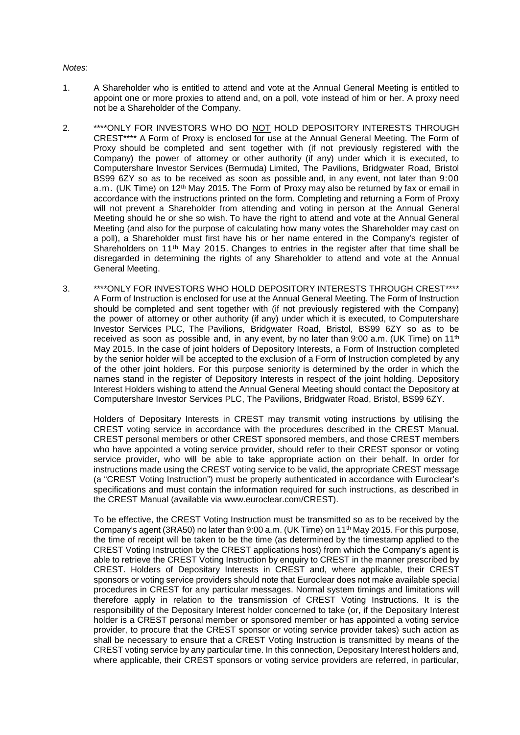## *Notes*:

- 1. A Shareholder who is entitled to attend and vote at the Annual General Meeting is entitled to appoint one or more proxies to attend and, on a poll, vote instead of him or her. A proxy need not be a Shareholder of the Company.
- 2. \*\*\*\*ONLY FOR INVESTORS WHO DO NOT HOLD DEPOSITORY INTERESTS THROUGH CREST\*\*\*\* A Form of Proxy is enclosed for use at the Annual General Meeting. The Form of Proxy should be completed and sent together with (if not previously registered with the Company) the power of attorney or other authority (if any) under which it is executed, to Computershare Investor Services (Bermuda) Limited, The Pavilions, Bridgwater Road, Bristol BS99 6ZY so as to be received as soon as possible and, in any event, not later than 9:00 a.m. (UK Time) on 12<sup>th</sup> May 2015. The Form of Proxy may also be returned by fax or email in accordance with the instructions printed on the form. Completing and returning a Form of Proxy will not prevent a Shareholder from attending and voting in person at the Annual General Meeting should he or she so wish. To have the right to attend and vote at the Annual General Meeting (and also for the purpose of calculating how many votes the Shareholder may cast on a poll), a Shareholder must first have his or her name entered in the Company's register of Shareholders on 11<sup>th</sup> May 2015. Changes to entries in the register after that time shall be disregarded in determining the rights of any Shareholder to attend and vote at the Annual General Meeting.
- 3. \*\*\*\*ONLY FOR INVESTORS WHO HOLD DEPOSITORY INTERESTS THROUGH CREST\*\*\*\* A Form of Instruction is enclosed for use at the Annual General Meeting. The Form of Instruction should be completed and sent together with (if not previously registered with the Company) the power of attorney or other authority (if any) under which it is executed, to Computershare Investor Services PLC, The Pavilions, Bridgwater Road, Bristol, BS99 6ZY so as to be received as soon as possible and, in any event, by no later than 9:00 a.m. (UK Time) on 11<sup>th</sup> May 2015. In the case of joint holders of Depository Interests, a Form of Instruction completed by the senior holder will be accepted to the exclusion of a Form of Instruction completed by any of the other joint holders. For this purpose seniority is determined by the order in which the names stand in the register of Depository Interests in respect of the joint holding. Depository Interest Holders wishing to attend the Annual General Meeting should contact the Depository at Computershare Investor Services PLC, The Pavilions, Bridgwater Road, Bristol, BS99 6ZY.

Holders of Depositary Interests in CREST may transmit voting instructions by utilising the CREST voting service in accordance with the procedures described in the CREST Manual. CREST personal members or other CREST sponsored members, and those CREST members who have appointed a voting service provider, should refer to their CREST sponsor or voting service provider, who will be able to take appropriate action on their behalf. In order for instructions made using the CREST voting service to be valid, the appropriate CREST message (a "CREST Voting Instruction") must be properly authenticated in accordance with Euroclear's specifications and must contain the information required for such instructions, as described in the CREST Manual (available via www.euroclear.com/CREST).

To be effective, the CREST Voting Instruction must be transmitted so as to be received by the Company's agent (3RA50) no later than 9:00 a.m. (UK Time) on 11<sup>th</sup> May 2015. For this purpose, the time of receipt will be taken to be the time (as determined by the timestamp applied to the CREST Voting Instruction by the CREST applications host) from which the Company's agent is able to retrieve the CREST Voting Instruction by enquiry to CREST in the manner prescribed by CREST. Holders of Depositary Interests in CREST and, where applicable, their CREST sponsors or voting service providers should note that Euroclear does not make available special procedures in CREST for any particular messages. Normal system timings and limitations will therefore apply in relation to the transmission of CREST Voting Instructions. It is the responsibility of the Depositary Interest holder concerned to take (or, if the Depositary Interest holder is a CREST personal member or sponsored member or has appointed a voting service provider, to procure that the CREST sponsor or voting service provider takes) such action as shall be necessary to ensure that a CREST Voting Instruction is transmitted by means of the CREST voting service by any particular time. In this connection, Depositary Interest holders and, where applicable, their CREST sponsors or voting service providers are referred, in particular,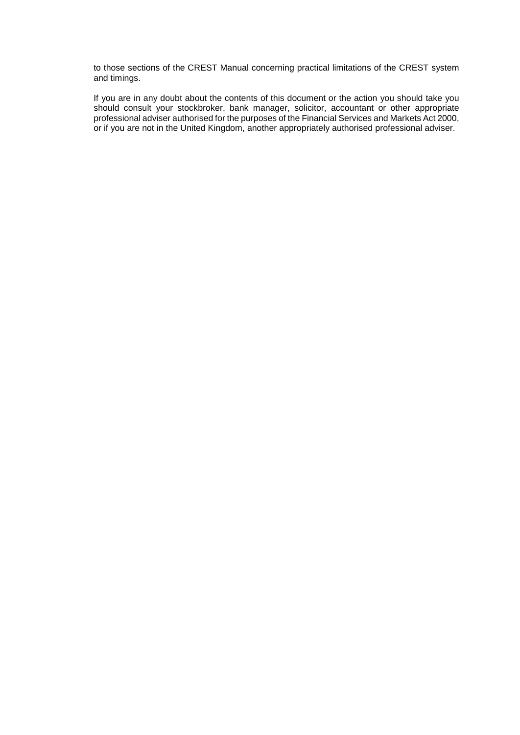to those sections of the CREST Manual concerning practical limitations of the CREST system and timings.

If you are in any doubt about the contents of this document or the action you should take you should consult your stockbroker, bank manager, solicitor, accountant or other appropriate professional adviser authorised for the purposes of the Financial Services and Markets Act 2000, or if you are not in the United Kingdom, another appropriately authorised professional adviser.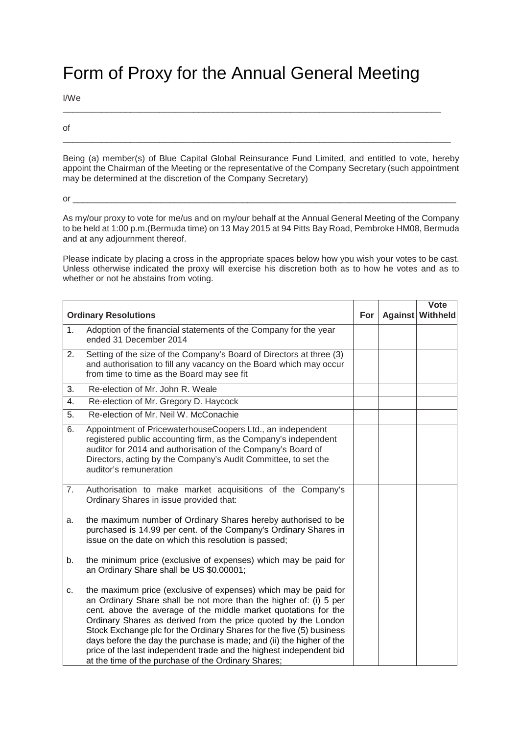# Form of Proxy for the Annual General Meeting

I/We

of

# \_\_\_\_\_\_\_\_\_\_\_\_\_\_\_\_\_\_\_\_\_\_\_\_\_\_\_\_\_\_\_\_\_\_\_\_\_\_\_\_\_\_\_\_\_\_\_\_\_\_\_\_\_\_\_\_\_\_\_\_\_\_\_\_\_\_\_\_\_\_\_\_\_\_\_\_\_\_

\_\_\_\_\_\_\_\_\_\_\_\_\_\_\_\_\_\_\_\_\_\_\_\_\_\_\_\_\_\_\_\_\_\_\_\_\_\_\_\_\_\_\_\_\_\_\_\_\_\_\_\_\_\_\_\_\_\_\_\_\_\_\_\_\_\_\_\_\_\_\_\_\_\_\_\_\_\_\_\_

Being (a) member(s) of Blue Capital Global Reinsurance Fund Limited, and entitled to vote, hereby appoint the Chairman of the Meeting or the representative of the Company Secretary (such appointment may be determined at the discretion of the Company Secretary)

 $\mathsf{or}$   $\blacksquare$ 

As my/our proxy to vote for me/us and on my/our behalf at the Annual General Meeting of the Company to be held at 1:00 p.m.(Bermuda time) on 13 May 2015 at 94 Pitts Bay Road, Pembroke HM08, Bermuda and at any adjournment thereof.

Please indicate by placing a cross in the appropriate spaces below how you wish your votes to be cast. Unless otherwise indicated the proxy will exercise his discretion both as to how he votes and as to whether or not he abstains from voting.

|    | <b>Ordinary Resolutions</b>                                                                                                                                                                                                                                                                                                                                                                                                                                                                                                                             | For | <b>Vote</b><br><b>Against Withheld</b> |
|----|---------------------------------------------------------------------------------------------------------------------------------------------------------------------------------------------------------------------------------------------------------------------------------------------------------------------------------------------------------------------------------------------------------------------------------------------------------------------------------------------------------------------------------------------------------|-----|----------------------------------------|
| 1. | Adoption of the financial statements of the Company for the year<br>ended 31 December 2014                                                                                                                                                                                                                                                                                                                                                                                                                                                              |     |                                        |
| 2. | Setting of the size of the Company's Board of Directors at three (3)<br>and authorisation to fill any vacancy on the Board which may occur<br>from time to time as the Board may see fit                                                                                                                                                                                                                                                                                                                                                                |     |                                        |
| 3. | Re-election of Mr. John R. Weale                                                                                                                                                                                                                                                                                                                                                                                                                                                                                                                        |     |                                        |
| 4. | Re-election of Mr. Gregory D. Haycock                                                                                                                                                                                                                                                                                                                                                                                                                                                                                                                   |     |                                        |
| 5. | Re-election of Mr. Neil W. McConachie                                                                                                                                                                                                                                                                                                                                                                                                                                                                                                                   |     |                                        |
| 6. | Appointment of PricewaterhouseCoopers Ltd., an independent<br>registered public accounting firm, as the Company's independent<br>auditor for 2014 and authorisation of the Company's Board of<br>Directors, acting by the Company's Audit Committee, to set the<br>auditor's remuneration                                                                                                                                                                                                                                                               |     |                                        |
| 7. | Authorisation to make market acquisitions of the Company's<br>Ordinary Shares in issue provided that:                                                                                                                                                                                                                                                                                                                                                                                                                                                   |     |                                        |
| a. | the maximum number of Ordinary Shares hereby authorised to be<br>purchased is 14.99 per cent. of the Company's Ordinary Shares in<br>issue on the date on which this resolution is passed;                                                                                                                                                                                                                                                                                                                                                              |     |                                        |
| b. | the minimum price (exclusive of expenses) which may be paid for<br>an Ordinary Share shall be US \$0.00001;                                                                                                                                                                                                                                                                                                                                                                                                                                             |     |                                        |
| C. | the maximum price (exclusive of expenses) which may be paid for<br>an Ordinary Share shall be not more than the higher of: (i) 5 per<br>cent. above the average of the middle market quotations for the<br>Ordinary Shares as derived from the price quoted by the London<br>Stock Exchange plc for the Ordinary Shares for the five (5) business<br>days before the day the purchase is made; and (ii) the higher of the<br>price of the last independent trade and the highest independent bid<br>at the time of the purchase of the Ordinary Shares; |     |                                        |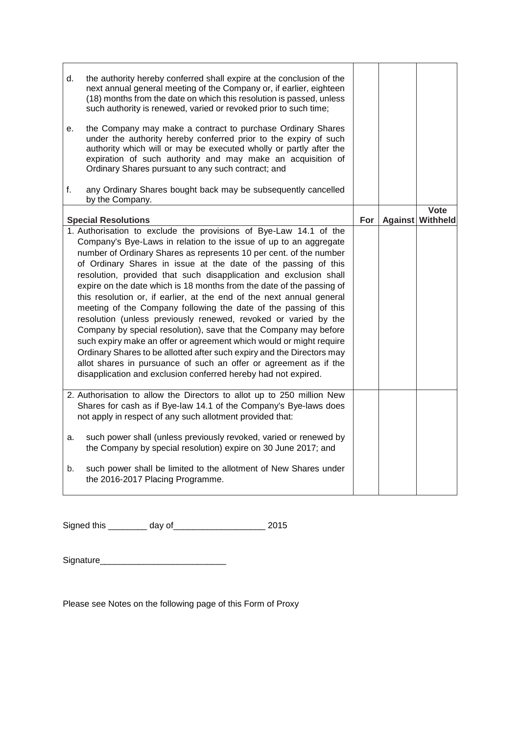| the authority hereby conferred shall expire at the conclusion of the<br>d.<br>next annual general meeting of the Company or, if earlier, eighteen<br>(18) months from the date on which this resolution is passed, unless<br>such authority is renewed, varied or revoked prior to such time;<br>the Company may make a contract to purchase Ordinary Shares<br>е.<br>under the authority hereby conferred prior to the expiry of such<br>authority which will or may be executed wholly or partly after the<br>expiration of such authority and may make an acquisition of<br>Ordinary Shares pursuant to any such contract; and<br>f.<br>any Ordinary Shares bought back may be subsequently cancelled                                                                                                                                                                                                                                                                                                 |     |                          |
|----------------------------------------------------------------------------------------------------------------------------------------------------------------------------------------------------------------------------------------------------------------------------------------------------------------------------------------------------------------------------------------------------------------------------------------------------------------------------------------------------------------------------------------------------------------------------------------------------------------------------------------------------------------------------------------------------------------------------------------------------------------------------------------------------------------------------------------------------------------------------------------------------------------------------------------------------------------------------------------------------------|-----|--------------------------|
| by the Company.                                                                                                                                                                                                                                                                                                                                                                                                                                                                                                                                                                                                                                                                                                                                                                                                                                                                                                                                                                                          |     |                          |
| <b>Special Resolutions</b>                                                                                                                                                                                                                                                                                                                                                                                                                                                                                                                                                                                                                                                                                                                                                                                                                                                                                                                                                                               | For | Vote<br>Against Withheld |
| 1. Authorisation to exclude the provisions of Bye-Law 14.1 of the<br>Company's Bye-Laws in relation to the issue of up to an aggregate<br>number of Ordinary Shares as represents 10 per cent. of the number<br>of Ordinary Shares in issue at the date of the passing of this<br>resolution, provided that such disapplication and exclusion shall<br>expire on the date which is 18 months from the date of the passing of<br>this resolution or, if earlier, at the end of the next annual general<br>meeting of the Company following the date of the passing of this<br>resolution (unless previously renewed, revoked or varied by the<br>Company by special resolution), save that the Company may before<br>such expiry make an offer or agreement which would or might require<br>Ordinary Shares to be allotted after such expiry and the Directors may<br>allot shares in pursuance of such an offer or agreement as if the<br>disapplication and exclusion conferred hereby had not expired. |     |                          |
| 2. Authorisation to allow the Directors to allot up to 250 million New<br>Shares for cash as if Bye-law 14.1 of the Company's Bye-laws does<br>not apply in respect of any such allotment provided that:                                                                                                                                                                                                                                                                                                                                                                                                                                                                                                                                                                                                                                                                                                                                                                                                 |     |                          |
| such power shall (unless previously revoked, varied or renewed by<br>a.<br>the Company by special resolution) expire on 30 June 2017; and                                                                                                                                                                                                                                                                                                                                                                                                                                                                                                                                                                                                                                                                                                                                                                                                                                                                |     |                          |
| such power shall be limited to the allotment of New Shares under<br>b.<br>the 2016-2017 Placing Programme.                                                                                                                                                                                                                                                                                                                                                                                                                                                                                                                                                                                                                                                                                                                                                                                                                                                                                               |     |                          |

Signed this \_\_\_\_\_\_\_\_ day of\_\_\_\_\_\_\_\_\_\_\_\_\_\_\_\_\_\_\_ 2015

Signature\_\_\_\_\_\_\_\_\_\_\_\_\_\_\_\_\_\_\_\_\_\_\_\_\_\_

Please see Notes on the following page of this Form of Proxy